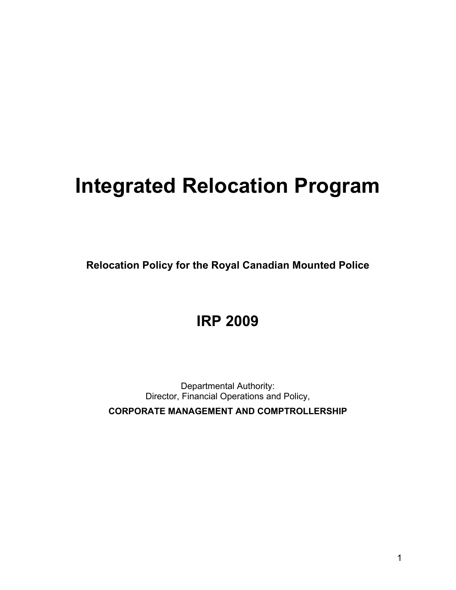# **Integrated Relocation Program**

**Relocation Policy for the Royal Canadian Mounted Police** 

# **IRP 2009**

Departmental Authority: Director, Financial Operations and Policy, **CORPORATE MANAGEMENT AND COMPTROLLERSHIP**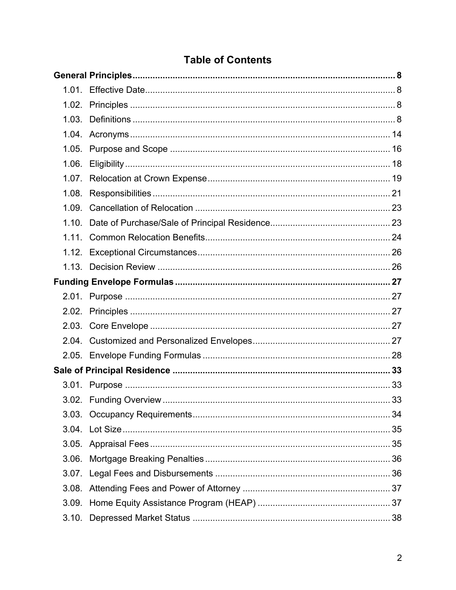# **Table of Contents**

| 1.05. |  |
|-------|--|
|       |  |
|       |  |
| 1.08. |  |
|       |  |
|       |  |
|       |  |
|       |  |
|       |  |
|       |  |
|       |  |
|       |  |
|       |  |
|       |  |
|       |  |
|       |  |
|       |  |
|       |  |
|       |  |
|       |  |
|       |  |
| 3.06. |  |
|       |  |
| 3.08. |  |
|       |  |
|       |  |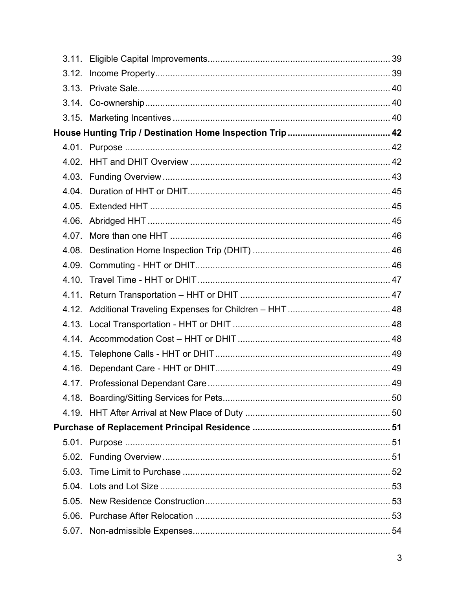| 4.03. |    |
|-------|----|
| 4.04. |    |
|       |    |
|       |    |
| 4.07. |    |
| 4.08. |    |
|       |    |
|       |    |
|       |    |
|       |    |
|       |    |
|       |    |
|       |    |
| 4.16. |    |
|       | 49 |
|       |    |
|       |    |
|       |    |
|       |    |
| 5.02. |    |
| 5.03. |    |
| 5.04. |    |
| 5.05. |    |
|       |    |
|       |    |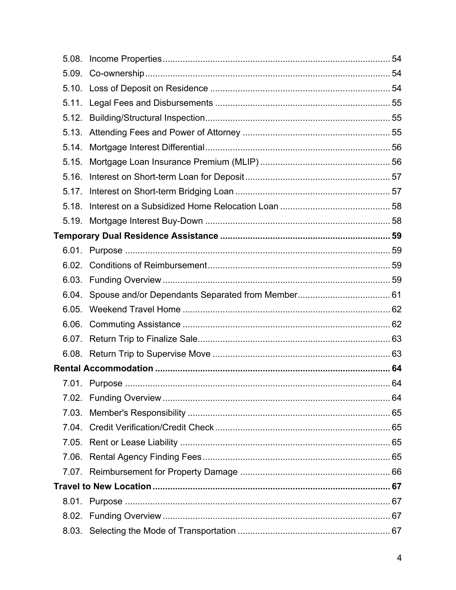| 5.08. |  |
|-------|--|
| 5.09. |  |
|       |  |
|       |  |
|       |  |
|       |  |
| 5.14. |  |
| 5.15. |  |
| 5.16. |  |
| 5.17. |  |
| 5.18. |  |
|       |  |
|       |  |
|       |  |
|       |  |
|       |  |
|       |  |
| 6.05. |  |
| 6.06. |  |
|       |  |
|       |  |
|       |  |
|       |  |
|       |  |
| 7.03. |  |
|       |  |
|       |  |
| 7.06. |  |
|       |  |
|       |  |
|       |  |
|       |  |
|       |  |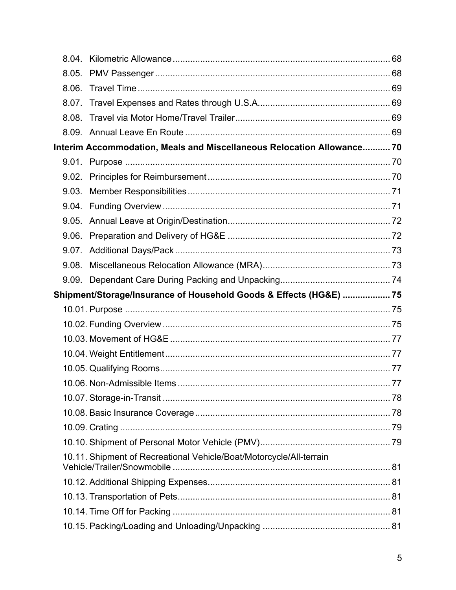| 8.04. |                                                                        |  |
|-------|------------------------------------------------------------------------|--|
| 8.05. |                                                                        |  |
| 8.06. |                                                                        |  |
|       |                                                                        |  |
| 8.08. |                                                                        |  |
|       |                                                                        |  |
|       | Interim Accommodation, Meals and Miscellaneous Relocation Allowance 70 |  |
| 9.01. |                                                                        |  |
|       |                                                                        |  |
| 9.03. |                                                                        |  |
| 9.04. |                                                                        |  |
|       |                                                                        |  |
|       |                                                                        |  |
| 9.07. |                                                                        |  |
| 9.08. |                                                                        |  |
|       |                                                                        |  |
|       |                                                                        |  |
|       | Shipment/Storage/Insurance of Household Goods & Effects (HG&E)  75     |  |
|       |                                                                        |  |
|       |                                                                        |  |
|       |                                                                        |  |
|       |                                                                        |  |
|       |                                                                        |  |
|       |                                                                        |  |
|       |                                                                        |  |
|       |                                                                        |  |
|       |                                                                        |  |
|       |                                                                        |  |
|       | 10.11. Shipment of Recreational Vehicle/Boat/Motorcycle/All-terrain    |  |
|       |                                                                        |  |
|       |                                                                        |  |
|       |                                                                        |  |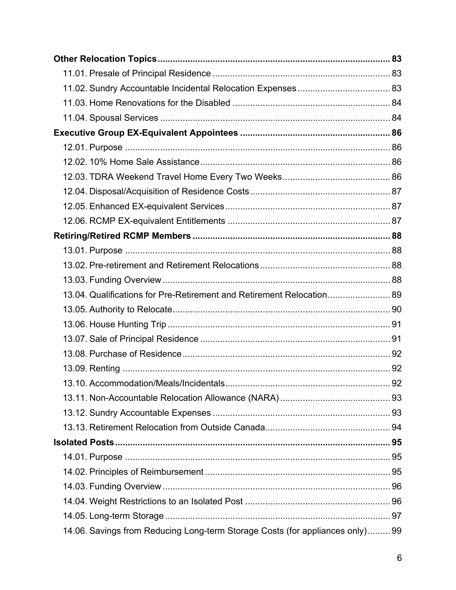| 13.04. Qualifications for Pre-Retirement and Retirement Relocation 89         |  |
|-------------------------------------------------------------------------------|--|
|                                                                               |  |
|                                                                               |  |
|                                                                               |  |
|                                                                               |  |
|                                                                               |  |
|                                                                               |  |
|                                                                               |  |
|                                                                               |  |
|                                                                               |  |
|                                                                               |  |
|                                                                               |  |
|                                                                               |  |
|                                                                               |  |
|                                                                               |  |
|                                                                               |  |
| 14.06. Savings from Reducing Long-term Storage Costs (for appliances only) 99 |  |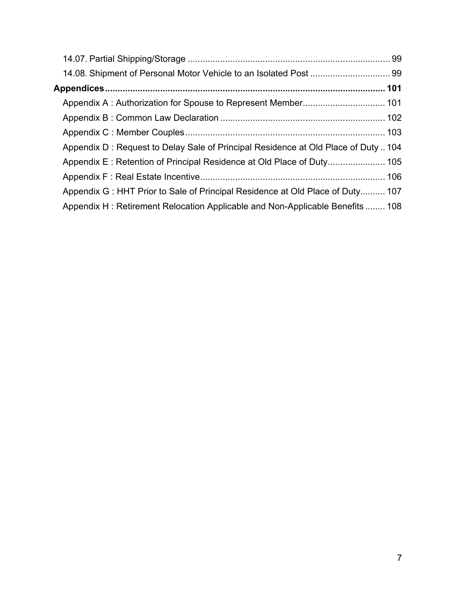| Appendix D: Request to Delay Sale of Principal Residence at Old Place of Duty104 |  |
|----------------------------------------------------------------------------------|--|
|                                                                                  |  |
|                                                                                  |  |
| Appendix G: HHT Prior to Sale of Principal Residence at Old Place of Duty 107    |  |
| Appendix H: Retirement Relocation Applicable and Non-Applicable Benefits  108    |  |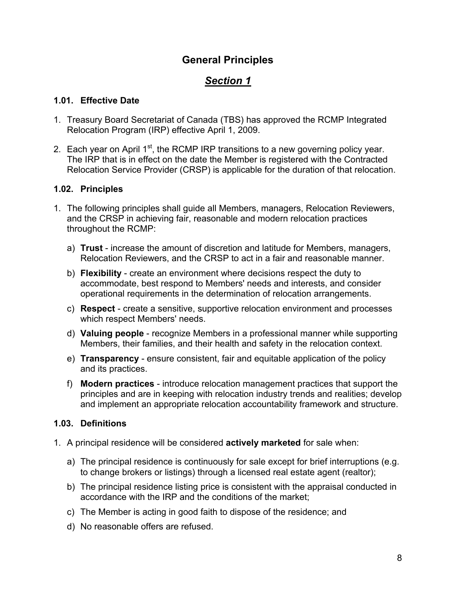## **General Principles**

# *Section 1*

#### <span id="page-7-0"></span>**1.01. Effective Date**

- 1. Treasury Board Secretariat of Canada (TBS) has approved the RCMP Integrated Relocation Program (IRP) effective April 1, 2009.
- 2. Each year on April  $1<sup>st</sup>$ , the RCMP IRP transitions to a new governing policy year. The IRP that is in effect on the date the Member is registered with the Contracted Relocation Service Provider (CRSP) is applicable for the duration of that relocation.

#### **1.02. Principles**

- 1. The following principles shall guide all Members, managers, Relocation Reviewers, and the CRSP in achieving fair, reasonable and modern relocation practices throughout the RCMP:
	- a) **Trust** increase the amount of discretion and latitude for Members, managers, Relocation Reviewers, and the CRSP to act in a fair and reasonable manner.
	- b) **Flexibility** create an environment where decisions respect the duty to accommodate, best respond to Members' needs and interests, and consider operational requirements in the determination of relocation arrangements.
	- c) **Respect** create a sensitive, supportive relocation environment and processes which respect Members' needs.
	- d) **Valuing people** recognize Members in a professional manner while supporting Members, their families, and their health and safety in the relocation context.
	- e) **Transparency** ensure consistent, fair and equitable application of the policy and its practices.
	- f) **Modern practices** introduce relocation management practices that support the principles and are in keeping with relocation industry trends and realities; develop and implement an appropriate relocation accountability framework and structure.

#### **1.03. Definitions**

- 1. A principal residence will be considered **actively marketed** for sale when:
	- a) The principal residence is continuously for sale except for brief interruptions (e.g. to change brokers or listings) through a licensed real estate agent (realtor);
	- b) The principal residence listing price is consistent with the appraisal conducted in accordance with the IRP and the conditions of the market;
	- c) The Member is acting in good faith to dispose of the residence; and
	- d) No reasonable offers are refused.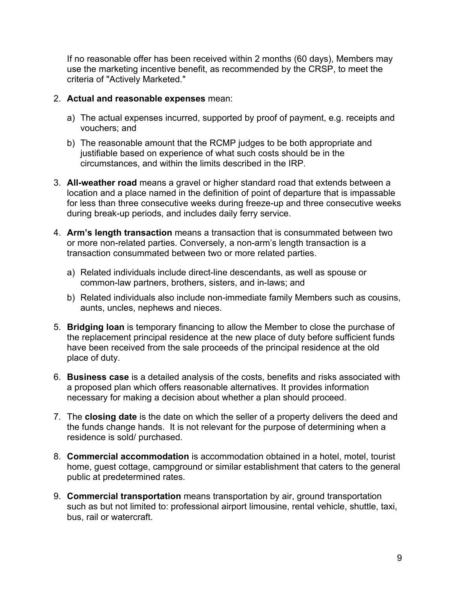If no reasonable offer has been received within 2 months (60 days), Members may use the marketing incentive benefit, as recommended by the CRSP, to meet the criteria of "Actively Marketed."

- 2. **Actual and reasonable expenses** mean:
	- a) The actual expenses incurred, supported by proof of payment, e.g. receipts and vouchers; and
	- b) The reasonable amount that the RCMP judges to be both appropriate and justifiable based on experience of what such costs should be in the circumstances, and within the limits described in the IRP.
- 3. **All-weather road** means a gravel or higher standard road that extends between a location and a place named in the definition of point of departure that is impassable for less than three consecutive weeks during freeze-up and three consecutive weeks during break-up periods, and includes daily ferry service.
- 4. **Arm's length transaction** means a transaction that is consummated between two or more non-related parties. Conversely, a non-arm's length transaction is a transaction consummated between two or more related parties.
	- a) Related individuals include direct-line descendants, as well as spouse or common-law partners, brothers, sisters, and in-laws; and
	- b) Related individuals also include non-immediate family Members such as cousins, aunts, uncles, nephews and nieces.
- 5. **Bridging loan** is temporary financing to allow the Member to close the purchase of the replacement principal residence at the new place of duty before sufficient funds have been received from the sale proceeds of the principal residence at the old place of duty.
- 6. **Business case** is a detailed analysis of the costs, benefits and risks associated with a proposed plan which offers reasonable alternatives. It provides information necessary for making a decision about whether a plan should proceed.
- 7. The **closing date** is the date on which the seller of a property delivers the deed and the funds change hands. It is not relevant for the purpose of determining when a residence is sold/ purchased.
- 8. **Commercial accommodation** is accommodation obtained in a hotel, motel, tourist home, guest cottage, campground or similar establishment that caters to the general public at predetermined rates.
- 9. **Commercial transportation** means transportation by air, ground transportation such as but not limited to: professional airport limousine, rental vehicle, shuttle, taxi, bus, rail or watercraft.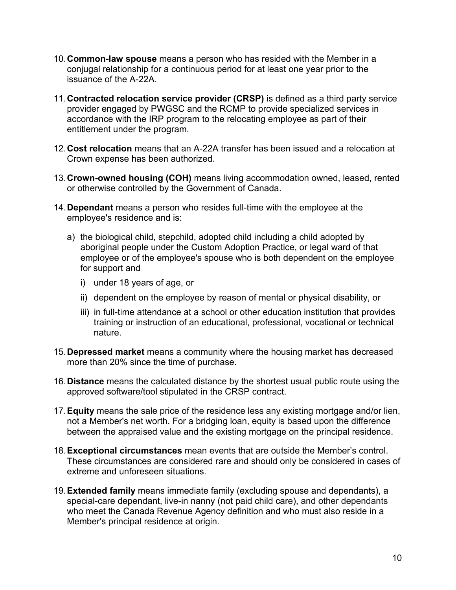- 10. **Common-law spouse** means a person who has resided with the Member in a conjugal relationship for a continuous period for at least one year prior to the issuance of the A-22A.
- 11. **Contracted relocation service provider (CRSP)** is defined as a third party service provider engaged by PWGSC and the RCMP to provide specialized services in accordance with the IRP program to the relocating employee as part of their entitlement under the program.
- 12. **Cost relocation** means that an A-22A transfer has been issued and a relocation at Crown expense has been authorized.
- 13. **Crown-owned housing (COH)** means living accommodation owned, leased, rented or otherwise controlled by the Government of Canada.
- 14. **Dependant** means a person who resides full-time with the employee at the employee's residence and is:
	- a) the biological child, stepchild, adopted child including a child adopted by aboriginal people under the Custom Adoption Practice, or legal ward of that employee or of the employee's spouse who is both dependent on the employee for support and
		- i) under 18 years of age, or
		- ii) dependent on the employee by reason of mental or physical disability, or
		- iii) in full-time attendance at a school or other education institution that provides training or instruction of an educational, professional, vocational or technical nature.
- 15. **Depressed market** means a community where the housing market has decreased more than 20% since the time of purchase.
- 16. **Distance** means the calculated distance by the shortest usual public route using the approved software/tool stipulated in the CRSP contract.
- 17. **Equity** means the sale price of the residence less any existing mortgage and/or lien, not a Member's net worth. For a bridging loan, equity is based upon the difference between the appraised value and the existing mortgage on the principal residence.
- 18. **Exceptional circumstances** mean events that are outside the Member's control. These circumstances are considered rare and should only be considered in cases of extreme and unforeseen situations.
- 19. **Extended family** means immediate family (excluding spouse and dependants), a special-care dependant, live-in nanny (not paid child care), and other dependants who meet the Canada Revenue Agency definition and who must also reside in a Member's principal residence at origin.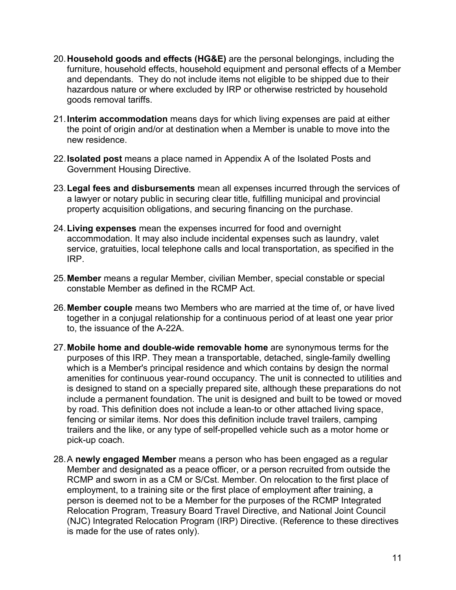- 20. **Household goods and effects (HG&E)** are the personal belongings, including the furniture, household effects, household equipment and personal effects of a Member and dependants. They do not include items not eligible to be shipped due to their hazardous nature or where excluded by IRP or otherwise restricted by household goods removal tariffs.
- 21. **Interim accommodation** means days for which living expenses are paid at either the point of origin and/or at destination when a Member is unable to move into the new residence.
- 22. **Isolated post** means a place named in Appendix A of the Isolated Posts and Government Housing Directive.
- 23. **Legal fees and disbursements** mean all expenses incurred through the services of a lawyer or notary public in securing clear title, fulfilling municipal and provincial property acquisition obligations, and securing financing on the purchase.
- 24. **Living expenses** mean the expenses incurred for food and overnight accommodation. It may also include incidental expenses such as laundry, valet service, gratuities, local telephone calls and local transportation, as specified in the IRP.
- 25. **Member** means a regular Member, civilian Member, special constable or special constable Member as defined in the RCMP Act.
- 26. **Member couple** means two Members who are married at the time of, or have lived together in a conjugal relationship for a continuous period of at least one year prior to, the issuance of the A-22A.
- 27. **Mobile home and double-wide removable home** are synonymous terms for the purposes of this IRP. They mean a transportable, detached, single-family dwelling which is a Member's principal residence and which contains by design the normal amenities for continuous year-round occupancy. The unit is connected to utilities and is designed to stand on a specially prepared site, although these preparations do not include a permanent foundation. The unit is designed and built to be towed or moved by road. This definition does not include a lean-to or other attached living space, fencing or similar items. Nor does this definition include travel trailers, camping trailers and the like, or any type of self-propelled vehicle such as a motor home or pick-up coach.
- 28. A **newly engaged Member** means a person who has been engaged as a regular Member and designated as a peace officer, or a person recruited from outside the RCMP and sworn in as a CM or S/Cst. Member. On relocation to the first place of employment, to a training site or the first place of employment after training, a person is deemed not to be a Member for the purposes of the RCMP Integrated Relocation Program, Treasury Board Travel Directive, and National Joint Council (NJC) Integrated Relocation Program (IRP) Directive. (Reference to these directives is made for the use of rates only).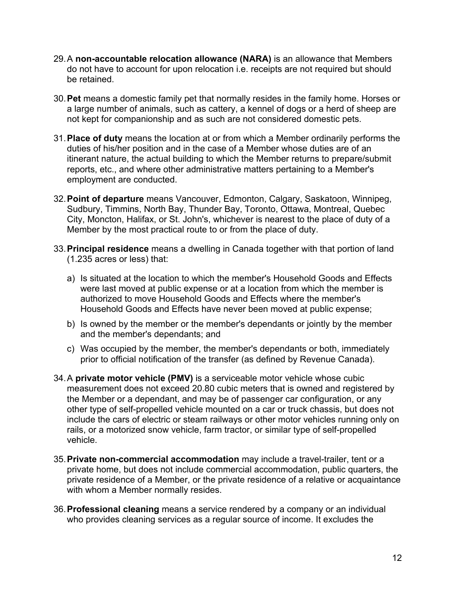- 29. A **non-accountable relocation allowance (NARA)** is an allowance that Members do not have to account for upon relocation i.e. receipts are not required but should be retained.
- 30. **Pet** means a domestic family pet that normally resides in the family home. Horses or a large number of animals, such as cattery, a kennel of dogs or a herd of sheep are not kept for companionship and as such are not considered domestic pets.
- 31. **Place of duty** means the location at or from which a Member ordinarily performs the duties of his/her position and in the case of a Member whose duties are of an itinerant nature, the actual building to which the Member returns to prepare/submit reports, etc., and where other administrative matters pertaining to a Member's employment are conducted.
- 32. **Point of departure** means Vancouver, Edmonton, Calgary, Saskatoon, Winnipeg, Sudbury, Timmins, North Bay, Thunder Bay, Toronto, Ottawa, Montreal, Quebec City, Moncton, Halifax, or St. John's, whichever is nearest to the place of duty of a Member by the most practical route to or from the place of duty.
- 33. **Principal residence** means a dwelling in Canada together with that portion of land (1.235 acres or less) that:
	- a) Is situated at the location to which the member's Household Goods and Effects were last moved at public expense or at a location from which the member is authorized to move Household Goods and Effects where the member's Household Goods and Effects have never been moved at public expense;
	- b) Is owned by the member or the member's dependants or jointly by the member and the member's dependants; and
	- c) Was occupied by the member, the member's dependants or both, immediately prior to official notification of the transfer (as defined by Revenue Canada).
- 34. A **private motor vehicle (PMV)** is a serviceable motor vehicle whose cubic measurement does not exceed 20.80 cubic meters that is owned and registered by the Member or a dependant, and may be of passenger car configuration, or any other type of self-propelled vehicle mounted on a car or truck chassis, but does not include the cars of electric or steam railways or other motor vehicles running only on rails, or a motorized snow vehicle, farm tractor, or similar type of self-propelled vehicle.
- 35. **Private non-commercial accommodation** may include a travel-trailer, tent or a private home, but does not include commercial accommodation, public quarters, the private residence of a Member, or the private residence of a relative or acquaintance with whom a Member normally resides.
- 36. **Professional cleaning** means a service rendered by a company or an individual who provides cleaning services as a regular source of income. It excludes the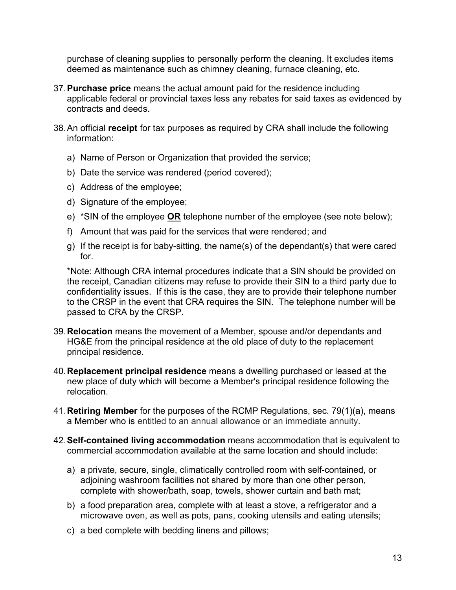purchase of cleaning supplies to personally perform the cleaning. It excludes items deemed as maintenance such as chimney cleaning, furnace cleaning, etc.

- 37. **Purchase price** means the actual amount paid for the residence including applicable federal or provincial taxes less any rebates for said taxes as evidenced by contracts and deeds.
- 38. An official **receipt** for tax purposes as required by CRA shall include the following information:
	- a) Name of Person or Organization that provided the service;
	- b) Date the service was rendered (period covered);
	- c) Address of the employee;
	- d) Signature of the employee;
	- e) \*SIN of the employee **OR** telephone number of the employee (see note below);
	- f) Amount that was paid for the services that were rendered; and
	- g) If the receipt is for baby-sitting, the name(s) of the dependant(s) that were cared for.

\*Note: Although CRA internal procedures indicate that a SIN should be provided on the receipt, Canadian citizens may refuse to provide their SIN to a third party due to confidentiality issues. If this is the case, they are to provide their telephone number to the CRSP in the event that CRA requires the SIN. The telephone number will be passed to CRA by the CRSP.

- 39. **Relocation** means the movement of a Member, spouse and/or dependants and HG&E from the principal residence at the old place of duty to the replacement principal residence.
- 40. **Replacement principal residence** means a dwelling purchased or leased at the new place of duty which will become a Member's principal residence following the relocation.
- 41. **Retiring Member** for the purposes of the RCMP Regulations, sec. 79(1)(a), means a Member who is entitled to an annual allowance or an immediate annuity.
- 42. **Self-contained living accommodation** means accommodation that is equivalent to commercial accommodation available at the same location and should include:
	- a) a private, secure, single, climatically controlled room with self-contained, or adjoining washroom facilities not shared by more than one other person, complete with shower/bath, soap, towels, shower curtain and bath mat;
	- b) a food preparation area, complete with at least a stove, a refrigerator and a microwave oven, as well as pots, pans, cooking utensils and eating utensils;
	- c) a bed complete with bedding linens and pillows;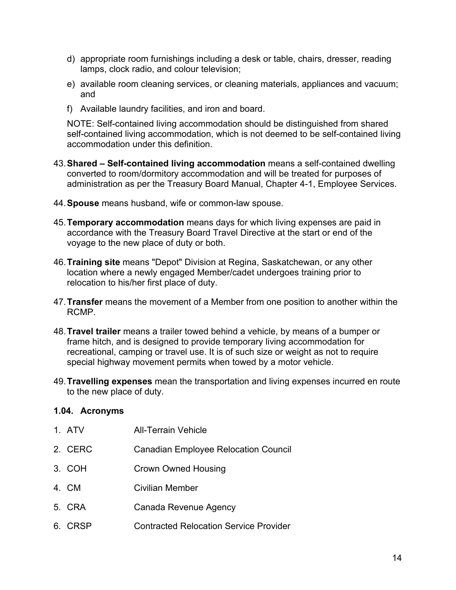- <span id="page-13-0"></span>d) appropriate room furnishings including a desk or table, chairs, dresser, reading lamps, clock radio, and colour television;
- e) available room cleaning services, or cleaning materials, appliances and vacuum; and
- f) Available laundry facilities, and iron and board.

NOTE: Self-contained living accommodation should be distinguished from shared self-contained living accommodation, which is not deemed to be self-contained living accommodation under this definition.

- 43. **Shared Self-contained living accommodation** means a self-contained dwelling converted to room/dormitory accommodation and will be treated for purposes of administration as per the Treasury Board Manual, Chapter 4-1, Employee Services.
- 44. **Spouse** means husband, wife or common-law spouse.
- 45. **Temporary accommodation** means days for which living expenses are paid in accordance with the Treasury Board Travel Directive at the start or end of the voyage to the new place of duty or both.
- 46. **Training site** means "Depot" Division at Regina, Saskatchewan, or any other location where a newly engaged Member/cadet undergoes training prior to relocation to his/her first place of duty.
- 47. **Transfer** means the movement of a Member from one position to another within the RCMP.
- 48. **Travel trailer** means a trailer towed behind a vehicle, by means of a bumper or frame hitch, and is designed to provide temporary living accommodation for recreational, camping or travel use. It is of such size or weight as not to require special highway movement permits when towed by a motor vehicle.
- 49. **Travelling expenses** mean the transportation and living expenses incurred en route to the new place of duty.

#### **1.04. Acronyms**

| 1. ATV  | <b>All-Terrain Vehicle</b>                    |
|---------|-----------------------------------------------|
| 2. CERC | <b>Canadian Employee Relocation Council</b>   |
| 3. COH  | Crown Owned Housing                           |
| 4. CM   | Civilian Member                               |
| 5. CRA  | Canada Revenue Agency                         |
| 6. CRSP | <b>Contracted Relocation Service Provider</b> |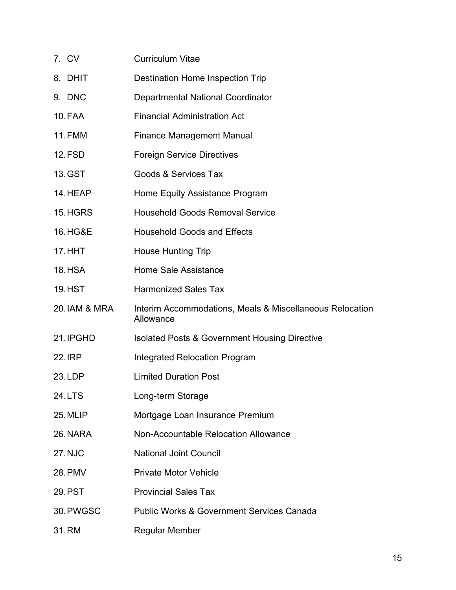| 7. CV          | <b>Curriculum Vitae</b>                                               |
|----------------|-----------------------------------------------------------------------|
| 8. DHIT        | Destination Home Inspection Trip                                      |
| 9. DNC         | Departmental National Coordinator                                     |
| 10. FAA        | <b>Financial Administration Act</b>                                   |
| <b>11.FMM</b>  | <b>Finance Management Manual</b>                                      |
| <b>12.FSD</b>  | <b>Foreign Service Directives</b>                                     |
| 13. GST        | Goods & Services Tax                                                  |
| 14. HEAP       | Home Equity Assistance Program                                        |
| 15.HGRS        | <b>Household Goods Removal Service</b>                                |
| 16.HG&E        | <b>Household Goods and Effects</b>                                    |
| <b>17. HHT</b> | <b>House Hunting Trip</b>                                             |
| <b>18.HSA</b>  | <b>Home Sale Assistance</b>                                           |
| <b>19.HST</b>  | <b>Harmonized Sales Tax</b>                                           |
| 20. IAM & MRA  | Interim Accommodations, Meals & Miscellaneous Relocation<br>Allowance |
| 21. IPGHD      | <b>Isolated Posts &amp; Government Housing Directive</b>              |
| <b>22.IRP</b>  | <b>Integrated Relocation Program</b>                                  |
| 23. LDP        | <b>Limited Duration Post</b>                                          |
| 24. LTS        | Long-term Storage                                                     |
| 25. MLIP       | Mortgage Loan Insurance Premium                                       |
| 26. NARA       | Non-Accountable Relocation Allowance                                  |
| <b>27. NJC</b> | <b>National Joint Council</b>                                         |
| <b>28. PMV</b> | <b>Private Motor Vehicle</b>                                          |
| 29.PST         | <b>Provincial Sales Tax</b>                                           |
| 30. PWGSC      | <b>Public Works &amp; Government Services Canada</b>                  |
| 31.RM          | <b>Regular Member</b>                                                 |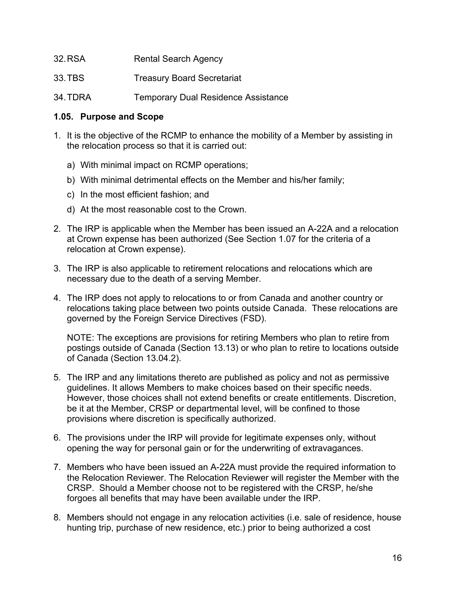- <span id="page-15-0"></span>32. RSA Rental Search Agency
- 33. TBS Treasury Board Secretariat
- 34. TDRA Temporary Dual Residence Assistance

#### **1.05. Purpose and Scope**

- 1. It is the objective of the RCMP to enhance the mobility of a Member by assisting in the relocation process so that it is carried out:
	- a) With minimal impact on RCMP operations;
	- b) With minimal detrimental effects on the Member and his/her family;
	- c) In the most efficient fashion; and
	- d) At the most reasonable cost to the Crown.
- 2. The IRP is applicable when the Member has been issued an A-22A and a relocation at Crown expense has been authorized (See Section 1.07 for the criteria of a relocation at Crown expense).
- 3. The IRP is also applicable to retirement relocations and relocations which are necessary due to the death of a serving Member.
- 4. The IRP does not apply to relocations to or from Canada and another country or relocations taking place between two points outside Canada. These relocations are governed by the Foreign Service Directives (FSD).

NOTE: The exceptions are provisions for retiring Members who plan to retire from postings outside of Canada (Section 13.13) or who plan to retire to locations outside of Canada (Section 13.04.2).

- 5. The IRP and any limitations thereto are published as policy and not as permissive guidelines. It allows Members to make choices based on their specific needs. However, those choices shall not extend benefits or create entitlements. Discretion, be it at the Member, CRSP or departmental level, will be confined to those provisions where discretion is specifically authorized.
- 6. The provisions under the IRP will provide for legitimate expenses only, without opening the way for personal gain or for the underwriting of extravagances.
- 7. Members who have been issued an A-22A must provide the required information to the Relocation Reviewer. The Relocation Reviewer will register the Member with the CRSP. Should a Member choose not to be registered with the CRSP, he/she forgoes all benefits that may have been available under the IRP.
- 8. Members should not engage in any relocation activities (i.e. sale of residence, house hunting trip, purchase of new residence, etc.) prior to being authorized a cost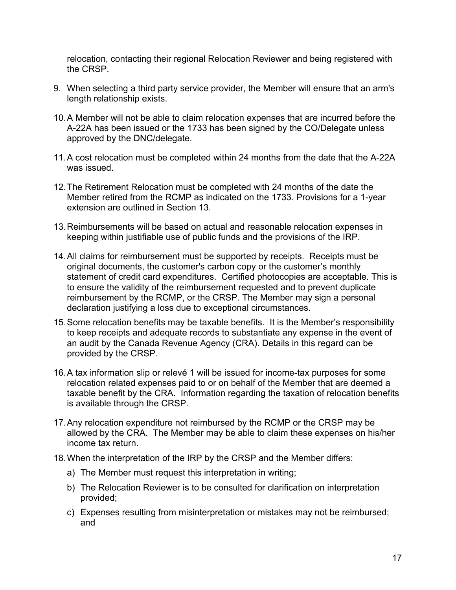relocation, contacting their regional Relocation Reviewer and being registered with the CRSP.

- 9. When selecting a third party service provider, the Member will ensure that an arm's length relationship exists.
- 10. A Member will not be able to claim relocation expenses that are incurred before the A-22A has been issued or the 1733 has been signed by the CO/Delegate unless approved by the DNC/delegate.
- 11. A cost relocation must be completed within 24 months from the date that the A-22A was issued.
- 12. The Retirement Relocation must be completed with 24 months of the date the Member retired from the RCMP as indicated on the 1733. Provisions for a 1-year extension are outlined in Section 13.
- 13. Reimbursements will be based on actual and reasonable relocation expenses in keeping within justifiable use of public funds and the provisions of the IRP.
- 14. All claims for reimbursement must be supported by receipts. Receipts must be original documents, the customer's carbon copy or the customer's monthly statement of credit card expenditures. Certified photocopies are acceptable. This is to ensure the validity of the reimbursement requested and to prevent duplicate reimbursement by the RCMP, or the CRSP. The Member may sign a personal declaration justifying a loss due to exceptional circumstances.
- 15. Some relocation benefits may be taxable benefits. It is the Member's responsibility to keep receipts and adequate records to substantiate any expense in the event of an audit by the Canada Revenue Agency (CRA). Details in this regard can be provided by the CRSP.
- 16. A tax information slip or relevé 1 will be issued for income-tax purposes for some relocation related expenses paid to or on behalf of the Member that are deemed a taxable benefit by the CRA. Information regarding the taxation of relocation benefits is available through the CRSP.
- 17. Any relocation expenditure not reimbursed by the RCMP or the CRSP may be allowed by the CRA. The Member may be able to claim these expenses on his/her income tax return.
- 18. When the interpretation of the IRP by the CRSP and the Member differs:
	- a) The Member must request this interpretation in writing;
	- b) The Relocation Reviewer is to be consulted for clarification on interpretation provided;
	- c) Expenses resulting from misinterpretation or mistakes may not be reimbursed; and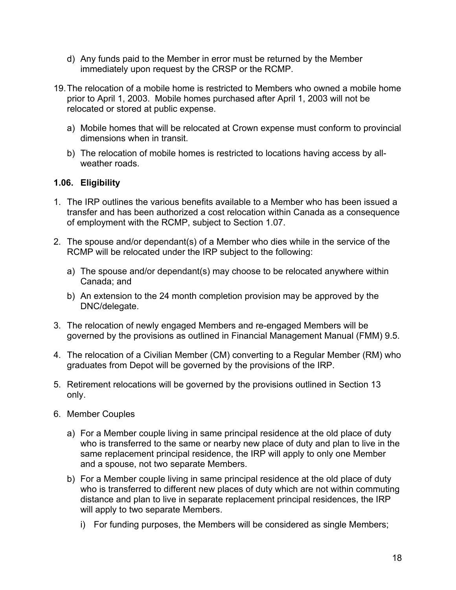- <span id="page-17-0"></span>d) Any funds paid to the Member in error must be returned by the Member immediately upon request by the CRSP or the RCMP.
- 19. The relocation of a mobile home is restricted to Members who owned a mobile home prior to April 1, 2003. Mobile homes purchased after April 1, 2003 will not be relocated or stored at public expense.
	- a) Mobile homes that will be relocated at Crown expense must conform to provincial dimensions when in transit.
	- b) The relocation of mobile homes is restricted to locations having access by allweather roads.

#### **1.06. Eligibility**

- 1. The IRP outlines the various benefits available to a Member who has been issued a transfer and has been authorized a cost relocation within Canada as a consequence of employment with the RCMP, subject to Section 1.07.
- 2. The spouse and/or dependant(s) of a Member who dies while in the service of the RCMP will be relocated under the IRP subject to the following:
	- a) The spouse and/or dependant(s) may choose to be relocated anywhere within Canada; and
	- b) An extension to the 24 month completion provision may be approved by the DNC/delegate.
- 3. The relocation of newly engaged Members and re-engaged Members will be governed by the provisions as outlined in Financial Management Manual (FMM) 9.5.
- 4. The relocation of a Civilian Member (CM) converting to a Regular Member (RM) who graduates from Depot will be governed by the provisions of the IRP.
- 5. Retirement relocations will be governed by the provisions outlined in Section 13 only.
- 6. Member Couples
	- a) For a Member couple living in same principal residence at the old place of duty who is transferred to the same or nearby new place of duty and plan to live in the same replacement principal residence, the IRP will apply to only one Member and a spouse, not two separate Members.
	- b) For a Member couple living in same principal residence at the old place of duty who is transferred to different new places of duty which are not within commuting distance and plan to live in separate replacement principal residences, the IRP will apply to two separate Members.
		- i) For funding purposes, the Members will be considered as single Members;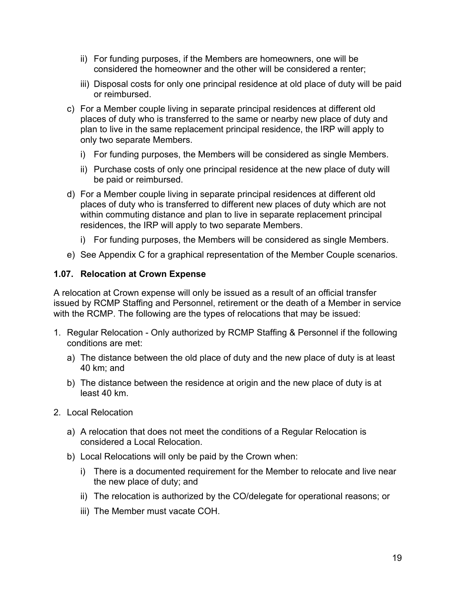- <span id="page-18-0"></span>ii) For funding purposes, if the Members are homeowners, one will be considered the homeowner and the other will be considered a renter;
- iii) Disposal costs for only one principal residence at old place of duty will be paid or reimbursed.
- c) For a Member couple living in separate principal residences at different old places of duty who is transferred to the same or nearby new place of duty and plan to live in the same replacement principal residence, the IRP will apply to only two separate Members.
	- i) For funding purposes, the Members will be considered as single Members.
	- ii) Purchase costs of only one principal residence at the new place of duty will be paid or reimbursed.
- d) For a Member couple living in separate principal residences at different old places of duty who is transferred to different new places of duty which are not within commuting distance and plan to live in separate replacement principal residences, the IRP will apply to two separate Members.
	- i) For funding purposes, the Members will be considered as single Members.
- e) See Appendix C for a graphical representation of the Member Couple scenarios.

#### **1.07. Relocation at Crown Expense**

A relocation at Crown expense will only be issued as a result of an official transfer issued by RCMP Staffing and Personnel, retirement or the death of a Member in service with the RCMP. The following are the types of relocations that may be issued:

- 1. Regular Relocation Only authorized by RCMP Staffing & Personnel if the following conditions are met:
	- a) The distance between the old place of duty and the new place of duty is at least 40 km; and
	- b) The distance between the residence at origin and the new place of duty is at least 40 km.
- 2. Local Relocation
	- a) A relocation that does not meet the conditions of a Regular Relocation is considered a Local Relocation.
	- b) Local Relocations will only be paid by the Crown when:
		- i) There is a documented requirement for the Member to relocate and live near the new place of duty; and
		- ii) The relocation is authorized by the CO/delegate for operational reasons; or
		- iii) The Member must vacate COH.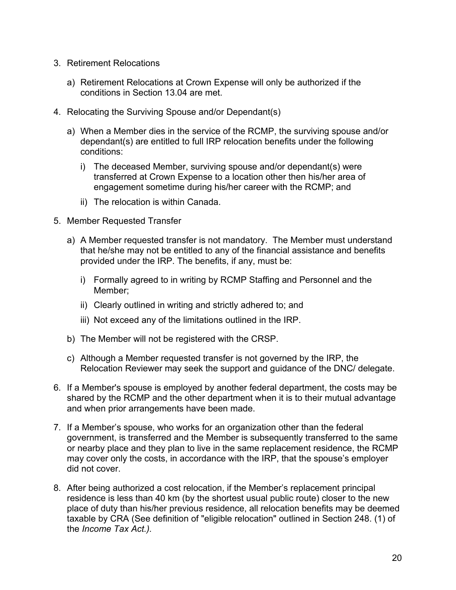- 3. Retirement Relocations
	- a) Retirement Relocations at Crown Expense will only be authorized if the conditions in Section 13.04 are met.
- 4. Relocating the Surviving Spouse and/or Dependant(s)
	- a) When a Member dies in the service of the RCMP, the surviving spouse and/or dependant(s) are entitled to full IRP relocation benefits under the following conditions:
		- i) The deceased Member, surviving spouse and/or dependant(s) were transferred at Crown Expense to a location other then his/her area of engagement sometime during his/her career with the RCMP; and
		- ii) The relocation is within Canada.
- 5. Member Requested Transfer
	- a) A Member requested transfer is not mandatory. The Member must understand that he/she may not be entitled to any of the financial assistance and benefits provided under the IRP. The benefits, if any, must be:
		- i) Formally agreed to in writing by RCMP Staffing and Personnel and the Member;
		- ii) Clearly outlined in writing and strictly adhered to; and
		- iii) Not exceed any of the limitations outlined in the IRP.
	- b) The Member will not be registered with the CRSP.
	- c) Although a Member requested transfer is not governed by the IRP, the Relocation Reviewer may seek the support and guidance of the DNC/ delegate.
- 6. If a Member's spouse is employed by another federal department, the costs may be shared by the RCMP and the other department when it is to their mutual advantage and when prior arrangements have been made.
- 7. If a Member's spouse, who works for an organization other than the federal government, is transferred and the Member is subsequently transferred to the same or nearby place and they plan to live in the same replacement residence, the RCMP may cover only the costs, in accordance with the IRP, that the spouse's employer did not cover.
- 8. After being authorized a cost relocation, if the Member's replacement principal residence is less than 40 km (by the shortest usual public route) closer to the new place of duty than his/her previous residence, all relocation benefits may be deemed taxable by CRA (See definition of "eligible relocation" outlined in Section 248. (1) of the *Income Tax Act.).*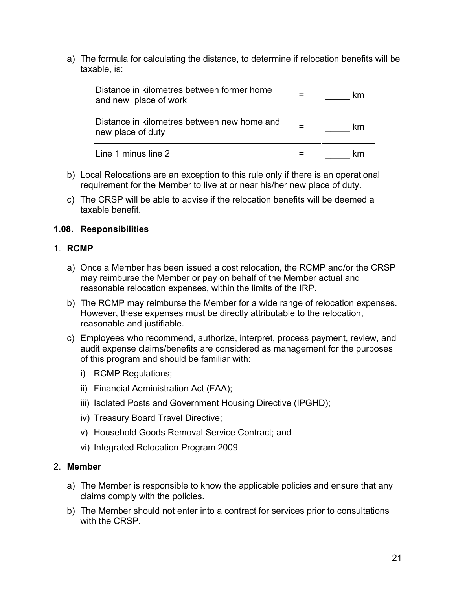<span id="page-20-0"></span>a) The formula for calculating the distance, to determine if relocation benefits will be taxable, is:

| Distance in kilometres between former home<br>and new place of work | km |
|---------------------------------------------------------------------|----|
| Distance in kilometres between new home and<br>new place of duty    | km |
| Line 1 minus line 2                                                 | km |

- b) Local Relocations are an exception to this rule only if there is an operational requirement for the Member to live at or near his/her new place of duty.
- c) The CRSP will be able to advise if the relocation benefits will be deemed a taxable benefit.

#### **1.08. Responsibilities**

#### 1. **RCMP**

- a) Once a Member has been issued a cost relocation, the RCMP and/or the CRSP may reimburse the Member or pay on behalf of the Member actual and reasonable relocation expenses, within the limits of the IRP.
- b) The RCMP may reimburse the Member for a wide range of relocation expenses. However, these expenses must be directly attributable to the relocation, reasonable and justifiable.
- c) Employees who recommend, authorize, interpret, process payment, review, and audit expense claims/benefits are considered as management for the purposes of this program and should be familiar with:
	- i) RCMP Regulations;
	- ii) Financial Administration Act (FAA);
	- iii) Isolated Posts and Government Housing Directive (IPGHD);
	- iv) [Treasury Board Travel Directive](http://publiservice.tbs-sct.gc.ca/pubs_pol/hrpubs/TBM_113/td-dv-1_e.asp);
	- v) Household Goods Removal Service Contract; and
	- vi) Integrated Relocation Program 2009

#### 2. **Member**

- a) The Member is responsible to know the applicable policies and ensure that any claims comply with the policies.
- b) The Member should not enter into a contract for services prior to consultations with the CRSP.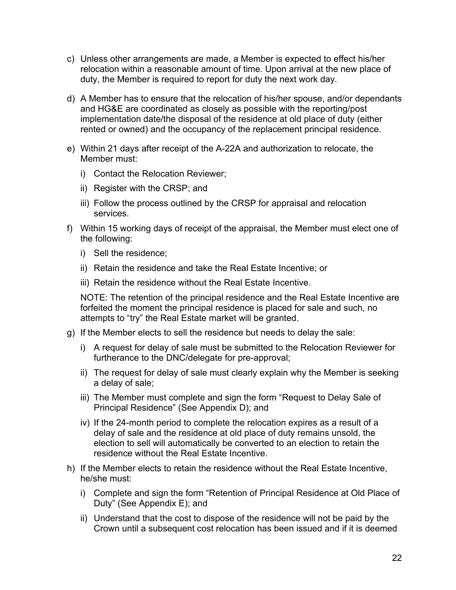- c) Unless other arrangements are made, a Member is expected to effect his/her relocation within a reasonable amount of time. Upon arrival at the new place of duty, the Member is required to report for duty the next work day.
- d) A Member has to ensure that the relocation of his/her spouse, and/or dependants and HG&E are coordinated as closely as possible with the reporting/post implementation date/the disposal of the residence at old place of duty (either rented or owned) and the occupancy of the replacement principal residence.
- e) Within 21 days after receipt of the A-22A and authorization to relocate, the Member must:
	- i) Contact the Relocation Reviewer;
	- ii) Register with the CRSP; and
	- iii) Follow the process outlined by the CRSP for appraisal and relocation services.
- f) Within 15 working days of receipt of the appraisal, the Member must elect one of the following:
	- i) Sell the residence;
	- ii) Retain the residence and take the Real Estate Incentive; or
	- iii) Retain the residence without the Real Estate Incentive.

NOTE: The retention of the principal residence and the Real Estate Incentive are forfeited the moment the principal residence is placed for sale and such, no attempts to "try" the Real Estate market will be granted.

- g) If the Member elects to sell the residence but needs to delay the sale:
	- i) A request for delay of sale must be submitted to the Relocation Reviewer for furtherance to the DNC/delegate for pre-approval;
	- ii) The request for delay of sale must clearly explain why the Member is seeking a delay of sale;
	- iii) The Member must complete and sign the form "Request to Delay Sale of Principal Residence" (See Appendix D); and
	- iv) If the 24-month period to complete the relocation expires as a result of a delay of sale and the residence at old place of duty remains unsold, the election to sell will automatically be converted to an election to retain the residence without the Real Estate Incentive.
- h) If the Member elects to retain the residence without the Real Estate Incentive, he/she must:
	- i) Complete and sign the form "Retention of Principal Residence at Old Place of Duty" (See Appendix E); and
	- ii) Understand that the cost to dispose of the residence will not be paid by the Crown until a subsequent cost relocation has been issued and if it is deemed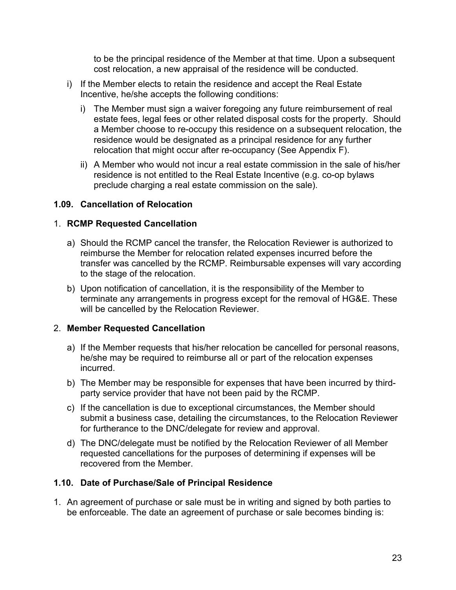to be the principal residence of the Member at that time. Upon a subsequent cost relocation, a new appraisal of the residence will be conducted.

- <span id="page-22-0"></span>i) If the Member elects to retain the residence and accept the Real Estate Incentive, he/she accepts the following conditions:
	- i) The Member must sign a waiver foregoing any future reimbursement of real estate fees, legal fees or other related disposal costs for the property. Should a Member choose to re-occupy this residence on a subsequent relocation, the residence would be designated as a principal residence for any further relocation that might occur after re-occupancy (See Appendix F).
	- ii) A Member who would not incur a real estate commission in the sale of his/her residence is not entitled to the Real Estate Incentive (e.g. co-op bylaws preclude charging a real estate commission on the sale).

#### **1.09. Cancellation of Relocation**

#### 1. **RCMP Requested Cancellation**

- a) Should the RCMP cancel the transfer, the Relocation Reviewer is authorized to reimburse the Member for relocation related expenses incurred before the transfer was cancelled by the RCMP. Reimbursable expenses will vary according to the stage of the relocation.
- b) Upon notification of cancellation, it is the responsibility of the Member to terminate any arrangements in progress except for the removal of HG&E. These will be cancelled by the Relocation Reviewer.

#### 2. **Member Requested Cancellation**

- a) If the Member requests that his/her relocation be cancelled for personal reasons, he/she may be required to reimburse all or part of the relocation expenses incurred.
- b) The Member may be responsible for expenses that have been incurred by thirdparty service provider that have not been paid by the RCMP.
- c) If the cancellation is due to exceptional circumstances, the Member should submit a business case, detailing the circumstances, to the Relocation Reviewer for furtherance to the DNC/delegate for review and approval.
- d) The DNC/delegate must be notified by the Relocation Reviewer of all Member requested cancellations for the purposes of determining if expenses will be recovered from the Member.

#### **1.10. Date of Purchase/Sale of Principal Residence**

1. An agreement of purchase or sale must be in writing and signed by both parties to be enforceable. The date an agreement of purchase or sale becomes binding is: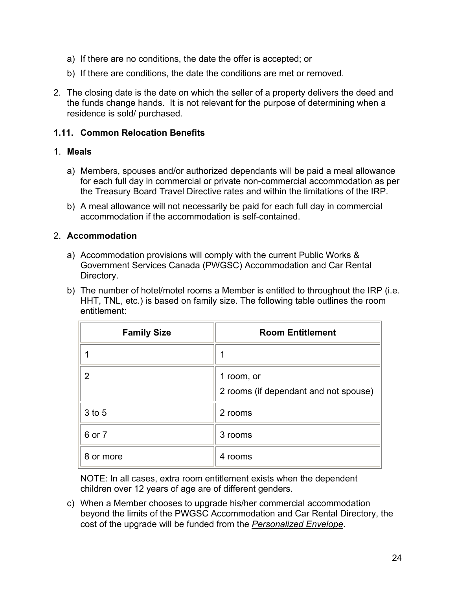- <span id="page-23-0"></span>a) If there are no conditions, the date the offer is accepted; or
- b) If there are conditions, the date the conditions are met or removed.
- 2. The closing date is the date on which the seller of a property delivers the deed and the funds change hands. It is not relevant for the purpose of determining when a residence is sold/ purchased.

#### **1.11. Common Relocation Benefits**

#### 1. **Meals**

- a) Members, spouses and/or authorized dependants will be paid a meal allowance for each full day in commercial or private non-commercial accommodation as per the Treasury Board Travel Directive rates and within the limitations of the IRP.
- b) A meal allowance will not necessarily be paid for each full day in commercial accommodation if the accommodation is self-contained.

#### 2. **Accommodation**

- a) Accommodation provisions will comply with the current Public Works & Government Services Canada (PWGSC) Accommodation and Car Rental Directory.
- b) The number of hotel/motel rooms a Member is entitled to throughout the IRP (i.e. HHT, TNL, etc.) is based on family size. The following table outlines the room entitlement:

| <b>Family Size</b> | <b>Room Entitlement</b>                             |
|--------------------|-----------------------------------------------------|
|                    |                                                     |
| 2                  | 1 room, or<br>2 rooms (if dependant and not spouse) |
| $3$ to $5$         | 2 rooms                                             |
| 6 or 7             | 3 rooms                                             |
| 8 or more          | 4 rooms                                             |

 NOTE: In all cases, extra room entitlement exists when the dependent children over 12 years of age are of different genders.

c) When a Member chooses to upgrade his/her commercial accommodation beyond the limits of the PWGSC Accommodation and Car Rental Directory, the cost of the upgrade will be funded from the *Personalized Envelope*.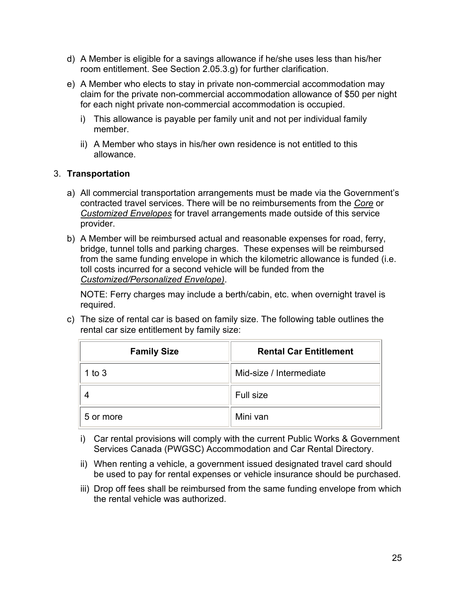- d) A Member is eligible for a savings allowance if he/she uses less than his/her room entitlement. See Section 2.05.3.g) for further clarification.
- e) A Member who elects to stay in private non-commercial accommodation may claim for the private non-commercial accommodation allowance of \$50 per night for each night private non-commercial accommodation is occupied.
	- i) This allowance is payable per family unit and not per individual family member.
	- ii) A Member who stays in his/her own residence is not entitled to this allowance.

#### 3. **Transportation**

- a) All commercial transportation arrangements must be made via the Government's contracted travel services. There will be no reimbursements from the *Core* or *Customized Envelopes* for travel arrangements made outside of this service provider.
- b) A Member will be reimbursed actual and reasonable expenses for road, ferry, bridge, tunnel tolls and parking charges. These expenses will be reimbursed from the same funding envelope in which the kilometric allowance is funded (i.e. toll costs incurred for a second vehicle will be funded from the *Customized/Personalized Envelope)*.

NOTE: Ferry charges may include a berth/cabin, etc. when overnight travel is required.

c) The size of rental car is based on family size. The following table outlines the rental car size entitlement by family size:

| <b>Family Size</b> | <b>Rental Car Entitlement</b> |  |
|--------------------|-------------------------------|--|
| 1 to $3$           | Mid-size / Intermediate       |  |
|                    | Full size                     |  |
| 5 or more          | Mini van                      |  |

- i) Car rental provisions will comply with the current Public Works & Government Services Canada (PWGSC) Accommodation and Car Rental Directory.
- ii) When renting a vehicle, a government issued designated travel card should be used to pay for rental expenses or vehicle insurance should be purchased.
- iii) Drop off fees shall be reimbursed from the same funding envelope from which the rental vehicle was authorized.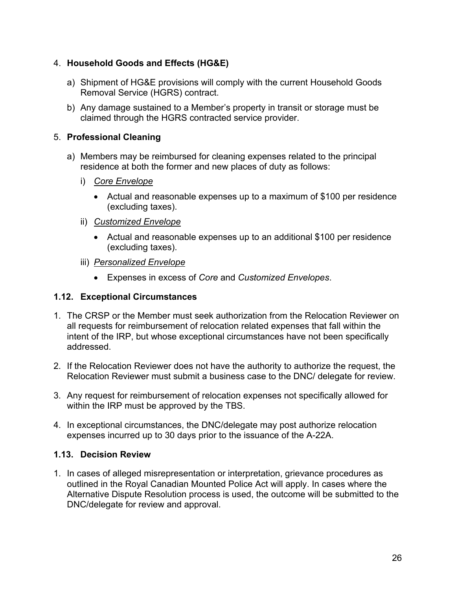#### <span id="page-25-0"></span>4. **Household Goods and Effects (HG&E)**

- a) Shipment of HG&E provisions will comply with the current Household Goods Removal Service (HGRS) contract.
- b) Any damage sustained to a Member's property in transit or storage must be claimed through the HGRS contracted service provider.

#### 5. **Professional Cleaning**

- a) Members may be reimbursed for cleaning expenses related to the principal residence at both the former and new places of duty as follows:
	- i) *Core Envelope*
		- Actual and reasonable expenses up to a maximum of \$100 per residence (excluding taxes).
	- ii) *Customized Envelope*
		- Actual and reasonable expenses up to an additional \$100 per residence (excluding taxes).
	- iii) *Personalized Envelope*
		- Expenses in excess of *Core* and *Customized Envelopes*.

#### **1.12. Exceptional Circumstances**

- 1. The CRSP or the Member must seek authorization from the Relocation Reviewer on all requests for reimbursement of relocation related expenses that fall within the intent of the IRP, but whose exceptional circumstances have not been specifically addressed.
- 2. If the Relocation Reviewer does not have the authority to authorize the request, the Relocation Reviewer must submit a business case to the DNC/ delegate for review.
- 3. Any request for reimbursement of relocation expenses not specifically allowed for within the IRP must be approved by the TBS.
- 4. In exceptional circumstances, the DNC/delegate may post authorize relocation expenses incurred up to 30 days prior to the issuance of the A-22A.

#### **1.13. Decision Review**

1. In cases of alleged misrepresentation or interpretation, grievance procedures as outlined in the Royal Canadian Mounted Police Act will apply. In cases where the Alternative Dispute Resolution process is used, the outcome will be submitted to the DNC/delegate for review and approval.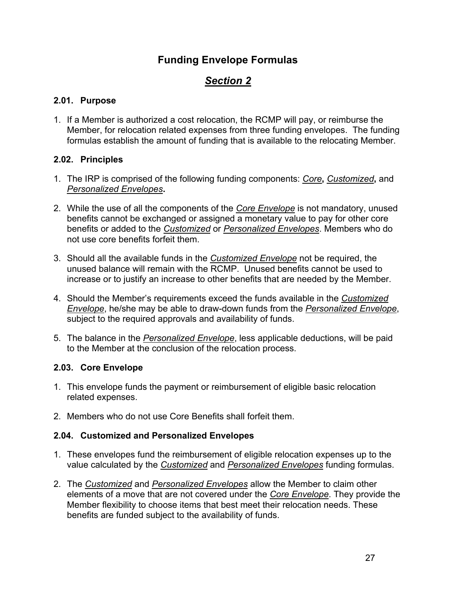## **Funding Envelope Formulas**

# *Section 2*

#### <span id="page-26-0"></span>**2.01. Purpose**

1. If a Member is authorized a cost relocation, the RCMP will pay, or reimburse the Member, for relocation related expenses from three funding envelopes. The funding formulas establish the amount of funding that is available to the relocating Member.

#### **2.02. Principles**

- 1. The IRP is comprised of the following funding components: *Core***,** *Customized***,** and *Personalized Envelopes***.**
- 2. While the use of all the components of the *Core Envelope* is not mandatory, unused benefits cannot be exchanged or assigned a monetary value to pay for other core benefits or added to the *Customized* or *Personalized Envelopes*. Members who do not use core benefits forfeit them.
- 3. Should all the available funds in the *Customized Envelope* not be required, the unused balance will remain with the RCMP. Unused benefits cannot be used to increase or to justify an increase to other benefits that are needed by the Member.
- 4. Should the Member's requirements exceed the funds available in the *Customized Envelope*, he/she may be able to draw-down funds from the *Personalized Envelope*, subject to the required approvals and availability of funds.
- 5. The balance in the *Personalized Envelope*, less applicable deductions, will be paid to the Member at the conclusion of the relocation process.

#### **2.03. Core Envelope**

- 1. This envelope funds the payment or reimbursement of eligible basic relocation related expenses.
- 2. Members who do not use Core Benefits shall forfeit them.

#### **2.04. Customized and Personalized Envelopes**

- 1. These envelopes fund the reimbursement of eligible relocation expenses up to the value calculated by the *Customized* and *Personalized Envelopes* funding formulas.
- 2. The *Customized* and *Personalized Envelopes* allow the Member to claim other elements of a move that are not covered under the *Core Envelope*. They provide the Member flexibility to choose items that best meet their relocation needs. These benefits are funded subject to the availability of funds.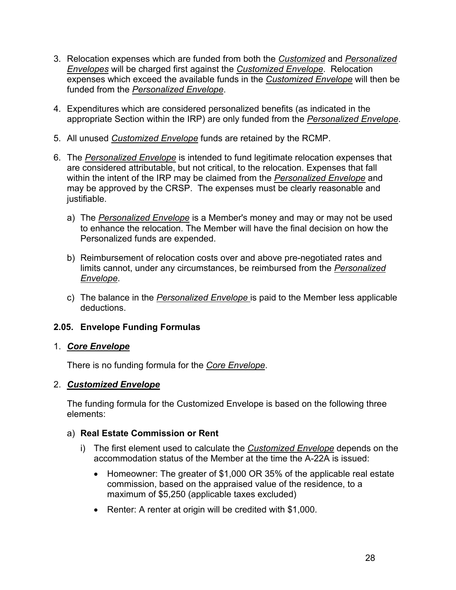- <span id="page-27-0"></span>3. Relocation expenses which are funded from both the *Customized* and *Personalized Envelopes* will be charged first against the *Customized Envelope*. Relocation expenses which exceed the available funds in the *Customized Envelope* will then be funded from the *Personalized Envelope*.
- 4. Expenditures which are considered personalized benefits (as indicated in the appropriate Section within the IRP) are only funded from the *Personalized Envelope*.
- 5. All unused *Customized Envelope* funds are retained by the RCMP.
- 6. The *Personalized Envelope* is intended to fund legitimate relocation expenses that are considered attributable, but not critical, to the relocation. Expenses that fall within the intent of the IRP may be claimed from the *Personalized Envelope* and may be approved by the CRSP. The expenses must be clearly reasonable and justifiable.
	- a) The *Personalized Envelope* is a Member's money and may or may not be used to enhance the relocation. The Member will have the final decision on how the Personalized funds are expended.
	- b) Reimbursement of relocation costs over and above pre-negotiated rates and limits cannot, under any circumstances, be reimbursed from the *Personalized Envelope*.
	- c) The balance in the *Personalized Envelope* is paid to the Member less applicable deductions.

#### **2.05. Envelope Funding Formulas**

#### 1. *Core Envelope*

There is no funding formula for the *Core Envelope*.

#### 2. *Customized Envelope*

The funding formula for the Customized Envelope is based on the following three elements:

#### a) **Real Estate Commission or Rent**

- i) The first element used to calculate the *Customized Envelope* depends on the accommodation status of the Member at the time the A-22A is issued:
	- Homeowner: The greater of \$1,000 OR 35% of the applicable real estate commission, based on the appraised value of the residence, to a maximum of \$5,250 (applicable taxes excluded)
	- Renter: A renter at origin will be credited with \$1,000.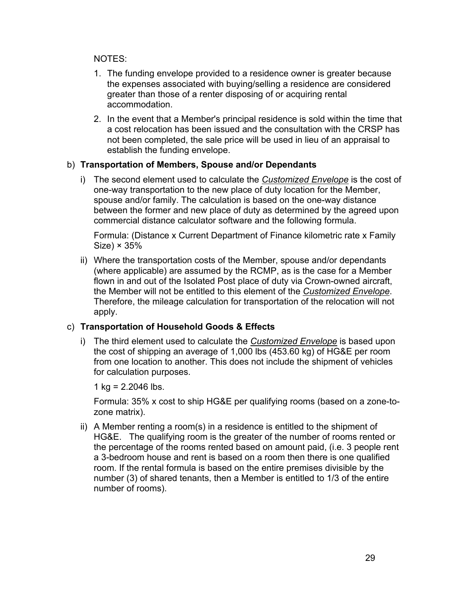#### NOTES:

- 1. The funding envelope provided to a residence owner is greater because the expenses associated with buying/selling a residence are considered greater than those of a renter disposing of or acquiring rental accommodation.
- 2. In the event that a Member's principal residence is sold within the time that a cost relocation has been issued and the consultation with the CRSP has not been completed, the sale price will be used in lieu of an appraisal to establish the funding envelope.

#### b) **Transportation of Members, Spouse and/or Dependants**

i) The second element used to calculate the *Customized Envelope* is the cost of one-way transportation to the new place of duty location for the Member, spouse and/or family. The calculation is based on the one-way distance between the former and new place of duty as determined by the agreed upon commercial distance calculator software and the following formula.

 Formula: (Distance x Current Department of Finance kilometric rate x Family  $Size) \times 35\%$ 

ii) Where the transportation costs of the Member, spouse and/or dependants (where applicable) are assumed by the RCMP, as is the case for a Member flown in and out of the Isolated Post place of duty via Crown-owned aircraft, the Member will not be entitled to this element of the *Customized Envelope*. Therefore, the mileage calculation for transportation of the relocation will not apply.

#### c) **Transportation of Household Goods & Effects**

i) The third element used to calculate the *Customized Envelope* is based upon the cost of shipping an average of 1,000 lbs (453.60 kg) of HG&E per room from one location to another. This does not include the shipment of vehicles for calculation purposes.

1 kg =  $2.2046$  lbs.

Formula: 35% x cost to ship HG&E per qualifying rooms (based on a zone-tozone matrix).

ii) A Member renting a room(s) in a residence is entitled to the shipment of HG&E. The qualifying room is the greater of the number of rooms rented or the percentage of the rooms rented based on amount paid, (i.e. 3 people rent a 3-bedroom house and rent is based on a room then there is one qualified room. If the rental formula is based on the entire premises divisible by the number (3) of shared tenants, then a Member is entitled to 1/3 of the entire number of rooms).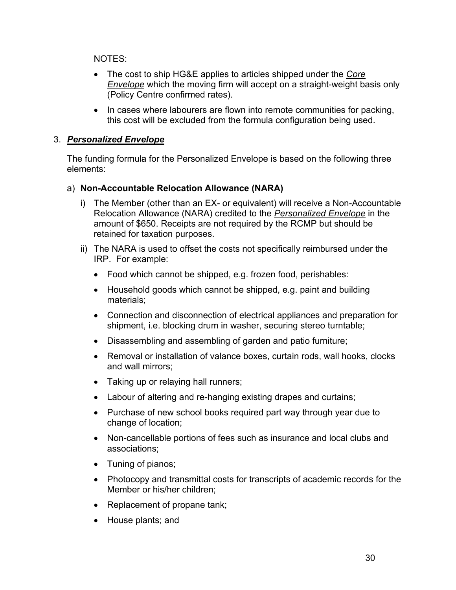NOTES:

- The cost to ship HG&E applies to articles shipped under the *Core Envelope* which the moving firm will accept on a straight-weight basis only (Policy Centre confirmed rates).
- In cases where labourers are flown into remote communities for packing, this cost will be excluded from the formula configuration being used.

#### 3. *Personalized Envelope*

The funding formula for the Personalized Envelope is based on the following three elements:

#### a) **Non-Accountable Relocation Allowance (NARA)**

- i) The Member (other than an EX- or equivalent) will receive a Non-Accountable Relocation Allowance (NARA) credited to the *Personalized Envelope* in the amount of \$650. Receipts are not required by the RCMP but should be retained for taxation purposes.
- ii) The NARA is used to offset the costs not specifically reimbursed under the IRP. For example:
	- Food which cannot be shipped, e.g. frozen food, perishables:
	- Household goods which cannot be shipped, e.g. paint and building materials;
	- Connection and disconnection of electrical appliances and preparation for shipment, i.e. blocking drum in washer, securing stereo turntable;
	- Disassembling and assembling of garden and patio furniture;
	- Removal or installation of valance boxes, curtain rods, wall hooks, clocks and wall mirrors;
	- Taking up or relaying hall runners;
	- Labour of altering and re-hanging existing drapes and curtains;
	- Purchase of new school books required part way through year due to change of location;
	- Non-cancellable portions of fees such as insurance and local clubs and associations;
	- Tuning of pianos;
	- Photocopy and transmittal costs for transcripts of academic records for the Member or his/her children;
	- Replacement of propane tank;
	- House plants; and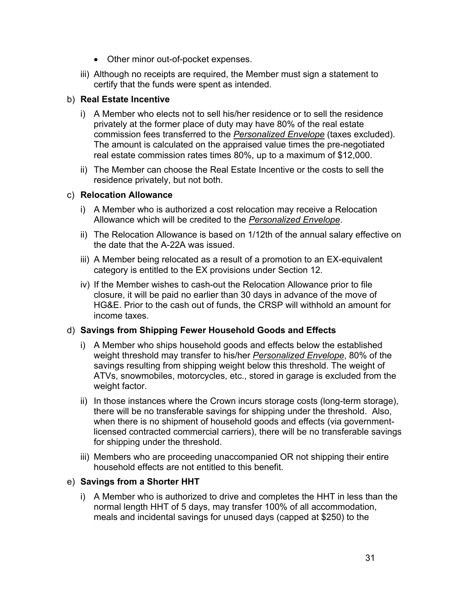- Other minor out-of-pocket expenses.
- iii) Although no receipts are required, the Member must sign a statement to certify that the funds were spent as intended.

#### b) **Real Estate Incentive**

- i) A Member who elects not to sell his/her residence or to sell the residence privately at the former place of duty may have 80% of the real estate commission fees transferred to the *Personalized Envelope* (taxes excluded). The amount is calculated on the appraised value times the pre-negotiated real estate commission rates times 80%, up to a maximum of \$12,000.
- ii) The Member can choose the Real Estate Incentive or the costs to sell the residence privately, but not both.

#### c) **Relocation Allowance**

- i) A Member who is authorized a cost relocation may receive a Relocation Allowance which will be credited to the *Personalized Envelope*.
- ii) The Relocation Allowance is based on 1/12th of the annual salary effective on the date that the A-22A was issued.
- iii) A Member being relocated as a result of a promotion to an EX-equivalent category is entitled to the EX provisions under Section 12.
- iv) If the Member wishes to cash-out the Relocation Allowance prior to file closure, it will be paid no earlier than 30 days in advance of the move of HG&E. Prior to the cash out of funds, the CRSP will withhold an amount for income taxes.

#### d) **Savings from Shipping Fewer Household Goods and Effects**

- i) A Member who ships household goods and effects below the established weight threshold may transfer to his/her *Personalized Envelope*, 80% of the savings resulting from shipping weight below this threshold. The weight of ATVs, snowmobiles, motorcycles, etc., stored in garage is excluded from the weight factor.
- ii) In those instances where the Crown incurs storage costs (long-term storage), there will be no transferable savings for shipping under the threshold. Also, when there is no shipment of household goods and effects (via governmentlicensed contracted commercial carriers), there will be no transferable savings for shipping under the threshold.
- iii) Members who are proceeding unaccompanied OR not shipping their entire household effects are not entitled to this benefit.

#### e) **Savings from a Shorter HHT**

i) A Member who is authorized to drive and completes the HHT in less than the normal length HHT of 5 days, may transfer 100% of all accommodation, meals and incidental savings for unused days (capped at \$250) to the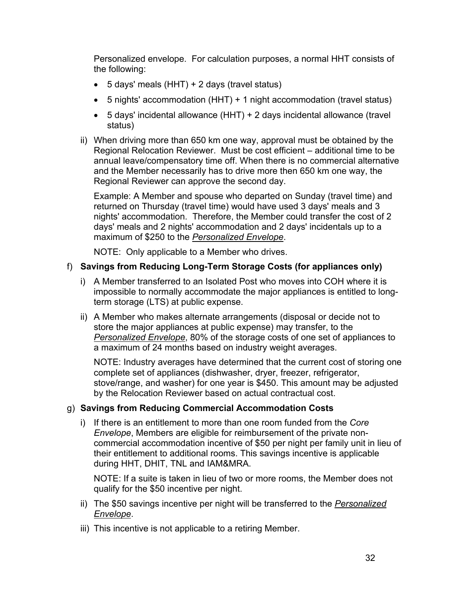Personalized envelope. For calculation purposes, a normal HHT consists of the following:

- 5 days' meals (HHT) + 2 days (travel status)
- 5 nights' accommodation (HHT) + 1 night accommodation (travel status)
- 5 days' incidental allowance (HHT) + 2 days incidental allowance (travel status)
- ii) When driving more than 650 km one way, approval must be obtained by the Regional Relocation Reviewer. Must be cost efficient – additional time to be annual leave/compensatory time off. When there is no commercial alternative and the Member necessarily has to drive more then 650 km one way, the Regional Reviewer can approve the second day.

Example: A Member and spouse who departed on Sunday (travel time) and returned on Thursday (travel time) would have used 3 days' meals and 3 nights' accommodation. Therefore, the Member could transfer the cost of 2 days' meals and 2 nights' accommodation and 2 days' incidentals up to a maximum of \$250 to the *Personalized Envelope*.

NOTE: Only applicable to a Member who drives.

#### f) **Savings from Reducing Long-Term Storage Costs (for appliances only)**

- i) A Member transferred to an Isolated Post who moves into COH where it is impossible to normally accommodate the major appliances is entitled to longterm storage (LTS) at public expense.
- ii) A Member who makes alternate arrangements (disposal or decide not to store the major appliances at public expense) may transfer, to the *Personalized Envelope*, 80% of the storage costs of one set of appliances to a maximum of 24 months based on industry weight averages.

NOTE: Industry averages have determined that the current cost of storing one complete set of appliances (dishwasher, dryer, freezer, refrigerator, stove/range, and washer) for one year is \$450. This amount may be adjusted by the Relocation Reviewer based on actual contractual cost.

#### g) **Savings from Reducing Commercial Accommodation Costs**

i) If there is an entitlement to more than one room funded from the *Core Envelope*, Members are eligible for reimbursement of the private noncommercial accommodation incentive of \$50 per night per family unit in lieu of their entitlement to additional rooms. This savings incentive is applicable during HHT, DHIT, TNL and IAM&MRA.

NOTE: If a suite is taken in lieu of two or more rooms, the Member does not qualify for the \$50 incentive per night.

- ii) The \$50 savings incentive per night will be transferred to the *Personalized Envelope*.
- iii) This incentive is not applicable to a retiring Member.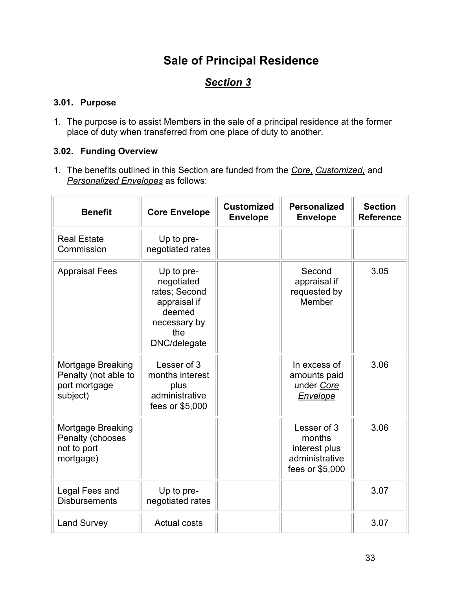# **Sale of Principal Residence**

# *Section 3*

#### <span id="page-32-0"></span>**3.01. Purpose**

1. The purpose is to assist Members in the sale of a principal residence at the former place of duty when transferred from one place of duty to another.

#### **3.02. Funding Overview**

1. The benefits outlined in this Section are funded from the *Core, Customized,* and *Personalized Envelopes* as follows:

| <b>Benefit</b>                                                         | <b>Core Envelope</b>                                                                                       | <b>Customized</b><br><b>Envelope</b> | <b>Personalized</b><br><b>Envelope</b>                                      | <b>Section</b><br><b>Reference</b> |
|------------------------------------------------------------------------|------------------------------------------------------------------------------------------------------------|--------------------------------------|-----------------------------------------------------------------------------|------------------------------------|
| <b>Real Estate</b><br>Commission                                       | Up to pre-<br>negotiated rates                                                                             |                                      |                                                                             |                                    |
| <b>Appraisal Fees</b>                                                  | Up to pre-<br>negotiated<br>rates; Second<br>appraisal if<br>deemed<br>necessary by<br>the<br>DNC/delegate |                                      | Second<br>appraisal if<br>requested by<br>Member                            | 3.05                               |
| Mortgage Breaking<br>Penalty (not able to<br>port mortgage<br>subject) | Lesser of 3<br>months interest<br>plus<br>administrative<br>fees or \$5,000                                |                                      | In excess of<br>amounts paid<br>under Core<br>Envelope                      | 3.06                               |
| Mortgage Breaking<br>Penalty (chooses<br>not to port<br>mortgage)      |                                                                                                            |                                      | Lesser of 3<br>months<br>interest plus<br>administrative<br>fees or \$5,000 | 3.06                               |
| Legal Fees and<br><b>Disbursements</b>                                 | Up to pre-<br>negotiated rates                                                                             |                                      |                                                                             | 3.07                               |
| <b>Land Survey</b>                                                     | <b>Actual costs</b>                                                                                        |                                      |                                                                             | 3.07                               |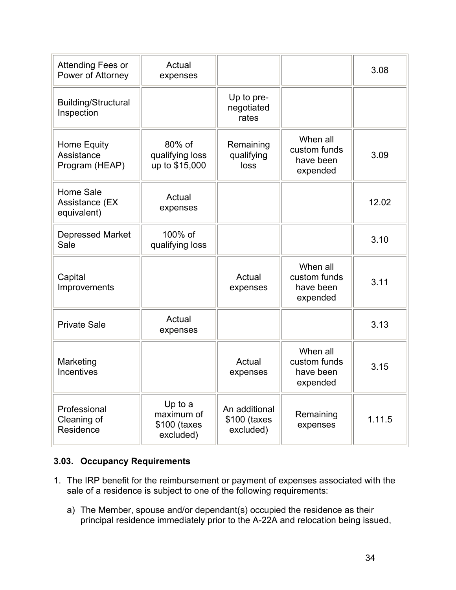<span id="page-33-0"></span>

| Attending Fees or<br>Power of Attorney            | Actual<br>expenses                                 |                                            |                                                   | 3.08   |
|---------------------------------------------------|----------------------------------------------------|--------------------------------------------|---------------------------------------------------|--------|
| <b>Building/Structural</b><br>Inspection          |                                                    | Up to pre-<br>negotiated<br>rates          |                                                   |        |
| Home Equity<br>Assistance<br>Program (HEAP)       | 80% of<br>qualifying loss<br>up to \$15,000        | Remaining<br>qualifying<br>loss            | When all<br>custom funds<br>have been<br>expended | 3.09   |
| <b>Home Sale</b><br>Assistance (EX<br>equivalent) | Actual<br>expenses                                 |                                            |                                                   | 12.02  |
| <b>Depressed Market</b><br>Sale                   | 100% of<br>qualifying loss                         |                                            |                                                   | 3.10   |
| Capital<br>Improvements                           |                                                    | Actual<br>expenses                         | When all<br>custom funds<br>have been<br>expended | 3.11   |
| <b>Private Sale</b>                               | Actual<br>expenses                                 |                                            |                                                   | 3.13   |
| Marketing<br><b>Incentives</b>                    |                                                    | Actual<br>expenses                         | When all<br>custom funds<br>have been<br>expended | 3.15   |
| Professional<br>Cleaning of<br>Residence          | Up to a<br>maximum of<br>\$100 (taxes<br>excluded) | An additional<br>\$100 (taxes<br>excluded) | Remaining<br>expenses                             | 1.11.5 |

#### **3.03. Occupancy Requirements**

- 1. The IRP benefit for the reimbursement or payment of expenses associated with the sale of a residence is subject to one of the following requirements:
	- a) The Member, spouse and/or dependant(s) occupied the residence as their principal residence immediately prior to the A-22A and relocation being issued,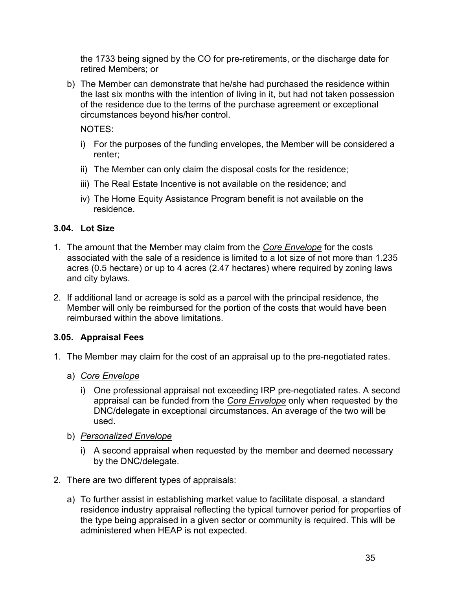<span id="page-34-0"></span>the 1733 being signed by the CO for pre-retirements, or the discharge date for retired Members; or

b) The Member can demonstrate that he/she had purchased the residence within the last six months with the intention of living in it, but had not taken possession of the residence due to the terms of the purchase agreement or exceptional circumstances beyond his/her control.

NOTES:

- i) For the purposes of the funding envelopes, the Member will be considered a renter;
- ii) The Member can only claim the disposal costs for the residence;
- iii) The Real Estate Incentive is not available on the residence; and
- iv) The Home Equity Assistance Program benefit is not available on the residence.

#### **3.04. Lot Size**

- 1. The amount that the Member may claim from the *Core Envelope* for the costs associated with the sale of a residence is limited to a lot size of not more than 1.235 acres (0.5 hectare) or up to 4 acres (2.47 hectares) where required by zoning laws and city bylaws.
- 2. If additional land or acreage is sold as a parcel with the principal residence, the Member will only be reimbursed for the portion of the costs that would have been reimbursed within the above limitations.

#### **3.05. Appraisal Fees**

- 1. The Member may claim for the cost of an appraisal up to the pre-negotiated rates.
	- a) *Core Envelope*
		- i) One professional appraisal not exceeding IRP pre-negotiated rates. A second appraisal can be funded from the *Core Envelope* only when requested by the DNC/delegate in exceptional circumstances. An average of the two will be used.
	- b) *Personalized Envelope*
		- i) A second appraisal when requested by the member and deemed necessary by the DNC/delegate.
- 2. There are two different types of appraisals:
	- a) To further assist in establishing market value to facilitate disposal, a standard residence industry appraisal reflecting the typical turnover period for properties of the type being appraised in a given sector or community is required. This will be administered when HEAP is not expected.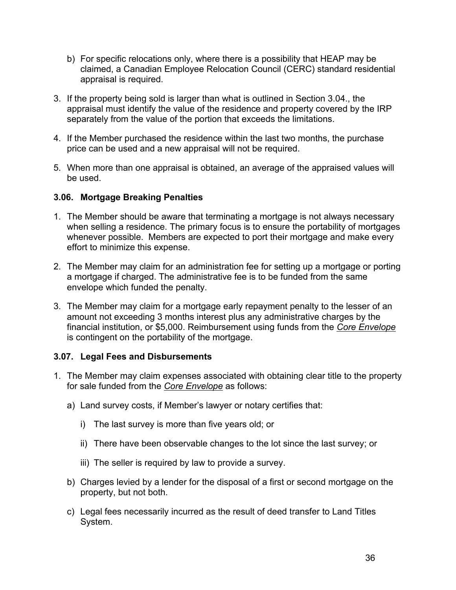- <span id="page-35-0"></span>b) For specific relocations only, where there is a possibility that HEAP may be claimed, a Canadian Employee Relocation Council (CERC) standard residential appraisal is required.
- 3. If the property being sold is larger than what is outlined in Section 3.04., the appraisal must identify the value of the residence and property covered by the IRP separately from the value of the portion that exceeds the limitations.
- 4. If the Member purchased the residence within the last two months, the purchase price can be used and a new appraisal will not be required.
- 5. When more than one appraisal is obtained, an average of the appraised values will be used.

#### **3.06. Mortgage Breaking Penalties**

- 1. The Member should be aware that terminating a mortgage is not always necessary when selling a residence. The primary focus is to ensure the portability of mortgages whenever possible. Members are expected to port their mortgage and make every effort to minimize this expense.
- 2. The Member may claim for an administration fee for setting up a mortgage or porting a mortgage if charged. The administrative fee is to be funded from the same envelope which funded the penalty.
- 3. The Member may claim for a mortgage early repayment penalty to the lesser of an amount not exceeding 3 months interest plus any administrative charges by the financial institution, or \$5,000. Reimbursement using funds from the *Core Envelope* is contingent on the portability of the mortgage.

#### **3.07. Legal Fees and Disbursements**

- 1. The Member may claim expenses associated with obtaining clear title to the property for sale funded from the *Core Envelope* as follows:
	- a) Land survey costs, if Member's lawyer or notary certifies that:
		- i) The last survey is more than five years old; or
		- ii) There have been observable changes to the lot since the last survey; or
		- iii) The seller is required by law to provide a survey.
	- b) Charges levied by a lender for the disposal of a first or second mortgage on the property, but not both.
	- c) Legal fees necessarily incurred as the result of deed transfer to Land Titles System.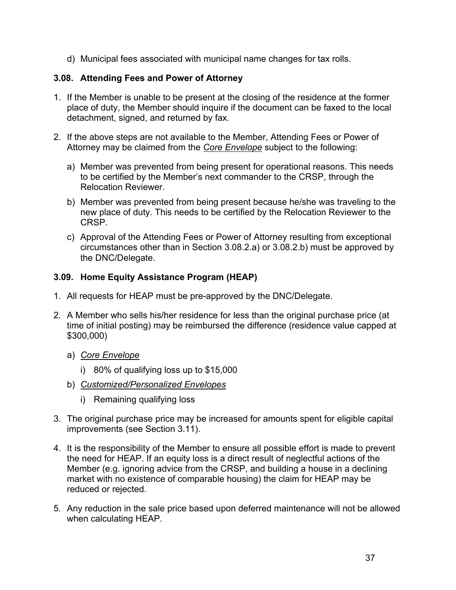d) Municipal fees associated with municipal name changes for tax rolls.

## **3.08. Attending Fees and Power of Attorney**

- 1. If the Member is unable to be present at the closing of the residence at the former place of duty, the Member should inquire if the document can be faxed to the local detachment, signed, and returned by fax.
- 2. If the above steps are not available to the Member, Attending Fees or Power of Attorney may be claimed from the *Core Envelope* subject to the following:
	- a) Member was prevented from being present for operational reasons. This needs to be certified by the Member's next commander to the CRSP, through the Relocation Reviewer.
	- b) Member was prevented from being present because he/she was traveling to the new place of duty. This needs to be certified by the Relocation Reviewer to the CRSP.
	- c) Approval of the Attending Fees or Power of Attorney resulting from exceptional circumstances other than in Section 3.08.2.a) or 3.08.2.b) must be approved by the DNC/Delegate.

## **3.09. Home Equity Assistance Program (HEAP)**

- 1. All requests for HEAP must be pre-approved by the DNC/Delegate.
- 2. A Member who sells his/her residence for less than the original purchase price (at time of initial posting) may be reimbursed the difference (residence value capped at \$300,000)
	- a) *Core Envelope*
		- i) 80% of qualifying loss up to \$15,000
	- b) *Customized/Personalized Envelopes*
		- i) Remaining qualifying loss
- 3. The original purchase price may be increased for amounts spent for eligible capital improvements (see Section 3.11).
- 4. It is the responsibility of the Member to ensure all possible effort is made to prevent the need for HEAP. If an equity loss is a direct result of neglectful actions of the Member (e.g. ignoring advice from the CRSP, and building a house in a declining market with no existence of comparable housing) the claim for HEAP may be reduced or rejected.
- 5. Any reduction in the sale price based upon deferred maintenance will not be allowed when calculating HEAP.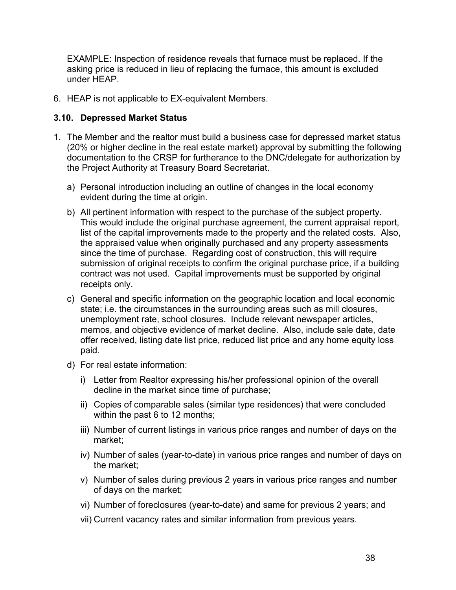EXAMPLE: Inspection of residence reveals that furnace must be replaced. If the asking price is reduced in lieu of replacing the furnace, this amount is excluded under HEAP.

6. HEAP is not applicable to EX-equivalent Members.

#### **3.10. Depressed Market Status**

- 1. The Member and the realtor must build a business case for depressed market status (20% or higher decline in the real estate market) approval by submitting the following documentation to the CRSP for furtherance to the DNC/delegate for authorization by the Project Authority at Treasury Board Secretariat.
	- a) Personal introduction including an outline of changes in the local economy evident during the time at origin.
	- b) All pertinent information with respect to the purchase of the subject property. This would include the original purchase agreement, the current appraisal report, list of the capital improvements made to the property and the related costs. Also, the appraised value when originally purchased and any property assessments since the time of purchase. Regarding cost of construction, this will require submission of original receipts to confirm the original purchase price, if a building contract was not used. Capital improvements must be supported by original receipts only.
	- c) General and specific information on the geographic location and local economic state; i.e. the circumstances in the surrounding areas such as mill closures, unemployment rate, school closures. Include relevant newspaper articles, memos, and objective evidence of market decline. Also, include sale date, date offer received, listing date list price, reduced list price and any home equity loss paid.
	- d) For real estate information:
		- i) Letter from Realtor expressing his/her professional opinion of the overall decline in the market since time of purchase;
		- ii) Copies of comparable sales (similar type residences) that were concluded within the past 6 to 12 months;
		- iii) Number of current listings in various price ranges and number of days on the market;
		- iv) Number of sales (year-to-date) in various price ranges and number of days on the market;
		- v) Number of sales during previous 2 years in various price ranges and number of days on the market;
		- vi) Number of foreclosures (year-to-date) and same for previous 2 years; and
		- vii) Current vacancy rates and similar information from previous years.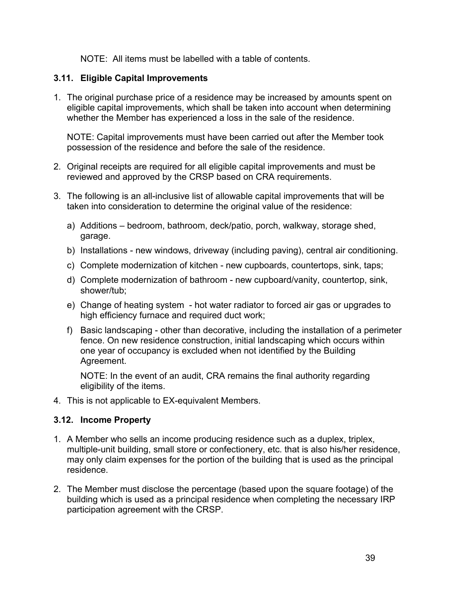NOTE: All items must be labelled with a table of contents.

## **3.11. Eligible Capital Improvements**

1. The original purchase price of a residence may be increased by amounts spent on eligible capital improvements, which shall be taken into account when determining whether the Member has experienced a loss in the sale of the residence.

NOTE: Capital improvements must have been carried out after the Member took possession of the residence and before the sale of the residence.

- 2. Original receipts are required for all eligible capital improvements and must be reviewed and approved by the CRSP based on CRA requirements.
- 3. The following is an all-inclusive list of allowable capital improvements that will be taken into consideration to determine the original value of the residence:
	- a) Additions bedroom, bathroom, deck/patio, porch, walkway, storage shed, garage.
	- b) Installations new windows, driveway (including paving), central air conditioning.
	- c) Complete modernization of kitchen new cupboards, countertops, sink, taps;
	- d) Complete modernization of bathroom new cupboard/vanity, countertop, sink, shower/tub;
	- e) Change of heating system hot water radiator to forced air gas or upgrades to high efficiency furnace and required duct work;
	- f) Basic landscaping other than decorative, including the installation of a perimeter fence. On new residence construction, initial landscaping which occurs within one year of occupancy is excluded when not identified by the Building Agreement.

NOTE: In the event of an audit, CRA remains the final authority regarding eligibility of the items.

4. This is not applicable to EX-equivalent Members.

## **3.12. Income Property**

- 1. A Member who sells an income producing residence such as a duplex, triplex, multiple-unit building, small store or confectionery, etc. that is also his/her residence, may only claim expenses for the portion of the building that is used as the principal residence.
- 2. The Member must disclose the percentage (based upon the square footage) of the building which is used as a principal residence when completing the necessary IRP participation agreement with the CRSP.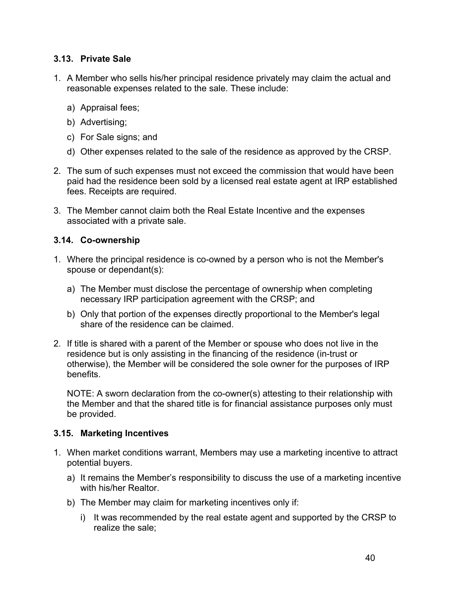## **3.13. Private Sale**

- 1. A Member who sells his/her principal residence privately may claim the actual and reasonable expenses related to the sale. These include:
	- a) Appraisal fees;
	- b) Advertising;
	- c) For Sale signs; and
	- d) Other expenses related to the sale of the residence as approved by the CRSP.
- 2. The sum of such expenses must not exceed the commission that would have been paid had the residence been sold by a licensed real estate agent at IRP established fees. Receipts are required.
- 3. The Member cannot claim both the Real Estate Incentive and the expenses associated with a private sale.

#### **3.14. Co-ownership**

- 1. Where the principal residence is co-owned by a person who is not the Member's spouse or dependant(s):
	- a) The Member must disclose the percentage of ownership when completing necessary IRP participation agreement with the CRSP; and
	- b) Only that portion of the expenses directly proportional to the Member's legal share of the residence can be claimed.
- 2. If title is shared with a parent of the Member or spouse who does not live in the residence but is only assisting in the financing of the residence (in-trust or otherwise), the Member will be considered the sole owner for the purposes of IRP benefits.

NOTE: A sworn declaration from the co-owner(s) attesting to their relationship with the Member and that the shared title is for financial assistance purposes only must be provided.

#### **3.15. Marketing Incentives**

- 1. When market conditions warrant, Members may use a marketing incentive to attract potential buyers.
	- a) It remains the Member's responsibility to discuss the use of a marketing incentive with his/her Realtor.
	- b) The Member may claim for marketing incentives only if:
		- i) It was recommended by the real estate agent and supported by the CRSP to realize the sale;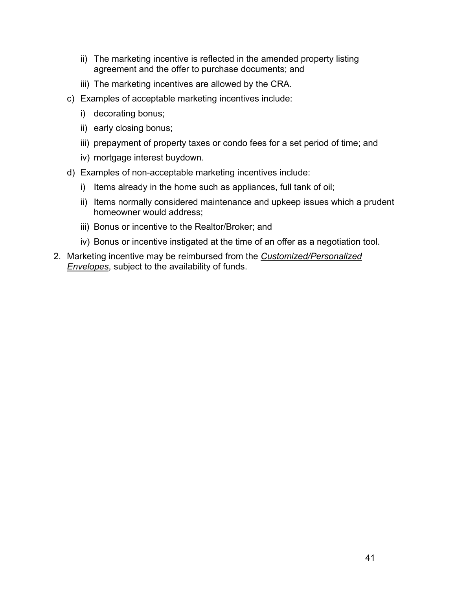- ii) The marketing incentive is reflected in the amended property listing agreement and the offer to purchase documents; and
- iii) The marketing incentives are allowed by the CRA.
- c) Examples of acceptable marketing incentives include:
	- i) decorating bonus;
	- ii) early closing bonus;
	- iii) prepayment of property taxes or condo fees for a set period of time; and
	- iv) mortgage interest buydown.
- d) Examples of non-acceptable marketing incentives include:
	- i) Items already in the home such as appliances, full tank of oil;
	- ii) Items normally considered maintenance and upkeep issues which a prudent homeowner would address;
	- iii) Bonus or incentive to the Realtor/Broker; and
	- iv) Bonus or incentive instigated at the time of an offer as a negotiation tool.
- 2. Marketing incentive may be reimbursed from the *Customized/Personalized Envelopes*, subject to the availability of funds.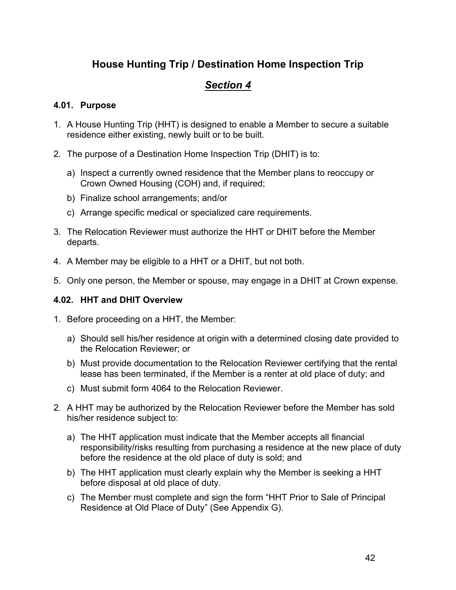# **House Hunting Trip / Destination Home Inspection Trip**

## *Section 4*

#### **4.01. Purpose**

- 1. A House Hunting Trip (HHT) is designed to enable a Member to secure a suitable residence either existing, newly built or to be built.
- 2. The purpose of a Destination Home Inspection Trip (DHIT) is to:
	- a) Inspect a currently owned residence that the Member plans to reoccupy or Crown Owned Housing (COH) and, if required;
	- b) Finalize school arrangements; and/or
	- c) Arrange specific medical or specialized care requirements.
- 3. The Relocation Reviewer must authorize the HHT or DHIT before the Member departs.
- 4. A Member may be eligible to a HHT or a DHIT, but not both.
- 5. Only one person, the Member or spouse, may engage in a DHIT at Crown expense.

### **4.02. HHT and DHIT Overview**

- 1. Before proceeding on a HHT, the Member:
	- a) Should sell his/her residence at origin with a determined closing date provided to the Relocation Reviewer; or
	- b) Must provide documentation to the Relocation Reviewer certifying that the rental lease has been terminated, if the Member is a renter at old place of duty; and
	- c) Must submit form 4064 to the Relocation Reviewer.
- 2. A HHT may be authorized by the Relocation Reviewer before the Member has sold his/her residence subject to:
	- a) The HHT application must indicate that the Member accepts all financial responsibility/risks resulting from purchasing a residence at the new place of duty before the residence at the old place of duty is sold; and
	- b) The HHT application must clearly explain why the Member is seeking a HHT before disposal at old place of duty.
	- c) The Member must complete and sign the form "HHT Prior to Sale of Principal Residence at Old Place of Duty" (See Appendix G).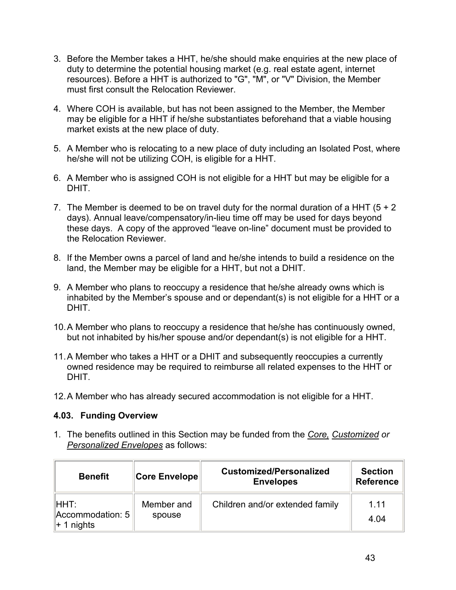- 3. Before the Member takes a HHT, he/she should make enquiries at the new place of duty to determine the potential housing market (e.g. real estate agent, internet resources). Before a HHT is authorized to "G", "M", or "V" Division, the Member must first consult the Relocation Reviewer.
- 4. Where COH is available, but has not been assigned to the Member, the Member may be eligible for a HHT if he/she substantiates beforehand that a viable housing market exists at the new place of duty.
- 5. A Member who is relocating to a new place of duty including an Isolated Post, where he/she will not be utilizing COH, is eligible for a HHT.
- 6. A Member who is assigned COH is not eligible for a HHT but may be eligible for a DHIT.
- 7. The Member is deemed to be on travel duty for the normal duration of a HHT  $(5 + 2)$ days). Annual leave/compensatory/in-lieu time off may be used for days beyond these days. A copy of the approved "leave on-line" document must be provided to the Relocation Reviewer.
- 8. If the Member owns a parcel of land and he/she intends to build a residence on the land, the Member may be eligible for a HHT, but not a DHIT.
- 9. A Member who plans to reoccupy a residence that he/she already owns which is inhabited by the Member's spouse and or dependant(s) is not eligible for a HHT or a **DHIT.**
- 10. A Member who plans to reoccupy a residence that he/she has continuously owned, but not inhabited by his/her spouse and/or dependant(s) is not eligible for a HHT.
- 11. A Member who takes a HHT or a DHIT and subsequently reoccupies a currently owned residence may be required to reimburse all related expenses to the HHT or DHIT.
- 12. A Member who has already secured accommodation is not eligible for a HHT.

#### **4.03. Funding Overview**

1. The benefits outlined in this Section may be funded from the *Core, Customized or Personalized Envelopes* as follows:

| <b>Benefit</b>                                          | <b>Core Envelope</b> | <b>Customized/Personalized</b><br><b>Envelopes</b> | <b>Section</b><br><b>Reference</b> |
|---------------------------------------------------------|----------------------|----------------------------------------------------|------------------------------------|
| IHHT:<br>$parallel$ Accommodation: 5<br>$\ $ + 1 nights | Member and<br>spouse | Children and/or extended family                    | 1.11<br>4 04                       |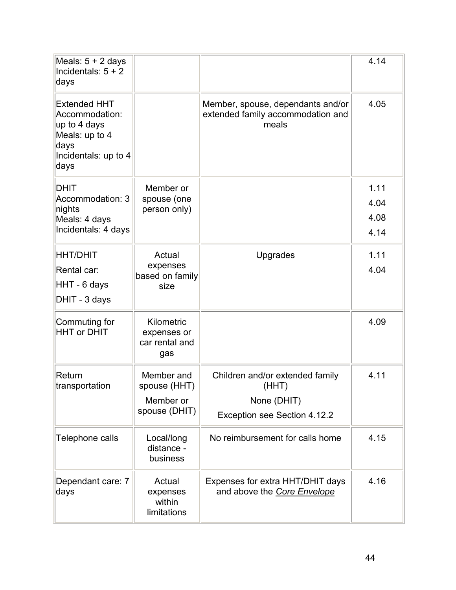| Meals: $5 + 2$ days<br>Incidentals: $5 + 2$<br>days                                                             |                                                          |                                                                                         | 4.14                         |
|-----------------------------------------------------------------------------------------------------------------|----------------------------------------------------------|-----------------------------------------------------------------------------------------|------------------------------|
| <b>Extended HHT</b><br>Accommodation:<br>up to 4 days<br>Meals: up to 4<br>days<br>Incidentals: up to 4<br>days |                                                          | Member, spouse, dependants and/or<br>extended family accommodation and<br>meals         | 4.05                         |
| <b>DHIT</b><br>Accommodation: 3<br>nights<br>Meals: 4 days<br>Incidentals: 4 days                               | Member or<br>spouse (one<br>person only)                 |                                                                                         | 1.11<br>4.04<br>4.08<br>4.14 |
| <b>HHT/DHIT</b><br>Rental car:<br>HHT - 6 days<br>DHIT - 3 days                                                 | Actual<br>expenses<br>based on family<br>size            | Upgrades                                                                                | 1.11<br>4.04                 |
| Commuting for<br><b>HHT or DHIT</b>                                                                             | Kilometric<br>expenses or<br>car rental and<br>gas       |                                                                                         | 4.09                         |
| Return<br>transportation                                                                                        | Member and<br>spouse (HHT)<br>Member or<br>spouse (DHIT) | Children and/or extended family<br>(HHT)<br>None (DHIT)<br>Exception see Section 4.12.2 | 4.11                         |
| Telephone calls                                                                                                 | Local/long<br>distance -<br>business                     | No reimbursement for calls home                                                         | 4.15                         |
| Dependant care: 7<br>days                                                                                       | Actual<br>expenses<br>within<br>limitations              | Expenses for extra HHT/DHIT days<br>and above the Core Envelope                         | 4.16                         |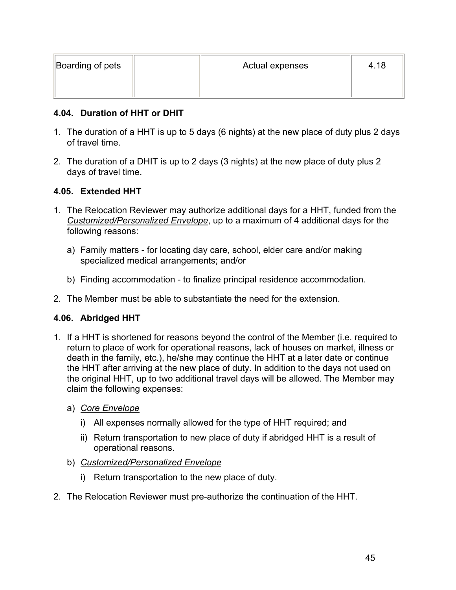| Boarding of pets | Actual expenses | 4.18 |
|------------------|-----------------|------|
|                  |                 |      |

### **4.04. Duration of HHT or DHIT**

- 1. The duration of a HHT is up to 5 days (6 nights) at the new place of duty plus 2 days of travel time.
- 2. The duration of a DHIT is up to 2 days (3 nights) at the new place of duty plus 2 days of travel time.

#### **4.05. Extended HHT**

- 1. The Relocation Reviewer may authorize additional days for a HHT, funded from the *Customized/Personalized Envelope*, up to a maximum of 4 additional days for the following reasons:
	- a) Family matters for locating day care, school, elder care and/or making specialized medical arrangements; and/or
	- b) Finding accommodation to finalize principal residence accommodation.
- 2. The Member must be able to substantiate the need for the extension.

## **4.06. Abridged HHT**

- 1. If a HHT is shortened for reasons beyond the control of the Member (i.e. required to return to place of work for operational reasons, lack of houses on market, illness or death in the family, etc.), he/she may continue the HHT at a later date or continue the HHT after arriving at the new place of duty. In addition to the days not used on the original HHT, up to two additional travel days will be allowed. The Member may claim the following expenses:
	- a) *Core Envelope*
		- i) All expenses normally allowed for the type of HHT required; and
		- ii) Return transportation to new place of duty if abridged HHT is a result of operational reasons.
	- b) *Customized/Personalized Envelope*
		- i) Return transportation to the new place of duty.
- 2. The Relocation Reviewer must pre-authorize the continuation of the HHT.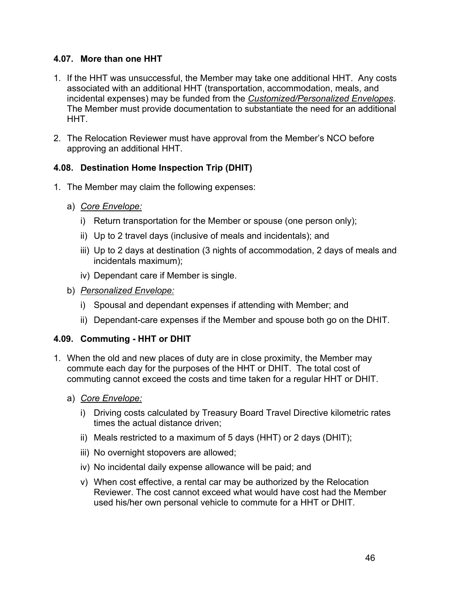## **4.07. More than one HHT**

- 1. If the HHT was unsuccessful, the Member may take one additional HHT. Any costs associated with an additional HHT (transportation, accommodation, meals, and incidental expenses) may be funded from the *Customized/Personalized Envelopes*. The Member must provide documentation to substantiate the need for an additional HHT.
- 2. The Relocation Reviewer must have approval from the Member's NCO before approving an additional HHT.

## **4.08. Destination Home Inspection Trip (DHIT)**

- 1. The Member may claim the following expenses:
	- a) *Core Envelope:*
		- i) Return transportation for the Member or spouse (one person only);
		- ii) Up to 2 travel days (inclusive of meals and incidentals); and
		- iii) Up to 2 days at destination (3 nights of accommodation, 2 days of meals and incidentals maximum);
		- iv) Dependant care if Member is single.
	- b) *Personalized Envelope:*
		- i) Spousal and dependant expenses if attending with Member; and
		- ii) Dependant-care expenses if the Member and spouse both go on the DHIT.

## **4.09. Commuting - HHT or DHIT**

- 1. When the old and new places of duty are in close proximity, the Member may commute each day for the purposes of the HHT or DHIT. The total cost of commuting cannot exceed the costs and time taken for a regular HHT or DHIT.
	- a) *Core Envelope:*
		- i) Driving costs calculated by Treasury Board Travel Directive kilometric rates times the actual distance driven;
		- ii) Meals restricted to a maximum of 5 days (HHT) or 2 days (DHIT);
		- iii) No overnight stopovers are allowed;
		- iv) No incidental daily expense allowance will be paid; and
		- v) When cost effective, a rental car may be authorized by the Relocation Reviewer. The cost cannot exceed what would have cost had the Member used his/her own personal vehicle to commute for a HHT or DHIT.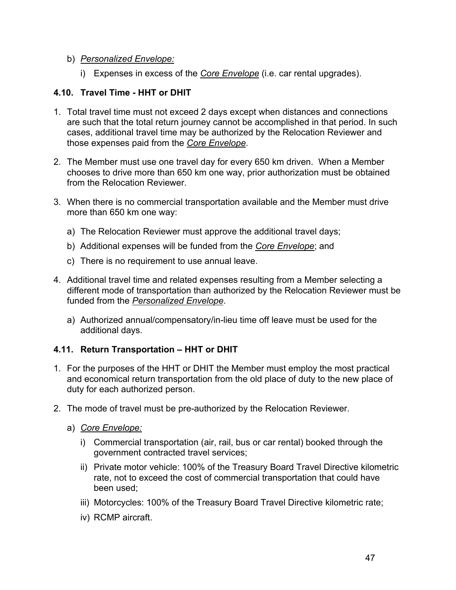### b) *Personalized Envelope:*

i) Expenses in excess of the *Core Envelope* (i.e. car rental upgrades).

## **4.10. Travel Time - HHT or DHIT**

- 1. Total travel time must not exceed 2 days except when distances and connections are such that the total return journey cannot be accomplished in that period. In such cases, additional travel time may be authorized by the Relocation Reviewer and those expenses paid from the *Core Envelope*.
- 2. The Member must use one travel day for every 650 km driven. When a Member chooses to drive more than 650 km one way, prior authorization must be obtained from the Relocation Reviewer
- 3. When there is no commercial transportation available and the Member must drive more than 650 km one way:
	- a) The Relocation Reviewer must approve the additional travel days;
	- b) Additional expenses will be funded from the *Core Envelope*; and
	- c) There is no requirement to use annual leave.
- 4. Additional travel time and related expenses resulting from a Member selecting a different mode of transportation than authorized by the Relocation Reviewer must be funded from the *Personalized Envelope*.
	- a) Authorized annual/compensatory/in-lieu time off leave must be used for the additional days.

## **4.11. Return Transportation – HHT or DHIT**

- 1. For the purposes of the HHT or DHIT the Member must employ the most practical and economical return transportation from the old place of duty to the new place of duty for each authorized person.
- 2. The mode of travel must be pre-authorized by the Relocation Reviewer.
	- a) *Core Envelope:*
		- i) Commercial transportation (air, rail, bus or car rental) booked through the government contracted travel services;
		- ii) Private motor vehicle: 100% of the Treasury Board Travel Directive kilometric rate, not to exceed the cost of commercial transportation that could have been used;
		- iii) Motorcycles: 100% of the Treasury Board Travel Directive kilometric rate;
		- iv) RCMP aircraft.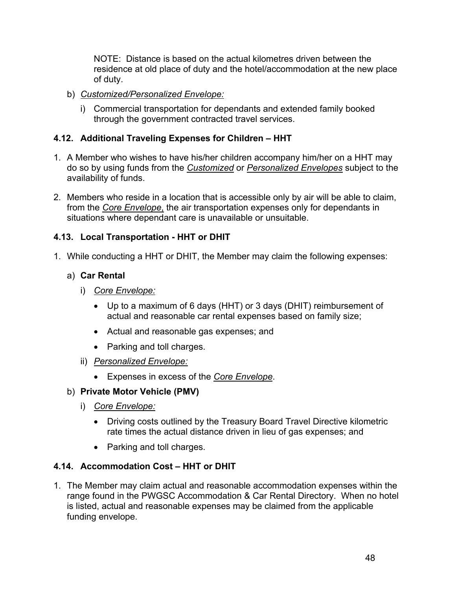NOTE: Distance is based on the actual kilometres driven between the residence at old place of duty and the hotel/accommodation at the new place of duty.

- b) *Customized/Personalized Envelope:*
	- i) Commercial transportation for dependants and extended family booked through the government contracted travel services.

## **4.12. Additional Traveling Expenses for Children – HHT**

- 1. A Member who wishes to have his/her children accompany him/her on a HHT may do so by using funds from the *Customized* or *Personalized Envelopes* subject to the availability of funds.
- 2. Members who reside in a location that is accessible only by air will be able to claim, from the *Core Envelope*, the air transportation expenses only for dependants in situations where dependant care is unavailable or unsuitable.

## **4.13. Local Transportation - HHT or DHIT**

1. While conducting a HHT or DHIT, the Member may claim the following expenses:

## a) **Car Rental**

- i) *Core Envelope:*
	- Up to a maximum of 6 days (HHT) or 3 days (DHIT) reimbursement of actual and reasonable car rental expenses based on family size;
	- Actual and reasonable gas expenses; and
	- Parking and toll charges.
- ii) *Personalized Envelope:*
	- Expenses in excess of the *Core Envelope*.

## b) **Private Motor Vehicle (PMV)**

- i) *Core Envelope:*
	- Driving costs outlined by the Treasury Board Travel Directive kilometric rate times the actual distance driven in lieu of gas expenses; and
	- Parking and toll charges.

## **4.14. Accommodation Cost – HHT or DHIT**

1. The Member may claim actual and reasonable accommodation expenses within the range found in the PWGSC Accommodation & Car Rental Directory. When no hotel is listed, actual and reasonable expenses may be claimed from the applicable funding envelope.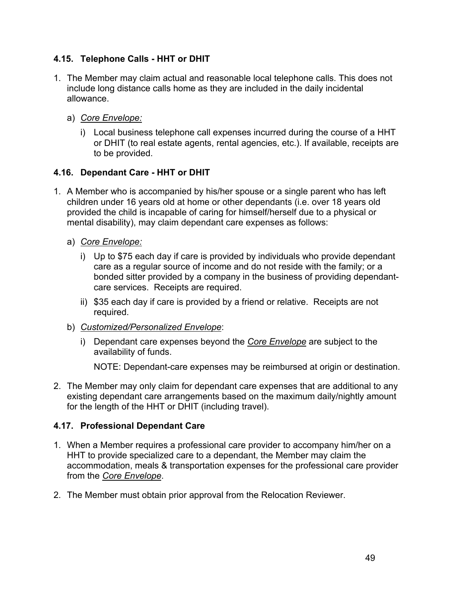## **4.15. Telephone Calls - HHT or DHIT**

- 1. The Member may claim actual and reasonable local telephone calls. This does not include long distance calls home as they are included in the daily incidental allowance.
	- a) *Core Envelope:*
		- i) Local business telephone call expenses incurred during the course of a HHT or DHIT (to real estate agents, rental agencies, etc.). If available, receipts are to be provided.

## **4.16. Dependant Care - HHT or DHIT**

- 1. A Member who is accompanied by his/her spouse or a single parent who has left children under 16 years old at home or other dependants (i.e. over 18 years old provided the child is incapable of caring for himself/herself due to a physical or mental disability), may claim dependant care expenses as follows:
	- a) *Core Envelope:*
		- i) Up to \$75 each day if care is provided by individuals who provide dependant care as a regular source of income and do not reside with the family; or a bonded sitter provided by a company in the business of providing dependantcare services. Receipts are required.
		- ii) \$35 each day if care is provided by a friend or relative. Receipts are not required.
	- b) *Customized/Personalized Envelope*:
		- i) Dependant care expenses beyond the *Core Envelope* are subject to the availability of funds.

NOTE: Dependant-care expenses may be reimbursed at origin or destination.

2. The Member may only claim for dependant care expenses that are additional to any existing dependant care arrangements based on the maximum daily/nightly amount for the length of the HHT or DHIT (including travel).

## **4.17. Professional Dependant Care**

- 1. When a Member requires a professional care provider to accompany him/her on a HHT to provide specialized care to a dependant, the Member may claim the accommodation, meals & transportation expenses for the professional care provider from the *Core Envelope*.
- 2. The Member must obtain prior approval from the Relocation Reviewer.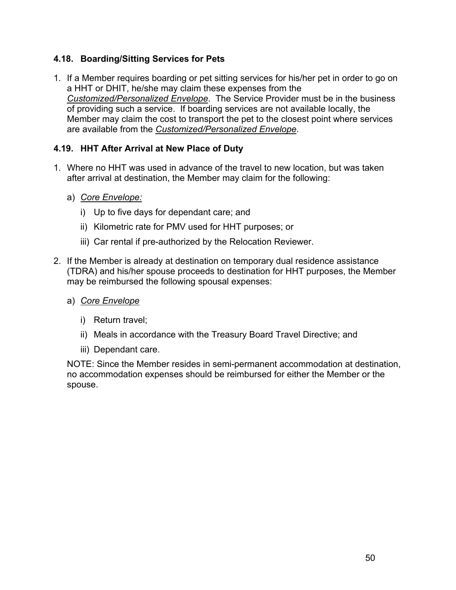## **4.18. Boarding/Sitting Services for Pets**

1. If a Member requires boarding or pet sitting services for his/her pet in order to go on a HHT or DHIT, he/she may claim these expenses from the *Customized/Personalized Envelope*. The Service Provider must be in the business of providing such a service. If boarding services are not available locally, the Member may claim the cost to transport the pet to the closest point where services are available from the *Customized/Personalized Envelope*.

## **4.19. HHT After Arrival at New Place of Duty**

- 1. Where no HHT was used in advance of the travel to new location, but was taken after arrival at destination, the Member may claim for the following:
	- a) *Core Envelope:*
		- i) Up to five days for dependant care; and
		- ii) Kilometric rate for PMV used for HHT purposes; or
		- iii) Car rental if pre-authorized by the Relocation Reviewer.
- 2. If the Member is already at destination on temporary dual residence assistance (TDRA) and his/her spouse proceeds to destination for HHT purposes, the Member may be reimbursed the following spousal expenses:
	- a) *Core Envelope*
		- i) Return travel;
		- ii) Meals in accordance with the Treasury Board Travel Directive; and
		- iii) Dependant care.

NOTE: Since the Member resides in semi-permanent accommodation at destination, no accommodation expenses should be reimbursed for either the Member or the spouse.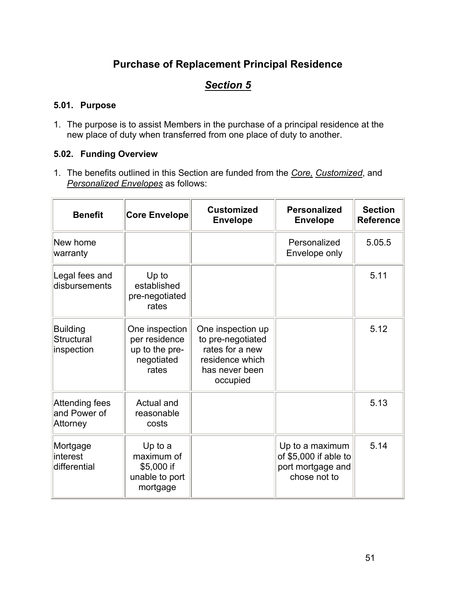# **Purchase of Replacement Principal Residence**

# *Section 5*

#### **5.01. Purpose**

1. The purpose is to assist Members in the purchase of a principal residence at the new place of duty when transferred from one place of duty to another.

## **5.02. Funding Overview**

1. The benefits outlined in this Section are funded from the *Core, Customized*, and *Personalized Envelopes* as follows:

| <b>Benefit</b>                                     | <b>Core Envelope</b>                                                     | <b>Customized</b><br><b>Envelope</b>                                                                       | <b>Personalized</b><br><b>Envelope</b>                                        | <b>Section</b><br><b>Reference</b> |
|----------------------------------------------------|--------------------------------------------------------------------------|------------------------------------------------------------------------------------------------------------|-------------------------------------------------------------------------------|------------------------------------|
| New home<br>warranty                               |                                                                          |                                                                                                            | Personalized<br>Envelope only                                                 | 5.05.5                             |
| Legal fees and<br>disbursements                    | Up to<br>established<br>pre-negotiated<br>rates                          |                                                                                                            |                                                                               | 5.11                               |
| <b>Building</b><br><b>Structural</b><br>inspection | One inspection<br>per residence<br>up to the pre-<br>negotiated<br>rates | One inspection up<br>to pre-negotiated<br>rates for a new<br>residence which<br>has never been<br>occupied |                                                                               | 5.12                               |
| Attending fees<br>and Power of<br>Attorney         | Actual and<br>reasonable<br>costs                                        |                                                                                                            |                                                                               | 5.13                               |
| Mortgage<br>interest<br>differential               | Up to a<br>maximum of<br>\$5,000 if<br>unable to port<br>mortgage        |                                                                                                            | Up to a maximum<br>of \$5,000 if able to<br>port mortgage and<br>chose not to | 5.14                               |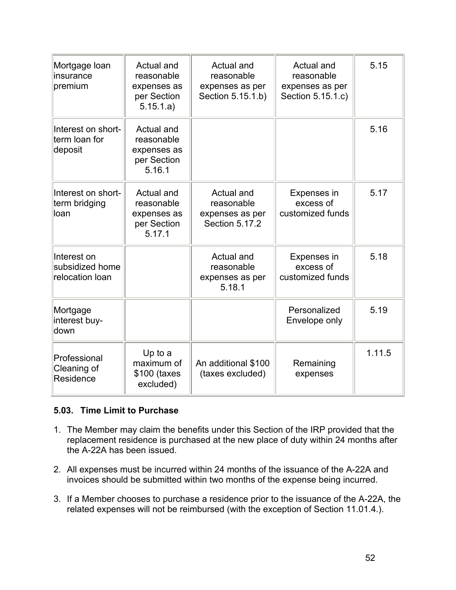| Mortgage Ioan<br>insurance<br>premium             | Actual and<br>reasonable<br>expenses as<br>per Section<br>5.15.1.a) | Actual and<br>reasonable<br>expenses as per<br>Section 5.15.1.b) | Actual and<br>reasonable<br>expenses as per<br>Section 5.15.1.c) | 5.15   |
|---------------------------------------------------|---------------------------------------------------------------------|------------------------------------------------------------------|------------------------------------------------------------------|--------|
| Interest on short-<br>term loan for<br>deposit    | Actual and<br>reasonable<br>expenses as<br>per Section<br>5.16.1    |                                                                  |                                                                  | 5.16   |
| Interest on short-<br>term bridging<br>loan       | Actual and<br>reasonable<br>expenses as<br>per Section<br>5.17.1    | Actual and<br>reasonable<br>expenses as per<br>Section 5.17.2    | Expenses in<br>excess of<br>customized funds                     | 5.17   |
| Interest on<br>subsidized home<br>relocation loan |                                                                     | Actual and<br>reasonable<br>expenses as per<br>5.18.1            | Expenses in<br>excess of<br>customized funds                     | 5.18   |
| Mortgage<br>interest buy-<br>down                 |                                                                     |                                                                  | Personalized<br>Envelope only                                    | 5.19   |
| Professional<br>Cleaning of<br>Residence          | Up to a<br>maximum of<br>\$100 (taxes<br>excluded)                  | An additional \$100<br>(taxes excluded)                          | Remaining<br>expenses                                            | 1.11.5 |

#### **5.03. Time Limit to Purchase**

- 1. The Member may claim the benefits under this Section of the IRP provided that the replacement residence is purchased at the new place of duty within 24 months after the A-22A has been issued.
- 2. All expenses must be incurred within 24 months of the issuance of the A-22A and invoices should be submitted within two months of the expense being incurred.
- 3. If a Member chooses to purchase a residence prior to the issuance of the A-22A, the related expenses will not be reimbursed (with the exception of Section 11.01.4.).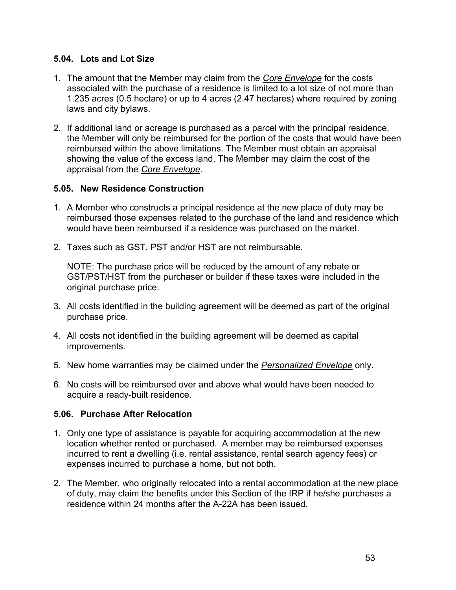#### **5.04. Lots and Lot Size**

- 1. The amount that the Member may claim from the *Core Envelope* for the costs associated with the purchase of a residence is limited to a lot size of not more than 1.235 acres (0.5 hectare) or up to 4 acres (2.47 hectares) where required by zoning laws and city bylaws.
- 2. If additional land or acreage is purchased as a parcel with the principal residence, the Member will only be reimbursed for the portion of the costs that would have been reimbursed within the above limitations. The Member must obtain an appraisal showing the value of the excess land. The Member may claim the cost of the appraisal from the *Core Envelope*.

#### **5.05. New Residence Construction**

- 1. A Member who constructs a principal residence at the new place of duty may be reimbursed those expenses related to the purchase of the land and residence which would have been reimbursed if a residence was purchased on the market.
- 2. Taxes such as GST, PST and/or HST are not reimbursable.

NOTE: The purchase price will be reduced by the amount of any rebate or GST/PST/HST from the purchaser or builder if these taxes were included in the original purchase price.

- 3. All costs identified in the building agreement will be deemed as part of the original purchase price.
- 4. All costs not identified in the building agreement will be deemed as capital improvements.
- 5. New home warranties may be claimed under the *Personalized Envelope* only.
- 6. No costs will be reimbursed over and above what would have been needed to acquire a ready-built residence.

## **5.06. Purchase After Relocation**

- 1. Only one type of assistance is payable for acquiring accommodation at the new location whether rented or purchased. A member may be reimbursed expenses incurred to rent a dwelling (i.e. rental assistance, rental search agency fees) or expenses incurred to purchase a home, but not both.
- 2. The Member, who originally relocated into a rental accommodation at the new place of duty, may claim the benefits under this Section of the IRP if he/she purchases a residence within 24 months after the A-22A has been issued.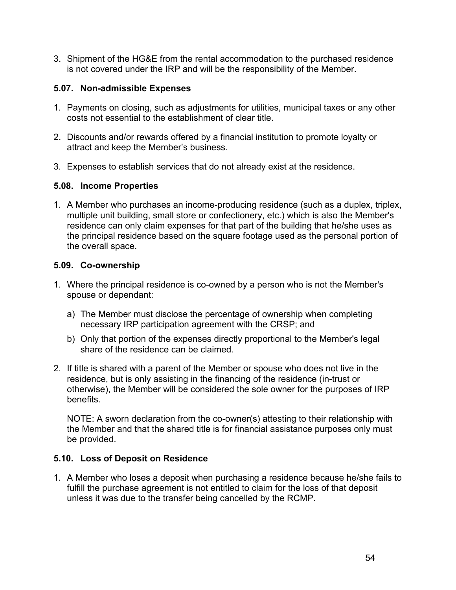3. Shipment of the HG&E from the rental accommodation to the purchased residence is not covered under the IRP and will be the responsibility of the Member.

#### **5.07. Non-admissible Expenses**

- 1. Payments on closing, such as adjustments for utilities, municipal taxes or any other costs not essential to the establishment of clear title.
- 2. Discounts and/or rewards offered by a financial institution to promote loyalty or attract and keep the Member's business.
- 3. Expenses to establish services that do not already exist at the residence.

#### **5.08. Income Properties**

1. A Member who purchases an income-producing residence (such as a duplex, triplex, multiple unit building, small store or confectionery, etc.) which is also the Member's residence can only claim expenses for that part of the building that he/she uses as the principal residence based on the square footage used as the personal portion of the overall space.

#### **5.09. Co-ownership**

- 1. Where the principal residence is co-owned by a person who is not the Member's spouse or dependant:
	- a) The Member must disclose the percentage of ownership when completing necessary IRP participation agreement with the CRSP; and
	- b) Only that portion of the expenses directly proportional to the Member's legal share of the residence can be claimed.
- 2. If title is shared with a parent of the Member or spouse who does not live in the residence, but is only assisting in the financing of the residence (in-trust or otherwise), the Member will be considered the sole owner for the purposes of IRP benefits.

NOTE: A sworn declaration from the co-owner(s) attesting to their relationship with the Member and that the shared title is for financial assistance purposes only must be provided.

## **5.10. Loss of Deposit on Residence**

1. A Member who loses a deposit when purchasing a residence because he/she fails to fulfill the purchase agreement is not entitled to claim for the loss of that deposit unless it was due to the transfer being cancelled by the RCMP.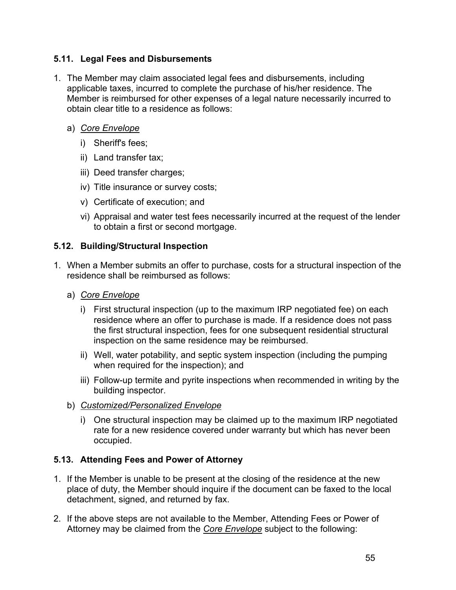## **5.11. Legal Fees and Disbursements**

- 1. The Member may claim associated legal fees and disbursements, including applicable taxes, incurred to complete the purchase of his/her residence. The Member is reimbursed for other expenses of a legal nature necessarily incurred to obtain clear title to a residence as follows:
	- a) *Core Envelope*
		- i) Sheriff's fees;
		- ii) Land transfer tax;
		- iii) Deed transfer charges;
		- iv) Title insurance or survey costs;
		- v) Certificate of execution; and
		- vi) Appraisal and water test fees necessarily incurred at the request of the lender to obtain a first or second mortgage.

## **5.12. Building/Structural Inspection**

- 1. When a Member submits an offer to purchase, costs for a structural inspection of the residence shall be reimbursed as follows:
	- a) *Core Envelope*
		- i) First structural inspection (up to the maximum IRP negotiated fee) on each residence where an offer to purchase is made. If a residence does not pass the first structural inspection, fees for one subsequent residential structural inspection on the same residence may be reimbursed.
		- ii) Well, water potability, and septic system inspection (including the pumping when required for the inspection); and
		- iii) Follow-up termite and pyrite inspections when recommended in writing by the building inspector.
	- b) *Customized/Personalized Envelope*
		- i) One structural inspection may be claimed up to the maximum IRP negotiated rate for a new residence covered under warranty but which has never been occupied.

## **5.13. Attending Fees and Power of Attorney**

- 1. If the Member is unable to be present at the closing of the residence at the new place of duty, the Member should inquire if the document can be faxed to the local detachment, signed, and returned by fax.
- 2. If the above steps are not available to the Member, Attending Fees or Power of Attorney may be claimed from the *Core Envelope* subject to the following: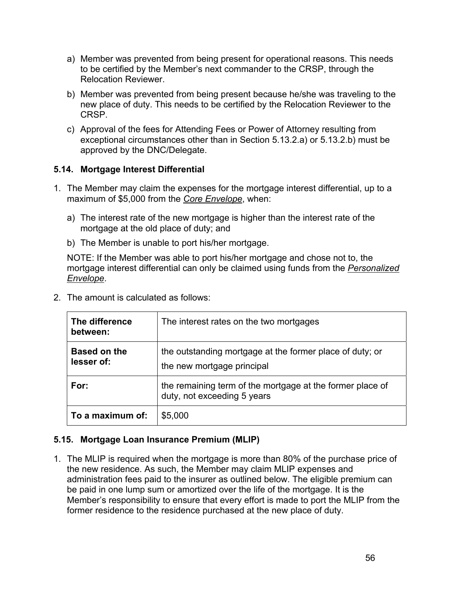- a) Member was prevented from being present for operational reasons. This needs to be certified by the Member's next commander to the CRSP, through the Relocation Reviewer.
- b) Member was prevented from being present because he/she was traveling to the new place of duty. This needs to be certified by the Relocation Reviewer to the CRSP.
- c) Approval of the fees for Attending Fees or Power of Attorney resulting from exceptional circumstances other than in Section 5.13.2.a) or 5.13.2.b) must be approved by the DNC/Delegate.

## **5.14. Mortgage Interest Differential**

- 1. The Member may claim the expenses for the mortgage interest differential, up to a maximum of \$5,000 from the *Core Envelope*, when:
	- a) The interest rate of the new mortgage is higher than the interest rate of the mortgage at the old place of duty; and
	- b) The Member is unable to port his/her mortgage.

NOTE: If the Member was able to port his/her mortgage and chose not to, the mortgage interest differential can only be claimed using funds from the *Personalized Envelope*.

| The difference<br>between:        | The interest rates on the two mortgages                                                  |
|-----------------------------------|------------------------------------------------------------------------------------------|
| <b>Based on the</b><br>lesser of: | the outstanding mortgage at the former place of duty; or<br>the new mortgage principal   |
| For:                              | the remaining term of the mortgage at the former place of<br>duty, not exceeding 5 years |
| To a maximum of:                  | \$5,000                                                                                  |

2. The amount is calculated as follows:

## **5.15. Mortgage Loan Insurance Premium (MLIP)**

1. The MLIP is required when the mortgage is more than 80% of the purchase price of the new residence. As such, the Member may claim MLIP expenses and administration fees paid to the insurer as outlined below. The eligible premium can be paid in one lump sum or amortized over the life of the mortgage. It is the Member's responsibility to ensure that every effort is made to port the MLIP from the former residence to the residence purchased at the new place of duty.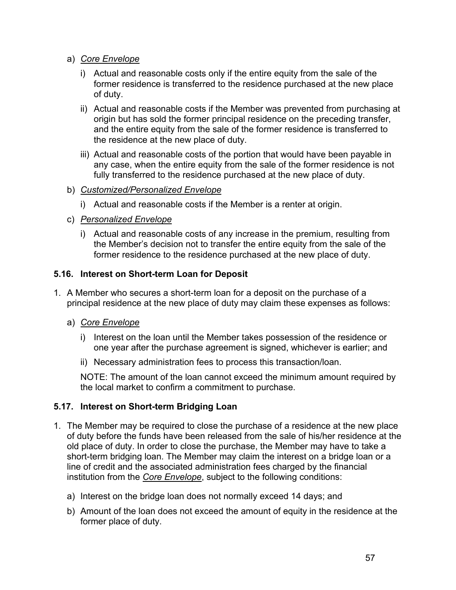- a) *Core Envelope*
	- i) Actual and reasonable costs only if the entire equity from the sale of the former residence is transferred to the residence purchased at the new place of duty.
	- ii) Actual and reasonable costs if the Member was prevented from purchasing at origin but has sold the former principal residence on the preceding transfer, and the entire equity from the sale of the former residence is transferred to the residence at the new place of duty.
	- iii) Actual and reasonable costs of the portion that would have been payable in any case, when the entire equity from the sale of the former residence is not fully transferred to the residence purchased at the new place of duty.
- b) *Customized/Personalized Envelope*
	- i) Actual and reasonable costs if the Member is a renter at origin.
- c) *Personalized Envelope*
	- i) Actual and reasonable costs of any increase in the premium, resulting from the Member's decision not to transfer the entire equity from the sale of the former residence to the residence purchased at the new place of duty.

## **5.16. Interest on Short-term Loan for Deposit**

- 1. A Member who secures a short-term loan for a deposit on the purchase of a principal residence at the new place of duty may claim these expenses as follows:
	- a) *Core Envelope*
		- i) Interest on the loan until the Member takes possession of the residence or one year after the purchase agreement is signed, whichever is earlier; and
		- ii) Necessary administration fees to process this transaction/loan.

NOTE: The amount of the loan cannot exceed the minimum amount required by the local market to confirm a commitment to purchase.

## **5.17. Interest on Short-term Bridging Loan**

- 1. The Member may be required to close the purchase of a residence at the new place of duty before the funds have been released from the sale of his/her residence at the old place of duty. In order to close the purchase, the Member may have to take a short-term bridging loan. The Member may claim the interest on a bridge loan or a line of credit and the associated administration fees charged by the financial institution from the *Core Envelope*, subject to the following conditions:
	- a) Interest on the bridge loan does not normally exceed 14 days; and
	- b) Amount of the loan does not exceed the amount of equity in the residence at the former place of duty.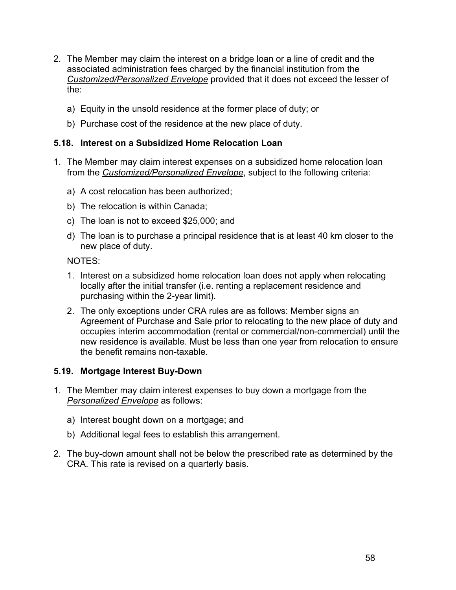- 2. The Member may claim the interest on a bridge loan or a line of credit and the associated administration fees charged by the financial institution from the *Customized/Personalized Envelope* provided that it does not exceed the lesser of the:
	- a) Equity in the unsold residence at the former place of duty; or
	- b) Purchase cost of the residence at the new place of duty.

#### **5.18. Interest on a Subsidized Home Relocation Loan**

- 1. The Member may claim interest expenses on a subsidized home relocation loan from the *Customized/Personalized Envelope*, subject to the following criteria:
	- a) A cost relocation has been authorized;
	- b) The relocation is within Canada;
	- c) The loan is not to exceed \$25,000; and
	- d) The loan is to purchase a principal residence that is at least 40 km closer to the new place of duty.

NOTES:

- 1. Interest on a subsidized home relocation loan does not apply when relocating locally after the initial transfer (i.e. renting a replacement residence and purchasing within the 2-year limit).
- 2. The only exceptions under CRA rules are as follows: Member signs an Agreement of Purchase and Sale prior to relocating to the new place of duty and occupies interim accommodation (rental or commercial/non-commercial) until the new residence is available. Must be less than one year from relocation to ensure the benefit remains non-taxable.

#### **5.19. Mortgage Interest Buy-Down**

- 1. The Member may claim interest expenses to buy down a mortgage from the *Personalized Envelope* as follows:
	- a) Interest bought down on a mortgage; and
	- b) Additional legal fees to establish this arrangement.
- 2. The buy-down amount shall not be below the prescribed rate as determined by the CRA. This rate is revised on a quarterly basis.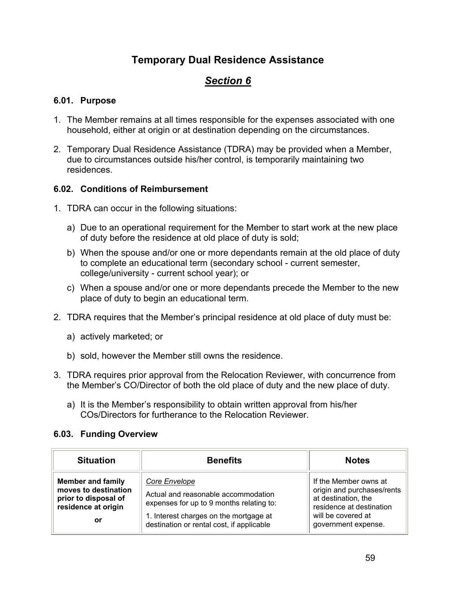# **Temporary Dual Residence Assistance**

# *Section 6*

### **6.01. Purpose**

- 1. The Member remains at all times responsible for the expenses associated with one household, either at origin or at destination depending on the circumstances.
- 2. Temporary Dual Residence Assistance (TDRA) may be provided when a Member, due to circumstances outside his/her control, is temporarily maintaining two residences.

#### **6.02. Conditions of Reimbursement**

- 1. TDRA can occur in the following situations:
	- a) Due to an operational requirement for the Member to start work at the new place of duty before the residence at old place of duty is sold;
	- b) When the spouse and/or one or more dependants remain at the old place of duty to complete an educational term (secondary school - current semester, college/university - current school year); or
	- c) When a spouse and/or one or more dependants precede the Member to the new place of duty to begin an educational term.
- 2. TDRA requires that the Member's principal residence at old place of duty must be:
	- a) actively marketed; or
	- b) sold, however the Member still owns the residence.
- 3. TDRA requires prior approval from the Relocation Reviewer, with concurrence from the Member's CO/Director of both the old place of duty and the new place of duty.
	- a) It is the Member's responsibility to obtain written approval from his/her COs/Directors for furtherance to the Relocation Reviewer.

#### **6.03. Funding Overview**

| <b>Situation</b><br><b>Benefits</b>                                                                   |                                                                                                                                                                                         | <b>Notes</b>                                                                                                                                        |
|-------------------------------------------------------------------------------------------------------|-----------------------------------------------------------------------------------------------------------------------------------------------------------------------------------------|-----------------------------------------------------------------------------------------------------------------------------------------------------|
| <b>Member and family</b><br>moves to destination<br>prior to disposal of<br>residence at origin<br>or | Core Envelope<br>Actual and reasonable accommodation<br>expenses for up to 9 months relating to:<br>1. Interest charges on the mortgage at<br>destination or rental cost, if applicable | If the Member owns at<br>origin and purchases/rents<br>at destination, the<br>residence at destination<br>will be covered at<br>government expense. |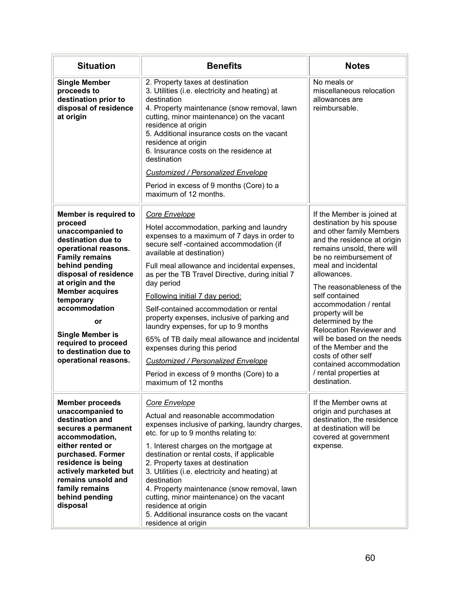| <b>Situation</b>                                                                                                                                                                                                                                                                                                                                                                                                                                                                                                                                                    | <b>Benefits</b>                                                                                                                                                                                                                                                                                                                                                                                                                                                                                                                                                                                                                                                  | <b>Notes</b>                                                                                                                                                                                                                                                                                                                                                                                                                                                                                                     |
|---------------------------------------------------------------------------------------------------------------------------------------------------------------------------------------------------------------------------------------------------------------------------------------------------------------------------------------------------------------------------------------------------------------------------------------------------------------------------------------------------------------------------------------------------------------------|------------------------------------------------------------------------------------------------------------------------------------------------------------------------------------------------------------------------------------------------------------------------------------------------------------------------------------------------------------------------------------------------------------------------------------------------------------------------------------------------------------------------------------------------------------------------------------------------------------------------------------------------------------------|------------------------------------------------------------------------------------------------------------------------------------------------------------------------------------------------------------------------------------------------------------------------------------------------------------------------------------------------------------------------------------------------------------------------------------------------------------------------------------------------------------------|
| <b>Single Member</b><br>2. Property taxes at destination<br>proceeds to<br>3. Utilities (i.e. electricity and heating) at<br>destination prior to<br>destination<br>disposal of residence<br>4. Property maintenance (snow removal, lawn<br>at origin<br>cutting, minor maintenance) on the vacant<br>residence at origin<br>5. Additional insurance costs on the vacant<br>residence at origin<br>6. Insurance costs on the residence at<br>destination<br>Customized / Personalized Envelope<br>Period in excess of 9 months (Core) to a<br>maximum of 12 months. |                                                                                                                                                                                                                                                                                                                                                                                                                                                                                                                                                                                                                                                                  | No meals or<br>miscellaneous relocation<br>allowances are<br>reimbursable.                                                                                                                                                                                                                                                                                                                                                                                                                                       |
| Member is required to<br>proceed<br>unaccompanied to<br>destination due to<br>operational reasons.<br><b>Family remains</b><br>behind pending<br>disposal of residence<br>at origin and the<br><b>Member acquires</b><br>temporary<br>accommodation<br>or<br><b>Single Member is</b><br>required to proceed<br>to destination due to<br>operational reasons.                                                                                                                                                                                                        | Core Envelope<br>Hotel accommodation, parking and laundry<br>expenses to a maximum of 7 days in order to<br>secure self-contained accommodation (if<br>available at destination)<br>Full meal allowance and incidental expenses,<br>as per the TB Travel Directive, during initial 7<br>day period<br>Following initial 7 day period:<br>Self-contained accommodation or rental<br>property expenses, inclusive of parking and<br>laundry expenses, for up to 9 months<br>65% of TB daily meal allowance and incidental<br>expenses during this period<br>Customized / Personalized Envelope<br>Period in excess of 9 months (Core) to a<br>maximum of 12 months | If the Member is joined at<br>destination by his spouse<br>and other family Members<br>and the residence at origin<br>remains unsold, there will<br>be no reimbursement of<br>meal and incidental<br>allowances.<br>The reasonableness of the<br>self contained<br>accommodation / rental<br>property will be<br>determined by the<br>Relocation Reviewer and<br>will be based on the needs<br>of the Member and the<br>costs of other self<br>contained accommodation<br>/ rental properties at<br>destination. |
| <b>Member proceeds</b><br>unaccompanied to<br>destination and<br>secures a permanent<br>accommodation,<br>either rented or<br>purchased. Former<br>residence is being<br>actively marketed but<br>remains unsold and<br>family remains<br>behind pending<br>disposal                                                                                                                                                                                                                                                                                                | Core Envelope<br>Actual and reasonable accommodation<br>expenses inclusive of parking, laundry charges,<br>etc. for up to 9 months relating to:<br>1. Interest charges on the mortgage at<br>destination or rental costs, if applicable<br>2. Property taxes at destination<br>3. Utilities (i.e. electricity and heating) at<br>destination<br>4. Property maintenance (snow removal, lawn<br>cutting, minor maintenance) on the vacant<br>residence at origin<br>5. Additional insurance costs on the vacant<br>residence at origin                                                                                                                            | If the Member owns at<br>origin and purchases at<br>destination, the residence<br>at destination will be<br>covered at government<br>expense.                                                                                                                                                                                                                                                                                                                                                                    |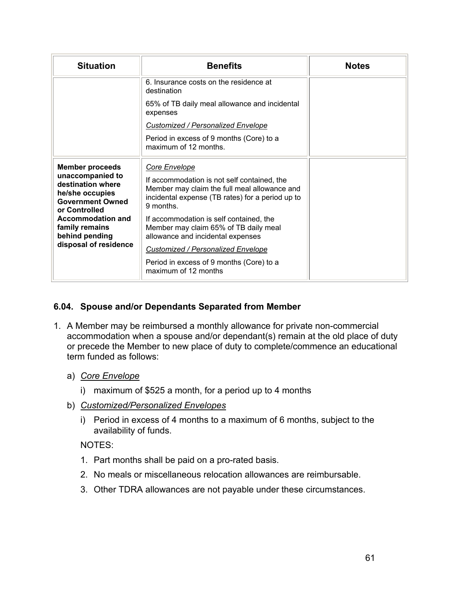| <b>Situation</b>                                                                                                                                                                                                 | <b>Benefits</b>                                                                                                                                                                                                                                                                                                                                                                                                         |  |
|------------------------------------------------------------------------------------------------------------------------------------------------------------------------------------------------------------------|-------------------------------------------------------------------------------------------------------------------------------------------------------------------------------------------------------------------------------------------------------------------------------------------------------------------------------------------------------------------------------------------------------------------------|--|
|                                                                                                                                                                                                                  | 6. Insurance costs on the residence at<br>destination                                                                                                                                                                                                                                                                                                                                                                   |  |
|                                                                                                                                                                                                                  | 65% of TB daily meal allowance and incidental<br>expenses                                                                                                                                                                                                                                                                                                                                                               |  |
|                                                                                                                                                                                                                  | Customized / Personalized Envelope                                                                                                                                                                                                                                                                                                                                                                                      |  |
|                                                                                                                                                                                                                  | Period in excess of 9 months (Core) to a<br>maximum of 12 months.                                                                                                                                                                                                                                                                                                                                                       |  |
| <b>Member proceeds</b><br>unaccompanied to<br>destination where<br>he/she occupies<br><b>Government Owned</b><br>or Controlled<br>Accommodation and<br>family remains<br>behind pending<br>disposal of residence | Core Envelope<br>If accommodation is not self contained, the<br>Member may claim the full meal allowance and<br>incidental expense (TB rates) for a period up to<br>9 months.<br>If accommodation is self contained, the<br>Member may claim 65% of TB daily meal<br>allowance and incidental expenses<br><b>Customized / Personalized Envelope</b><br>Period in excess of 9 months (Core) to a<br>maximum of 12 months |  |

## **6.04. Spouse and/or Dependants Separated from Member**

- 1. A Member may be reimbursed a monthly allowance for private non-commercial accommodation when a spouse and/or dependant(s) remain at the old place of duty or precede the Member to new place of duty to complete/commence an educational term funded as follows:
	- a) *Core Envelope*
		- i) maximum of \$525 a month, for a period up to 4 months
	- b) *Customized/Personalized Envelopes*
		- i) Period in excess of 4 months to a maximum of 6 months, subject to the availability of funds.

## NOTES:

- 1. Part months shall be paid on a pro-rated basis.
- 2. No meals or miscellaneous relocation allowances are reimbursable.
- 3. Other TDRA allowances are not payable under these circumstances.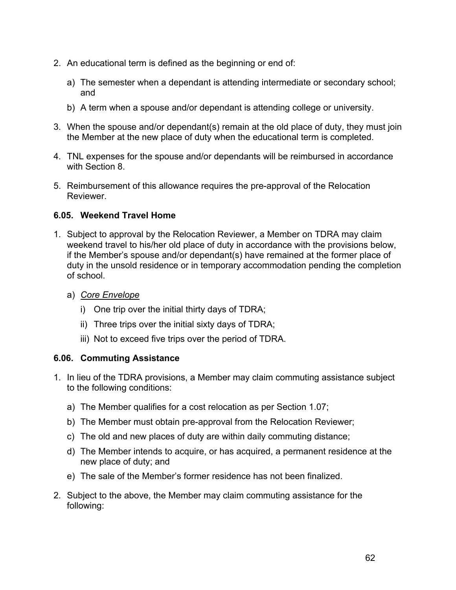- 2. An educational term is defined as the beginning or end of:
	- a) The semester when a dependant is attending intermediate or secondary school; and
	- b) A term when a spouse and/or dependant is attending college or university.
- 3. When the spouse and/or dependant(s) remain at the old place of duty, they must join the Member at the new place of duty when the educational term is completed.
- 4. TNL expenses for the spouse and/or dependants will be reimbursed in accordance with Section 8.
- 5. Reimbursement of this allowance requires the pre-approval of the Relocation Reviewer.

## **6.05. Weekend Travel Home**

- 1. Subject to approval by the Relocation Reviewer, a Member on TDRA may claim weekend travel to his/her old place of duty in accordance with the provisions below, if the Member's spouse and/or dependant(s) have remained at the former place of duty in the unsold residence or in temporary accommodation pending the completion of school.
	- a) *Core Envelope*
		- i) One trip over the initial thirty days of TDRA;
		- ii) Three trips over the initial sixty days of TDRA;
		- iii) Not to exceed five trips over the period of TDRA.

#### **6.06. Commuting Assistance**

- 1. In lieu of the TDRA provisions, a Member may claim commuting assistance subject to the following conditions:
	- a) The Member qualifies for a cost relocation as per Section 1.07;
	- b) The Member must obtain pre-approval from the Relocation Reviewer;
	- c) The old and new places of duty are within daily commuting distance;
	- d) The Member intends to acquire, or has acquired, a permanent residence at the new place of duty; and
	- e) The sale of the Member's former residence has not been finalized.
- 2. Subject to the above, the Member may claim commuting assistance for the following: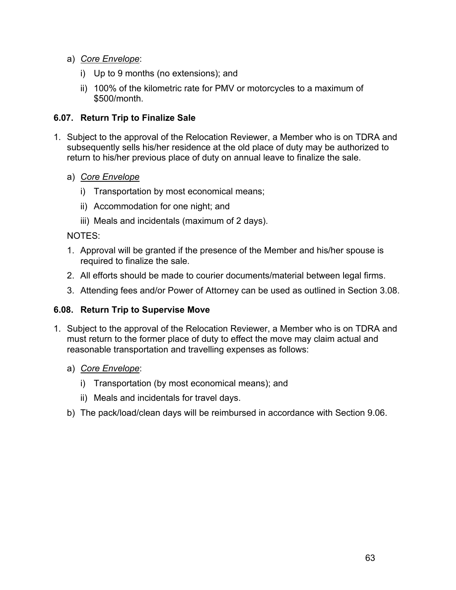- a) *Core Envelope*:
	- i) Up to 9 months (no extensions); and
	- ii) 100% of the kilometric rate for PMV or motorcycles to a maximum of \$500/month.

## **6.07. Return Trip to Finalize Sale**

- 1. Subject to the approval of the Relocation Reviewer, a Member who is on TDRA and subsequently sells his/her residence at the old place of duty may be authorized to return to his/her previous place of duty on annual leave to finalize the sale.
	- a) *Core Envelope*
		- i) Transportation by most economical means;
		- ii) Accommodation for one night; and
		- iii) Meals and incidentals (maximum of 2 days).

#### NOTES:

- 1. Approval will be granted if the presence of the Member and his/her spouse is required to finalize the sale.
- 2. All efforts should be made to courier documents/material between legal firms.
- 3. Attending fees and/or Power of Attorney can be used as outlined in Section 3.08.

## **6.08. Return Trip to Supervise Move**

- 1. Subject to the approval of the Relocation Reviewer, a Member who is on TDRA and must return to the former place of duty to effect the move may claim actual and reasonable transportation and travelling expenses as follows:
	- a) *Core Envelope*:
		- i) Transportation (by most economical means); and
		- ii) Meals and incidentals for travel days.
	- b) The pack/load/clean days will be reimbursed in accordance with Section 9.06.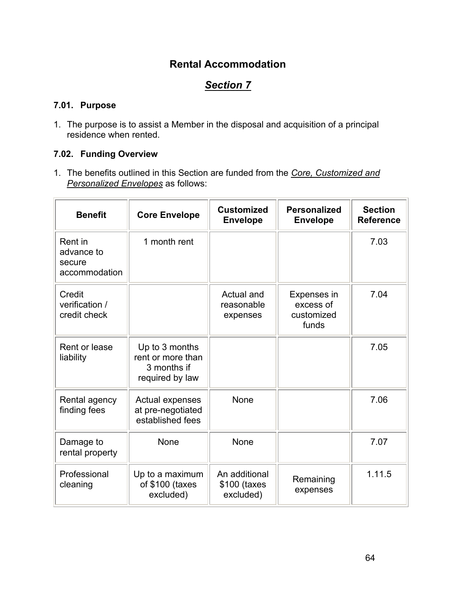## **Rental Accommodation**

# *Section 7*

## **7.01. Purpose**

1. The purpose is to assist a Member in the disposal and acquisition of a principal residence when rented.

## **7.02. Funding Overview**

1. The benefits outlined in this Section are funded from the *Core, Customized and Personalized Envelopes* as follows:

| <b>Benefit</b>                                   | <b>Core Envelope</b>                                                  | <b>Customized</b><br><b>Envelope</b>       | <b>Personalized</b><br><b>Envelope</b>          | <b>Section</b><br><b>Reference</b> |
|--------------------------------------------------|-----------------------------------------------------------------------|--------------------------------------------|-------------------------------------------------|------------------------------------|
| Rent in<br>advance to<br>secure<br>accommodation | 1 month rent                                                          |                                            |                                                 | 7.03                               |
| Credit<br>verification /<br>credit check         |                                                                       | Actual and<br>reasonable<br>expenses       | Expenses in<br>excess of<br>customized<br>funds | 7.04                               |
| Rent or lease<br>liability                       | Up to 3 months<br>rent or more than<br>3 months if<br>required by law |                                            |                                                 | 7.05                               |
| Rental agency<br>finding fees                    | Actual expenses<br>at pre-negotiated<br>established fees              | None                                       |                                                 | 7.06                               |
| Damage to<br>rental property                     | None                                                                  | None                                       |                                                 | 7.07                               |
| Professional<br>cleaning                         | Up to a maximum<br>of \$100 (taxes<br>excluded)                       | An additional<br>\$100 (taxes<br>excluded) | Remaining<br>expenses                           | 1.11.5                             |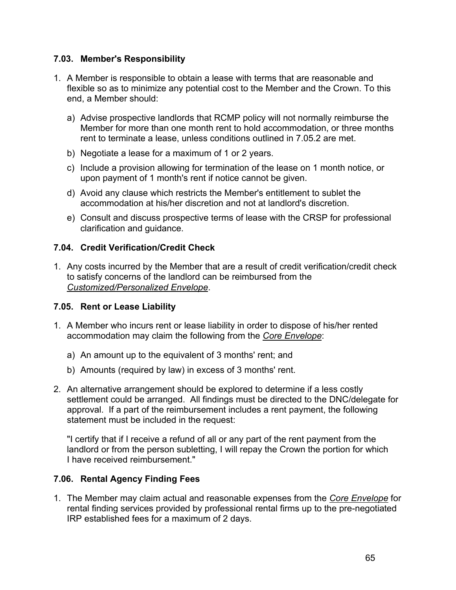### **7.03. Member's Responsibility**

- 1. A Member is responsible to obtain a lease with terms that are reasonable and flexible so as to minimize any potential cost to the Member and the Crown. To this end, a Member should:
	- a) Advise prospective landlords that RCMP policy will not normally reimburse the Member for more than one month rent to hold accommodation, or three months rent to terminate a lease, unless conditions outlined in 7.05.2 are met.
	- b) Negotiate a lease for a maximum of 1 or 2 years.
	- c) Include a provision allowing for termination of the lease on 1 month notice, or upon payment of 1 month's rent if notice cannot be given.
	- d) Avoid any clause which restricts the Member's entitlement to sublet the accommodation at his/her discretion and not at landlord's discretion.
	- e) Consult and discuss prospective terms of lease with the CRSP for professional clarification and guidance.

## **7.04. Credit Verification/Credit Check**

1. Any costs incurred by the Member that are a result of credit verification/credit check to satisfy concerns of the landlord can be reimbursed from the *Customized/Personalized Envelope*.

## **7.05. Rent or Lease Liability**

- 1. A Member who incurs rent or lease liability in order to dispose of his/her rented accommodation may claim the following from the *Core Envelope*:
	- a) An amount up to the equivalent of 3 months' rent; and
	- b) Amounts (required by law) in excess of 3 months' rent.
- 2. An alternative arrangement should be explored to determine if a less costly settlement could be arranged. All findings must be directed to the DNC/delegate for approval. If a part of the reimbursement includes a rent payment, the following statement must be included in the request:

"I certify that if I receive a refund of all or any part of the rent payment from the landlord or from the person subletting, I will repay the Crown the portion for which I have received reimbursement."

## **7.06. Rental Agency Finding Fees**

1. The Member may claim actual and reasonable expenses from the *Core Envelope* for rental finding services provided by professional rental firms up to the pre-negotiated IRP established fees for a maximum of 2 days.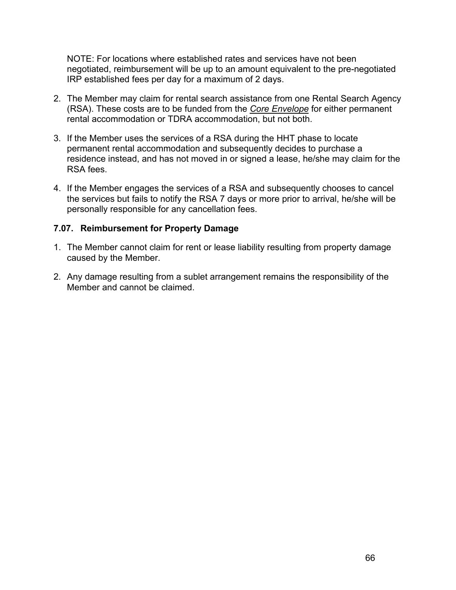NOTE: For locations where established rates and services have not been negotiated, reimbursement will be up to an amount equivalent to the pre-negotiated IRP established fees per day for a maximum of 2 days.

- 2. The Member may claim for rental search assistance from one Rental Search Agency (RSA). These costs are to be funded from the *Core Envelope* for either permanent rental accommodation or TDRA accommodation, but not both.
- 3. If the Member uses the services of a RSA during the HHT phase to locate permanent rental accommodation and subsequently decides to purchase a residence instead, and has not moved in or signed a lease, he/she may claim for the RSA fees.
- 4. If the Member engages the services of a RSA and subsequently chooses to cancel the services but fails to notify the RSA 7 days or more prior to arrival, he/she will be personally responsible for any cancellation fees.

## **7.07. Reimbursement for Property Damage**

- 1. The Member cannot claim for rent or lease liability resulting from property damage caused by the Member.
- 2. Any damage resulting from a sublet arrangement remains the responsibility of the Member and cannot be claimed.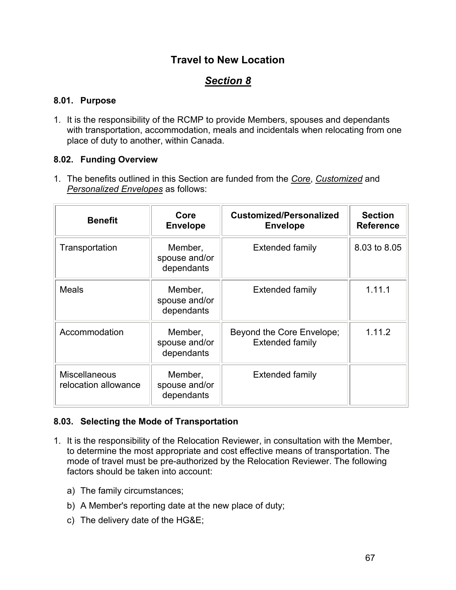## **Travel to New Location**

## *Section 8*

## **8.01. Purpose**

1. It is the responsibility of the RCMP to provide Members, spouses and dependants with transportation, accommodation, meals and incidentals when relocating from one place of duty to another, within Canada.

## **8.02. Funding Overview**

1. The benefits outlined in this Section are funded from the *Core*, *Customized* and *Personalized Envelopes* as follows:

| <b>Benefit</b>                               | Core<br><b>Envelope</b>                | <b>Customized/Personalized</b><br><b>Envelope</b>   | <b>Section</b><br><b>Reference</b> |
|----------------------------------------------|----------------------------------------|-----------------------------------------------------|------------------------------------|
| Transportation                               | Member,<br>spouse and/or<br>dependants | <b>Extended family</b>                              | 8.03 to 8.05                       |
| <b>Meals</b>                                 | Member,<br>spouse and/or<br>dependants | <b>Extended family</b>                              | 1.11.1                             |
| Accommodation                                | Member,<br>spouse and/or<br>dependants | Beyond the Core Envelope;<br><b>Extended family</b> | 1.11.2                             |
| <b>Miscellaneous</b><br>relocation allowance | Member,<br>spouse and/or<br>dependants | Extended family                                     |                                    |

## **8.03. Selecting the Mode of Transportation**

- 1. It is the responsibility of the Relocation Reviewer, in consultation with the Member, to determine the most appropriate and cost effective means of transportation. The mode of travel must be pre-authorized by the Relocation Reviewer. The following factors should be taken into account:
	- a) The family circumstances;
	- b) A Member's reporting date at the new place of duty;
	- c) The delivery date of the HG&E;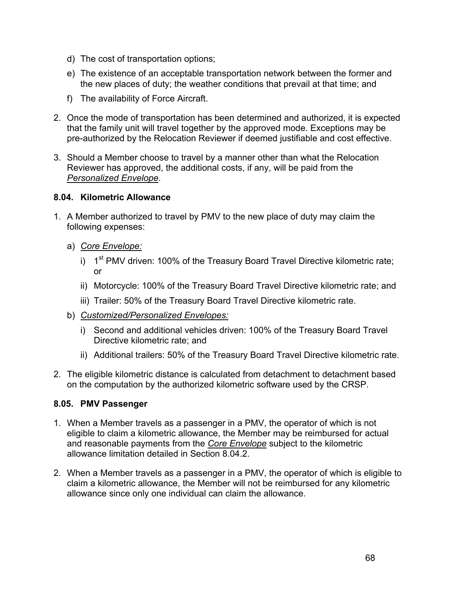- d) The cost of transportation options;
- e) The existence of an acceptable transportation network between the former and the new places of duty; the weather conditions that prevail at that time; and
- f) The availability of Force Aircraft.
- 2. Once the mode of transportation has been determined and authorized, it is expected that the family unit will travel together by the approved mode. Exceptions may be pre-authorized by the Relocation Reviewer if deemed justifiable and cost effective.
- 3. Should a Member choose to travel by a manner other than what the Relocation Reviewer has approved, the additional costs, if any, will be paid from the *Personalized Envelope*.

#### **8.04. Kilometric Allowance**

- 1. A Member authorized to travel by PMV to the new place of duty may claim the following expenses:
	- a) *Core Envelope:*
		- i)  $1<sup>st</sup>$  PMV driven: 100% of the Treasury Board Travel Directive kilometric rate; or
		- ii) Motorcycle: 100% of the Treasury Board Travel Directive kilometric rate; and
		- iii) Trailer: 50% of the Treasury Board Travel Directive kilometric rate.
	- b) *Customized/Personalized Envelopes:*
		- i) Second and additional vehicles driven: 100% of the Treasury Board Travel Directive kilometric rate; and
		- ii) Additional trailers: 50% of the Treasury Board Travel Directive kilometric rate.
- 2. The eligible kilometric distance is calculated from detachment to detachment based on the computation by the authorized kilometric software used by the CRSP.

## **8.05. PMV Passenger**

- 1. When a Member travels as a passenger in a PMV, the operator of which is not eligible to claim a kilometric allowance, the Member may be reimbursed for actual and reasonable payments from the *Core Envelope* subject to the kilometric allowance limitation detailed in Section 8.04.2.
- 2. When a Member travels as a passenger in a PMV, the operator of which is eligible to claim a kilometric allowance, the Member will not be reimbursed for any kilometric allowance since only one individual can claim the allowance.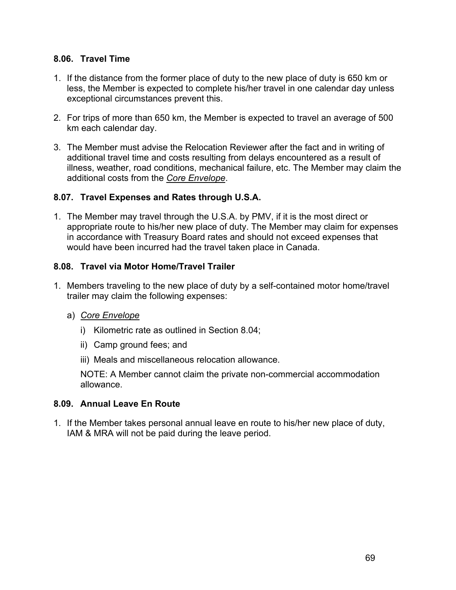### **8.06. Travel Time**

- 1. If the distance from the former place of duty to the new place of duty is 650 km or less, the Member is expected to complete his/her travel in one calendar day unless exceptional circumstances prevent this.
- 2. For trips of more than 650 km, the Member is expected to travel an average of 500 km each calendar day.
- 3. The Member must advise the Relocation Reviewer after the fact and in writing of additional travel time and costs resulting from delays encountered as a result of illness, weather, road conditions, mechanical failure, etc. The Member may claim the additional costs from the *Core Envelope*.

#### **8.07. Travel Expenses and Rates through U.S.A.**

1. The Member may travel through the U.S.A. by PMV, if it is the most direct or appropriate route to his/her new place of duty. The Member may claim for expenses in accordance with Treasury Board rates and should not exceed expenses that would have been incurred had the travel taken place in Canada.

## **8.08. Travel via Motor Home/Travel Trailer**

- 1. Members traveling to the new place of duty by a self-contained motor home/travel trailer may claim the following expenses:
	- a) *Core Envelope*
		- i) Kilometric rate as outlined in Section 8.04;
		- ii) Camp ground fees; and
		- iii) Meals and miscellaneous relocation allowance.

NOTE: A Member cannot claim the private non-commercial accommodation allowance.

## **8.09. Annual Leave En Route**

1. If the Member takes personal annual leave en route to his/her new place of duty, IAM & MRA will not be paid during the leave period.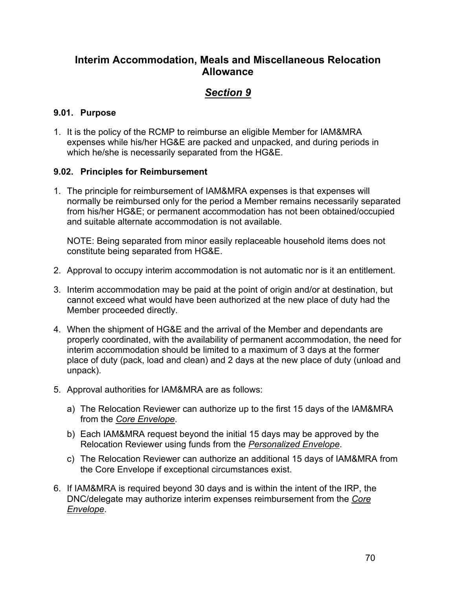## **Interim Accommodation, Meals and Miscellaneous Relocation Allowance**

# *Section 9*

## **9.01. Purpose**

1. It is the policy of the RCMP to reimburse an eligible Member for IAM&MRA expenses while his/her HG&E are packed and unpacked, and during periods in which he/she is necessarily separated from the HG&E.

## **9.02. Principles for Reimbursement**

1. The principle for reimbursement of IAM&MRA expenses is that expenses will normally be reimbursed only for the period a Member remains necessarily separated from his/her HG&E; or permanent accommodation has not been obtained/occupied and suitable alternate accommodation is not available.

NOTE: Being separated from minor easily replaceable household items does not constitute being separated from HG&E.

- 2. Approval to occupy interim accommodation is not automatic nor is it an entitlement.
- 3. Interim accommodation may be paid at the point of origin and/or at destination, but cannot exceed what would have been authorized at the new place of duty had the Member proceeded directly.
- 4. When the shipment of HG&E and the arrival of the Member and dependants are properly coordinated, with the availability of permanent accommodation, the need for interim accommodation should be limited to a maximum of 3 days at the former place of duty (pack, load and clean) and 2 days at the new place of duty (unload and unpack).
- 5. Approval authorities for IAM&MRA are as follows:
	- a) The Relocation Reviewer can authorize up to the first 15 days of the IAM&MRA from the *Core Envelope*.
	- b) Each IAM&MRA request beyond the initial 15 days may be approved by the Relocation Reviewer using funds from the *Personalized Envelope*.
	- c) The Relocation Reviewer can authorize an additional 15 days of IAM&MRA from the Core Envelope if exceptional circumstances exist.
- 6. If IAM&MRA is required beyond 30 days and is within the intent of the IRP, the DNC/delegate may authorize interim expenses reimbursement from the *Core Envelope*.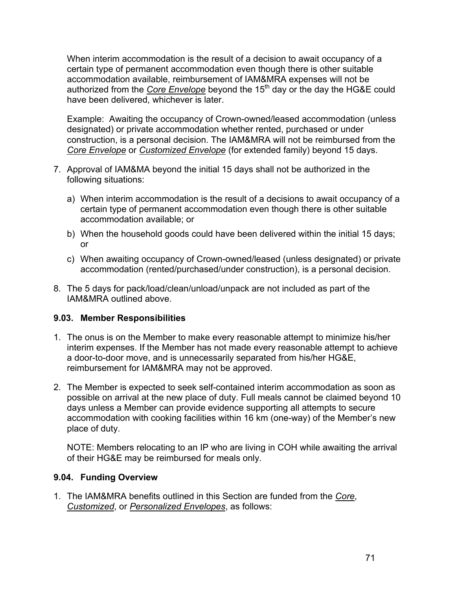When interim accommodation is the result of a decision to await occupancy of a certain type of permanent accommodation even though there is other suitable accommodation available, reimbursement of IAM&MRA expenses will not be authorized from the *Core Envelope* beyond the 15<sup>th</sup> day or the day the HG&E could have been delivered, whichever is later.

Example: Awaiting the occupancy of Crown-owned/leased accommodation (unless designated) or private accommodation whether rented, purchased or under construction, is a personal decision. The IAM&MRA will not be reimbursed from the *Core Envelope* or *Customized Envelope* (for extended family) beyond 15 days.

- 7. Approval of IAM&MA beyond the initial 15 days shall not be authorized in the following situations:
	- a) When interim accommodation is the result of a decisions to await occupancy of a certain type of permanent accommodation even though there is other suitable accommodation available; or
	- b) When the household goods could have been delivered within the initial 15 days; or
	- c) When awaiting occupancy of Crown-owned/leased (unless designated) or private accommodation (rented/purchased/under construction), is a personal decision.
- 8. The 5 days for pack/load/clean/unload/unpack are not included as part of the IAM&MRA outlined above.

## **9.03. Member Responsibilities**

- 1. The onus is on the Member to make every reasonable attempt to minimize his/her interim expenses. If the Member has not made every reasonable attempt to achieve a door-to-door move, and is unnecessarily separated from his/her HG&E, reimbursement for IAM&MRA may not be approved.
- 2. The Member is expected to seek self-contained interim accommodation as soon as possible on arrival at the new place of duty. Full meals cannot be claimed beyond 10 days unless a Member can provide evidence supporting all attempts to secure accommodation with cooking facilities within 16 km (one-way) of the Member's new place of duty.

NOTE: Members relocating to an IP who are living in COH while awaiting the arrival of their HG&E may be reimbursed for meals only.

#### **9.04. Funding Overview**

1. The IAM&MRA benefits outlined in this Section are funded from the *Core*, *Customized*, or *Personalized Envelopes*, as follows: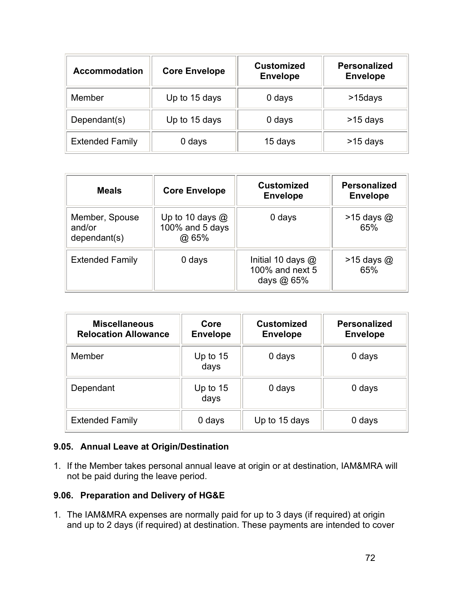| <b>Accommodation</b>   | <b>Core Envelope</b> | <b>Customized</b><br><b>Envelope</b> | <b>Personalized</b><br><b>Envelope</b> |
|------------------------|----------------------|--------------------------------------|----------------------------------------|
| Member                 | Up to 15 days        | 0 days                               | >15days                                |
| Dependant(s)           | Up to 15 days        | 0 days                               | $>15$ days                             |
| <b>Extended Family</b> | 0 days               | 15 days                              | $>15$ days                             |

| <b>Meals</b>                             | <b>Core Envelope</b>                          | <b>Customized</b><br><b>Envelope</b>                   | <b>Personalized</b><br><b>Envelope</b> |
|------------------------------------------|-----------------------------------------------|--------------------------------------------------------|----------------------------------------|
| Member, Spouse<br>and/or<br>dependent(s) | Up to 10 days $@$<br>100% and 5 days<br>@ 65% | 0 days                                                 | $>15$ days $@$<br>65%                  |
| <b>Extended Family</b>                   | 0 days                                        | Initial 10 days $@$<br>100% and next 5<br>days $@65\%$ | $>15$ days $@$<br>65%                  |

| <b>Miscellaneous</b><br><b>Relocation Allowance</b> | Core<br><b>Envelope</b> | <b>Customized</b><br><b>Envelope</b> | <b>Personalized</b><br><b>Envelope</b> |
|-----------------------------------------------------|-------------------------|--------------------------------------|----------------------------------------|
| Member                                              | Up to $15$<br>days      | 0 days                               | 0 days                                 |
| Dependant                                           | Up to $15$<br>days      | 0 days                               | 0 days                                 |
| <b>Extended Family</b>                              | 0 days                  | Up to 15 days                        | 0 days                                 |

## **9.05. Annual Leave at Origin/Destination**

1. If the Member takes personal annual leave at origin or at destination, IAM&MRA will not be paid during the leave period.

## **9.06. Preparation and Delivery of HG&E**

1. The IAM&MRA expenses are normally paid for up to 3 days (if required) at origin and up to 2 days (if required) at destination. These payments are intended to cover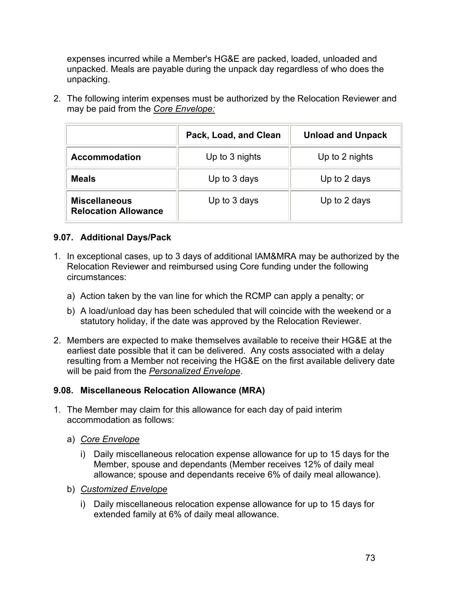expenses incurred while a Member's HG&E are packed, loaded, unloaded and unpacked. Meals are payable during the unpack day regardless of who does the unpacking.

2. The following interim expenses must be authorized by the Relocation Reviewer and may be paid from the *Core Envelope:*

|                                                     | Pack, Load, and Clean | <b>Unload and Unpack</b> |
|-----------------------------------------------------|-----------------------|--------------------------|
| <b>Accommodation</b>                                | Up to 3 nights        | Up to 2 nights           |
| <b>Meals</b>                                        | Up to 3 days          | Up to 2 days             |
| <b>Miscellaneous</b><br><b>Relocation Allowance</b> | Up to 3 days          | Up to 2 days             |

## **9.07. Additional Days/Pack**

- 1. In exceptional cases, up to 3 days of additional IAM&MRA may be authorized by the Relocation Reviewer and reimbursed using Core funding under the following circumstances:
	- a) Action taken by the van line for which the RCMP can apply a penalty; or
	- b) A load/unload day has been scheduled that will coincide with the weekend or a statutory holiday, if the date was approved by the Relocation Reviewer.
- 2. Members are expected to make themselves available to receive their HG&E at the earliest date possible that it can be delivered. Any costs associated with a delay resulting from a Member not receiving the HG&E on the first available delivery date will be paid from the *Personalized Envelope*.

#### **9.08. Miscellaneous Relocation Allowance (MRA)**

- 1. The Member may claim for this allowance for each day of paid interim accommodation as follows:
	- a) *Core Envelope*
		- i) Daily miscellaneous relocation expense allowance for up to 15 days for the Member, spouse and dependants (Member receives 12% of daily meal allowance; spouse and dependants receive 6% of daily meal allowance).
	- b) *Customized Envelope*
		- i) Daily miscellaneous relocation expense allowance for up to 15 days for extended family at 6% of daily meal allowance.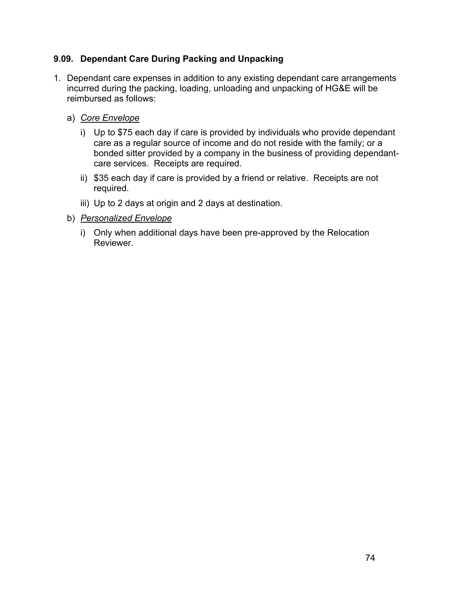## **9.09. Dependant Care During Packing and Unpacking**

- 1. Dependant care expenses in addition to any existing dependant care arrangements incurred during the packing, loading, unloading and unpacking of HG&E will be reimbursed as follows:
	- a) *Core Envelope*
		- i) Up to \$75 each day if care is provided by individuals who provide dependant care as a regular source of income and do not reside with the family; or a bonded sitter provided by a company in the business of providing dependantcare services. Receipts are required.
		- ii) \$35 each day if care is provided by a friend or relative. Receipts are not required.
		- iii) Up to 2 days at origin and 2 days at destination.
	- b) *Personalized Envelope*
		- i) Only when additional days have been pre-approved by the Relocation Reviewer.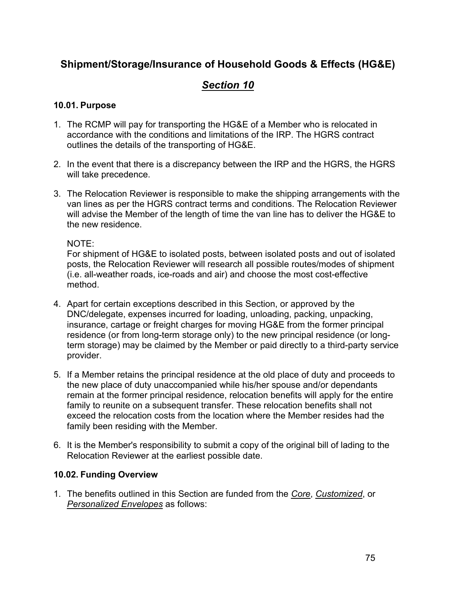## **Shipment/Storage/Insurance of Household Goods & Effects (HG&E)**

# *Section 10*

#### **10.01. Purpose**

- 1. The RCMP will pay for transporting the HG&E of a Member who is relocated in accordance with the conditions and limitations of the IRP. The HGRS contract outlines the details of the transporting of HG&E.
- 2. In the event that there is a discrepancy between the IRP and the HGRS, the HGRS will take precedence.
- 3. The Relocation Reviewer is responsible to make the shipping arrangements with the van lines as per the HGRS contract terms and conditions. The Relocation Reviewer will advise the Member of the length of time the van line has to deliver the HG&E to the new residence.

NOTE:

For shipment of HG&E to isolated posts, between isolated posts and out of isolated posts, the Relocation Reviewer will research all possible routes/modes of shipment (i.e. all-weather roads, ice-roads and air) and choose the most cost-effective method.

- 4. Apart for certain exceptions described in this Section, or approved by the DNC/delegate, expenses incurred for loading, unloading, packing, unpacking, insurance, cartage or freight charges for moving HG&E from the former principal residence (or from long-term storage only) to the new principal residence (or longterm storage) may be claimed by the Member or paid directly to a third-party service provider.
- 5. If a Member retains the principal residence at the old place of duty and proceeds to the new place of duty unaccompanied while his/her spouse and/or dependants remain at the former principal residence, relocation benefits will apply for the entire family to reunite on a subsequent transfer. These relocation benefits shall not exceed the relocation costs from the location where the Member resides had the family been residing with the Member.
- 6. It is the Member's responsibility to submit a copy of the original bill of lading to the Relocation Reviewer at the earliest possible date.

## **10.02. Funding Overview**

1. The benefits outlined in this Section are funded from the *Core*, *Customized*, or *Personalized Envelopes* as follows: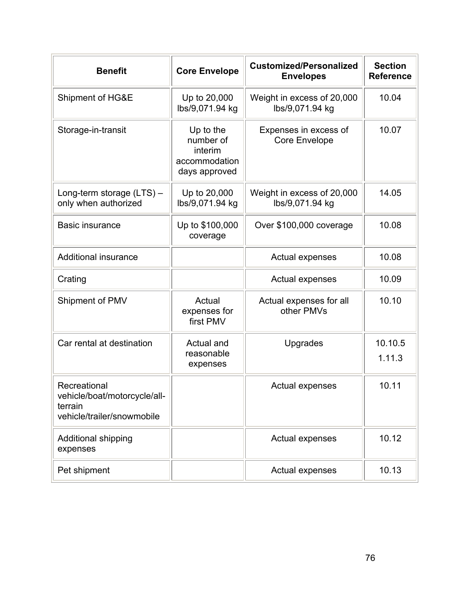| <b>Benefit</b>                                                                        | <b>Core Envelope</b>                                                | <b>Customized/Personalized</b><br><b>Envelopes</b> | <b>Section</b><br><b>Reference</b> |
|---------------------------------------------------------------------------------------|---------------------------------------------------------------------|----------------------------------------------------|------------------------------------|
| Shipment of HG&E                                                                      | Up to 20,000<br>lbs/9,071.94 kg                                     | Weight in excess of 20,000<br>lbs/9,071.94 kg      | 10.04                              |
| Storage-in-transit                                                                    | Up to the<br>number of<br>interim<br>accommodation<br>days approved | Expenses in excess of<br><b>Core Envelope</b>      | 10.07                              |
| Long-term storage (LTS) -<br>only when authorized                                     | Up to 20,000<br>lbs/9,071.94 kg                                     | Weight in excess of 20,000<br>lbs/9,071.94 kg      | 14.05                              |
| <b>Basic insurance</b>                                                                | Up to \$100,000<br>coverage                                         | Over \$100,000 coverage                            | 10.08                              |
| <b>Additional insurance</b>                                                           |                                                                     | <b>Actual expenses</b>                             | 10.08                              |
| Crating                                                                               |                                                                     | <b>Actual expenses</b>                             | 10.09                              |
| Shipment of PMV                                                                       | Actual<br>expenses for<br>first PMV                                 | Actual expenses for all<br>other PMVs              | 10.10                              |
| Car rental at destination                                                             | Actual and<br>reasonable<br>expenses                                | Upgrades                                           | 10.10.5<br>1.11.3                  |
| Recreational<br>vehicle/boat/motorcycle/all-<br>terrain<br>vehicle/trailer/snowmobile |                                                                     | <b>Actual expenses</b>                             | 10.11                              |
| <b>Additional shipping</b><br>expenses                                                |                                                                     | Actual expenses                                    | 10.12                              |
| Pet shipment                                                                          |                                                                     | <b>Actual expenses</b>                             | 10.13                              |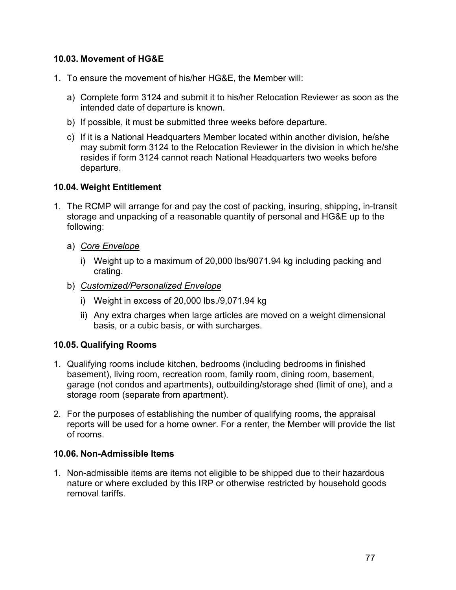### **10.03. Movement of HG&E**

- 1. To ensure the movement of his/her HG&E, the Member will:
	- a) Complete form 3124 and submit it to his/her Relocation Reviewer as soon as the intended date of departure is known.
	- b) If possible, it must be submitted three weeks before departure.
	- c) If it is a National Headquarters Member located within another division, he/she may submit form 3124 to the Relocation Reviewer in the division in which he/she resides if form 3124 cannot reach National Headquarters two weeks before departure.

#### **10.04. Weight Entitlement**

- 1. The RCMP will arrange for and pay the cost of packing, insuring, shipping, in-transit storage and unpacking of a reasonable quantity of personal and HG&E up to the following:
	- a) *Core Envelope*
		- i) Weight up to a maximum of 20,000 lbs/9071.94 kg including packing and crating.
	- b) *Customized/Personalized Envelope*
		- i) Weight in excess of 20,000 lbs./9,071.94 kg
		- ii) Any extra charges when large articles are moved on a weight dimensional basis, or a cubic basis, or with surcharges.

#### **10.05. Qualifying Rooms**

- 1. Qualifying rooms include kitchen, bedrooms (including bedrooms in finished basement), living room, recreation room, family room, dining room, basement, garage (not condos and apartments), outbuilding/storage shed (limit of one), and a storage room (separate from apartment).
- 2. For the purposes of establishing the number of qualifying rooms, the appraisal reports will be used for a home owner. For a renter, the Member will provide the list of rooms.

#### **10.06. Non-Admissible Items**

1. Non-admissible items are items not eligible to be shipped due to their hazardous nature or where excluded by this IRP or otherwise restricted by household goods removal tariffs.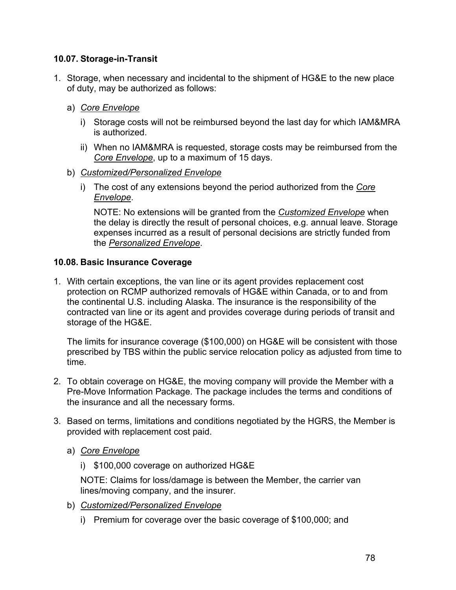#### **10.07. Storage-in-Transit**

- 1. Storage, when necessary and incidental to the shipment of HG&E to the new place of duty, may be authorized as follows:
	- a) *Core Envelope*
		- i) Storage costs will not be reimbursed beyond the last day for which IAM&MRA is authorized.
		- ii) When no IAM&MRA is requested, storage costs may be reimbursed from the *Core Envelope*, up to a maximum of 15 days.
	- b) *Customized/Personalized Envelope*
		- i) The cost of any extensions beyond the period authorized from the *Core Envelope*.

NOTE: No extensions will be granted from the *Customized Envelope* when the delay is directly the result of personal choices, e.g. annual leave. Storage expenses incurred as a result of personal decisions are strictly funded from the *Personalized Envelope*.

#### **10.08. Basic Insurance Coverage**

1. With certain exceptions, the van line or its agent provides replacement cost protection on RCMP authorized removals of HG&E within Canada, or to and from the continental U.S. including Alaska. The insurance is the responsibility of the contracted van line or its agent and provides coverage during periods of transit and storage of the HG&E.

The limits for insurance coverage (\$100,000) on HG&E will be consistent with those prescribed by TBS within the public service relocation policy as adjusted from time to time.

- 2. To obtain coverage on HG&E, the moving company will provide the Member with a Pre-Move Information Package. The package includes the terms and conditions of the insurance and all the necessary forms.
- 3. Based on terms, limitations and conditions negotiated by the HGRS, the Member is provided with replacement cost paid.
	- a) *Core Envelope*
		- i) \$100,000 coverage on authorized HG&E

NOTE: Claims for loss/damage is between the Member, the carrier van lines/moving company, and the insurer.

- b) *Customized/Personalized Envelope*
	- i) Premium for coverage over the basic coverage of \$100,000; and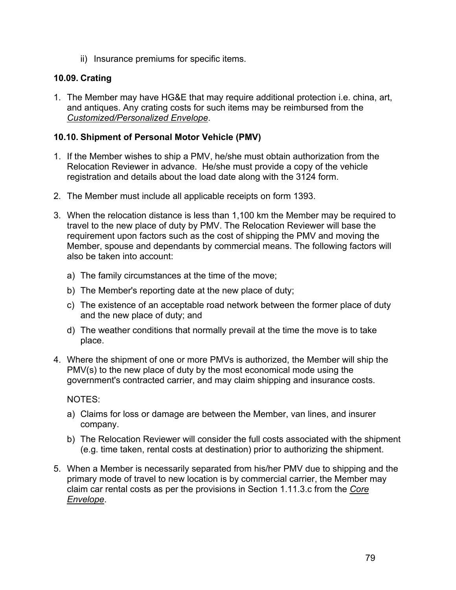ii) Insurance premiums for specific items.

## **10.09. Crating**

1. The Member may have HG&E that may require additional protection i.e. china, art, and antiques. Any crating costs for such items may be reimbursed from the *Customized/Personalized Envelope*.

## **10.10. Shipment of Personal Motor Vehicle (PMV)**

- 1. If the Member wishes to ship a PMV, he/she must obtain authorization from the Relocation Reviewer in advance. He/she must provide a copy of the vehicle registration and details about the load date along with the 3124 form.
- 2. The Member must include all applicable receipts on form 1393.
- 3. When the relocation distance is less than 1,100 km the Member may be required to travel to the new place of duty by PMV. The Relocation Reviewer will base the requirement upon factors such as the cost of shipping the PMV and moving the Member, spouse and dependants by commercial means. The following factors will also be taken into account:
	- a) The family circumstances at the time of the move;
	- b) The Member's reporting date at the new place of duty;
	- c) The existence of an acceptable road network between the former place of duty and the new place of duty; and
	- d) The weather conditions that normally prevail at the time the move is to take place.
- 4. Where the shipment of one or more PMVs is authorized, the Member will ship the PMV(s) to the new place of duty by the most economical mode using the government's contracted carrier, and may claim shipping and insurance costs.

NOTES:

- a) Claims for loss or damage are between the Member, van lines, and insurer company.
- b) The Relocation Reviewer will consider the full costs associated with the shipment (e.g. time taken, rental costs at destination) prior to authorizing the shipment.
- 5. When a Member is necessarily separated from his/her PMV due to shipping and the primary mode of travel to new location is by commercial carrier, the Member may claim car rental costs as per the provisions in Section 1.11.3.c from the *Core Envelope*.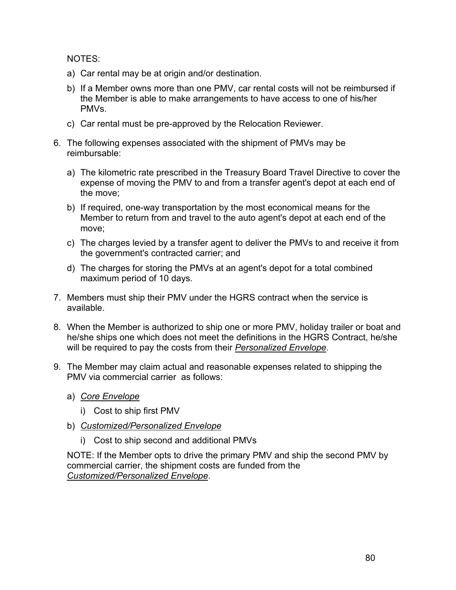NOTES:

- a) Car rental may be at origin and/or destination.
- b) If a Member owns more than one PMV, car rental costs will not be reimbursed if the Member is able to make arrangements to have access to one of his/her PMVs.
- c) Car rental must be pre-approved by the Relocation Reviewer.
- 6. The following expenses associated with the shipment of PMVs may be reimbursable:
	- a) The kilometric rate prescribed in the Treasury Board Travel Directive to cover the expense of moving the PMV to and from a transfer agent's depot at each end of the move;
	- b) If required, one-way transportation by the most economical means for the Member to return from and travel to the auto agent's depot at each end of the move;
	- c) The charges levied by a transfer agent to deliver the PMVs to and receive it from the government's contracted carrier; and
	- d) The charges for storing the PMVs at an agent's depot for a total combined maximum period of 10 days.
- 7. Members must ship their PMV under the HGRS contract when the service is available.
- 8. When the Member is authorized to ship one or more PMV, holiday trailer or boat and he/she ships one which does not meet the definitions in the HGRS Contract, he/she will be required to pay the costs from their *Personalized Envelope*.
- 9. The Member may claim actual and reasonable expenses related to shipping the PMV via commercial carrier as follows:
	- a) *Core Envelope*
		- i) Cost to ship first PMV
	- b) *Customized/Personalized Envelope*
		- i) Cost to ship second and additional PMVs

NOTE: If the Member opts to drive the primary PMV and ship the second PMV by commercial carrier, the shipment costs are funded from the *Customized/Personalized Envelope*.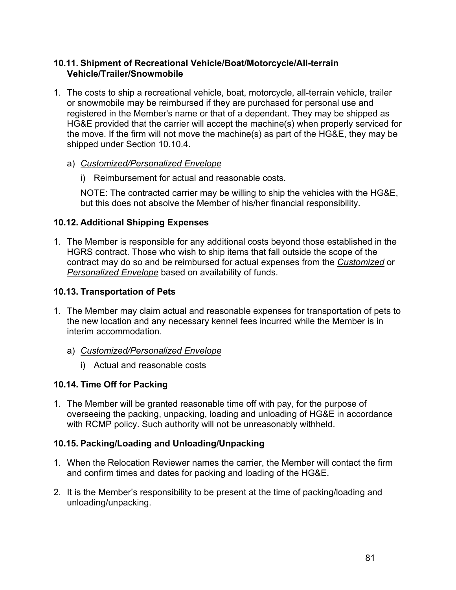#### **10.11. Shipment of Recreational Vehicle/Boat/Motorcycle/All-terrain Vehicle/Trailer/Snowmobile**

- 1. The costs to ship a recreational vehicle, boat, motorcycle, all-terrain vehicle, trailer or snowmobile may be reimbursed if they are purchased for personal use and registered in the Member's name or that of a dependant. They may be shipped as HG&E provided that the carrier will accept the machine(s) when properly serviced for the move. If the firm will not move the machine(s) as part of the HG&E, they may be shipped under Section 10.10.4.
	- a) *Customized/Personalized Envelope*
		- i) Reimbursement for actual and reasonable costs.

NOTE: The contracted carrier may be willing to ship the vehicles with the HG&E, but this does not absolve the Member of his/her financial responsibility.

## **10.12. Additional Shipping Expenses**

1. The Member is responsible for any additional costs beyond those established in the HGRS contract. Those who wish to ship items that fall outside the scope of the contract may do so and be reimbursed for actual expenses from the *Customized* or *Personalized Envelope* based on availability of funds.

## **10.13. Transportation of Pets**

- 1. The Member may claim actual and reasonable expenses for transportation of pets to the new location and any necessary kennel fees incurred while the Member is in interim accommodation.
	- a) *Customized/Personalized Envelope*
		- i) Actual and reasonable costs

## **10.14. Time Off for Packing**

1. The Member will be granted reasonable time off with pay, for the purpose of overseeing the packing, unpacking, loading and unloading of HG&E in accordance with RCMP policy. Such authority will not be unreasonably withheld.

## **10.15. Packing/Loading and Unloading/Unpacking**

- 1. When the Relocation Reviewer names the carrier, the Member will contact the firm and confirm times and dates for packing and loading of the HG&E.
- 2. It is the Member's responsibility to be present at the time of packing/loading and unloading/unpacking.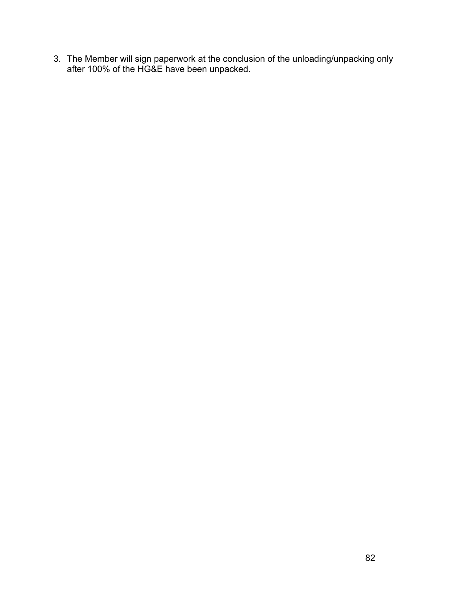3. The Member will sign paperwork at the conclusion of the unloading/unpacking only after 100% of the HG&E have been unpacked.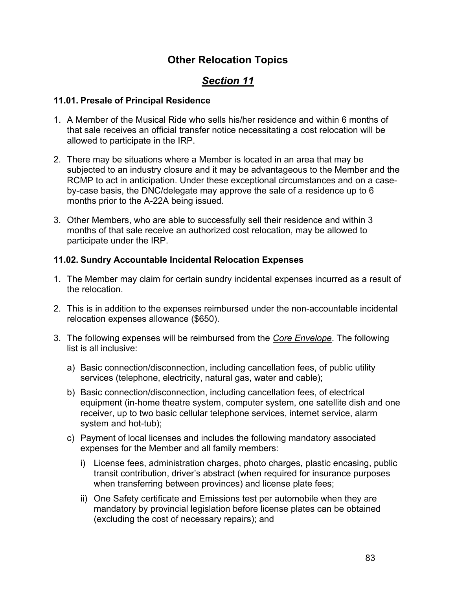## **Other Relocation Topics**

# *Section 11*

#### **11.01. Presale of Principal Residence**

- 1. A Member of the Musical Ride who sells his/her residence and within 6 months of that sale receives an official transfer notice necessitating a cost relocation will be allowed to participate in the IRP.
- 2. There may be situations where a Member is located in an area that may be subjected to an industry closure and it may be advantageous to the Member and the RCMP to act in anticipation. Under these exceptional circumstances and on a caseby-case basis, the DNC/delegate may approve the sale of a residence up to 6 months prior to the A-22A being issued.
- 3. Other Members, who are able to successfully sell their residence and within 3 months of that sale receive an authorized cost relocation, may be allowed to participate under the IRP.

## **11.02. Sundry Accountable Incidental Relocation Expenses**

- 1. The Member may claim for certain sundry incidental expenses incurred as a result of the relocation.
- 2. This is in addition to the expenses reimbursed under the non-accountable incidental relocation expenses allowance (\$650).
- 3. The following expenses will be reimbursed from the *Core Envelope*. The following list is all inclusive:
	- a) Basic connection/disconnection, including cancellation fees, of public utility services (telephone, electricity, natural gas, water and cable);
	- b) Basic connection/disconnection, including cancellation fees, of electrical equipment (in-home theatre system, computer system, one satellite dish and one receiver, up to two basic cellular telephone services, internet service, alarm system and hot-tub);
	- c) Payment of local licenses and includes the following mandatory associated expenses for the Member and all family members:
		- i) License fees, administration charges, photo charges, plastic encasing, public transit contribution, driver's abstract (when required for insurance purposes when transferring between provinces) and license plate fees;
		- ii) One Safety certificate and Emissions test per automobile when they are mandatory by provincial legislation before license plates can be obtained (excluding the cost of necessary repairs); and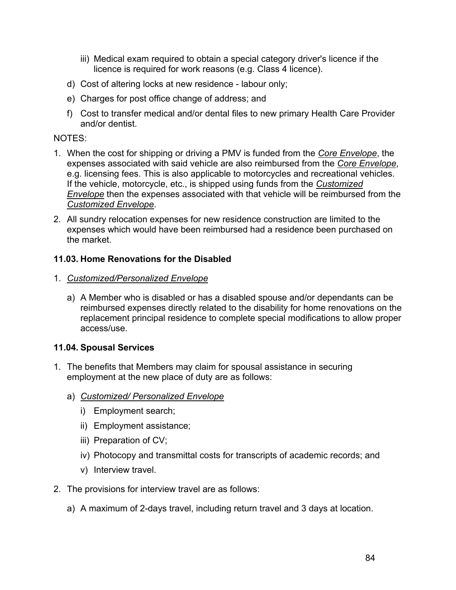- iii) Medical exam required to obtain a special category driver's licence if the licence is required for work reasons (e.g. Class 4 licence).
- d) Cost of altering locks at new residence labour only;
- e) Charges for post office change of address; and
- f) Cost to transfer medical and/or dental files to new primary Health Care Provider and/or dentist.

#### NOTES:

- 1. When the cost for shipping or driving a PMV is funded from the *Core Envelope*, the expenses associated with said vehicle are also reimbursed from the *Core Envelope*, e.g. licensing fees. This is also applicable to motorcycles and recreational vehicles. If the vehicle, motorcycle, etc., is shipped using funds from the *Customized Envelope* then the expenses associated with that vehicle will be reimbursed from the *Customized Envelope*.
- 2. All sundry relocation expenses for new residence construction are limited to the expenses which would have been reimbursed had a residence been purchased on the market.

#### **11.03. Home Renovations for the Disabled**

- 1. *Customized/Personalized Envelope*
	- a) A Member who is disabled or has a disabled spouse and/or dependants can be reimbursed expenses directly related to the disability for home renovations on the replacement principal residence to complete special modifications to allow proper access/use.

## **11.04. Spousal Services**

- 1. The benefits that Members may claim for spousal assistance in securing employment at the new place of duty are as follows:
	- a) *Customized/ Personalized Envelope*
		- i) Employment search;
		- ii) Employment assistance;
		- iii) Preparation of CV;
		- iv) Photocopy and transmittal costs for transcripts of academic records; and
		- v) Interview travel.
- 2. The provisions for interview travel are as follows:
	- a) A maximum of 2-days travel, including return travel and 3 days at location.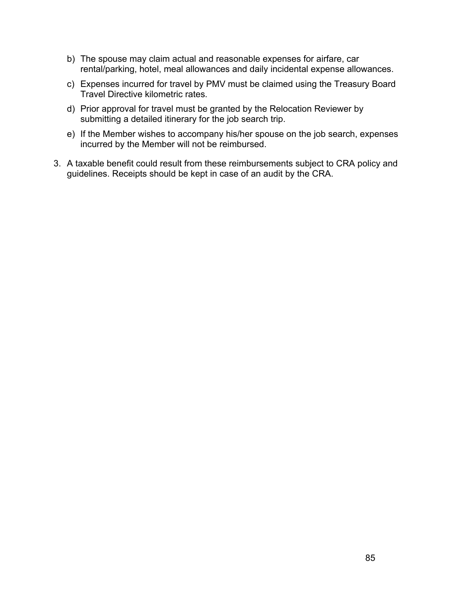- b) The spouse may claim actual and reasonable expenses for airfare, car rental/parking, hotel, meal allowances and daily incidental expense allowances.
- c) Expenses incurred for travel by PMV must be claimed using the Treasury Board Travel Directiv[e kilometric rates](http://publiservice.tbs-sct.gc.ca/pubs_pol/hrpubs/TBM_113/b_e.asp).
- d) Prior approval for travel must be granted by the Relocation Reviewer by submitting a detailed itinerary for the job search trip.
- e) If the Member wishes to accompany his/her spouse on the job search, expenses incurred by the Member will not be reimbursed.
- 3. A taxable benefit could result from these reimbursements subject to CRA policy and guidelines. Receipts should be kept in case of an audit by the CRA.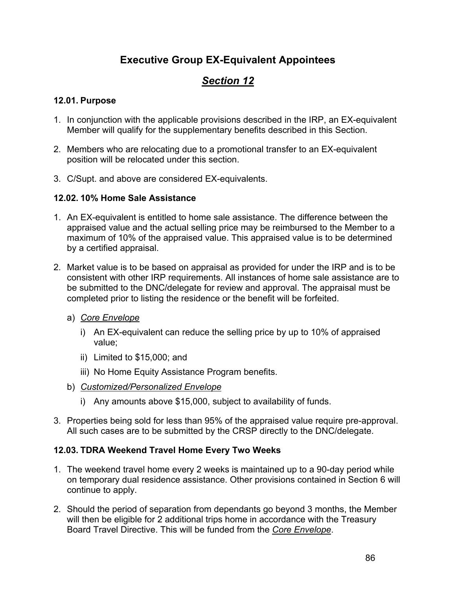## **Executive Group EX-Equivalent Appointees**

# *Section 12*

## **12.01. Purpose**

- 1. In conjunction with the applicable provisions described in the IRP, an EX-equivalent Member will qualify for the supplementary benefits described in this Section.
- 2. Members who are relocating due to a promotional transfer to an EX-equivalent position will be relocated under this section.
- 3. C/Supt. and above are considered EX-equivalents.

## **12.02. 10% Home Sale Assistance**

- 1. An EX-equivalent is entitled to home sale assistance. The difference between the appraised value and the actual selling price may be reimbursed to the Member to a maximum of 10% of the appraised value. This appraised value is to be determined by a certified appraisal.
- 2. Market value is to be based on appraisal as provided for under the IRP and is to be consistent with other IRP requirements. All instances of home sale assistance are to be submitted to the DNC/delegate for review and approval. The appraisal must be completed prior to listing the residence or the benefit will be forfeited.
	- a) *Core Envelope*
		- i) An EX-equivalent can reduce the selling price by up to 10% of appraised value;
		- ii) Limited to \$15,000; and
		- iii) No Home Equity Assistance Program benefits.
	- b) *Customized/Personalized Envelope*
		- i) Any amounts above \$15,000, subject to availability of funds.
- 3. Properties being sold for less than 95% of the appraised value require pre-approval. All such cases are to be submitted by the CRSP directly to the DNC/delegate.

## **12.03. TDRA Weekend Travel Home Every Two Weeks**

- 1. The weekend travel home every 2 weeks is maintained up to a 90-day period while on temporary dual residence assistance. Other provisions contained in Section 6 will continue to apply.
- 2. Should the period of separation from dependants go beyond 3 months, the Member will then be eligible for 2 additional trips home in accordance with the Treasury Board Travel Directive. This will be funded from the *Core Envelope*.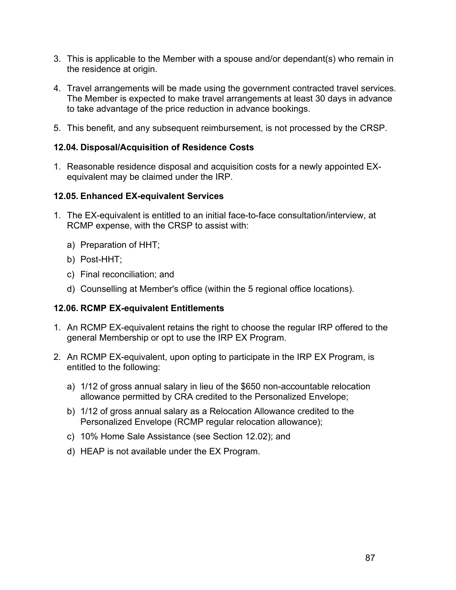- 3. This is applicable to the Member with a spouse and/or dependant(s) who remain in the residence at origin.
- 4. Travel arrangements will be made using the government contracted travel services. The Member is expected to make travel arrangements at least 30 days in advance to take advantage of the price reduction in advance bookings.
- 5. This benefit, and any subsequent reimbursement, is not processed by the CRSP.

#### **12.04. Disposal/Acquisition of Residence Costs**

1. Reasonable residence disposal and acquisition costs for a newly appointed EXequivalent may be claimed under the IRP.

#### **12.05. Enhanced EX-equivalent Services**

- 1. The EX-equivalent is entitled to an initial face-to-face consultation/interview, at RCMP expense, with the CRSP to assist with:
	- a) Preparation of HHT;
	- b) Post-HHT;
	- c) Final reconciliation; and
	- d) Counselling at Member's office (within the 5 regional office locations).

#### **12.06. RCMP EX-equivalent Entitlements**

- 1. An RCMP EX-equivalent retains the right to choose the regular IRP offered to the general Membership or opt to use the IRP EX Program.
- 2. An RCMP EX-equivalent, upon opting to participate in the IRP EX Program, is entitled to the following:
	- a) 1/12 of gross annual salary in lieu of the \$650 non-accountable relocation allowance permitted by CRA credited to the Personalized Envelope;
	- b) 1/12 of gross annual salary as a Relocation Allowance credited to the Personalized Envelope (RCMP regular relocation allowance);
	- c) 10% Home Sale Assistance (see Section 12.02); and
	- d) HEAP is not available under the EX Program.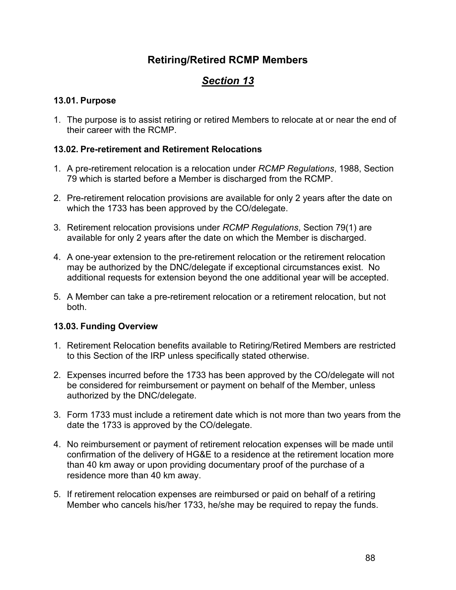## **Retiring/Retired RCMP Members**

# *Section 13*

## **13.01. Purpose**

1. The purpose is to assist retiring or retired Members to relocate at or near the end of their career with the RCMP.

## **13.02. Pre-retirement and Retirement Relocations**

- 1. A pre-retirement relocation is a relocation under *RCMP Regulations*, 1988, Section 79 which is started before a Member is discharged from the RCMP.
- 2. Pre-retirement relocation provisions are available for only 2 years after the date on which the 1733 has been approved by the CO/delegate.
- 3. Retirement relocation provisions under *RCMP Regulations*, Section 79(1) are available for only 2 years after the date on which the Member is discharged.
- 4. A one-year extension to the pre-retirement relocation or the retirement relocation may be authorized by the DNC/delegate if exceptional circumstances exist. No additional requests for extension beyond the one additional year will be accepted.
- 5. A Member can take a pre-retirement relocation or a retirement relocation, but not both.

## **13.03. Funding Overview**

- 1. Retirement Relocation benefits available to Retiring/Retired Members are restricted to this Section of the IRP unless specifically stated otherwise.
- 2. Expenses incurred before the 1733 has been approved by the CO/delegate will not be considered for reimbursement or payment on behalf of the Member, unless authorized by the DNC/delegate.
- 3. Form 1733 must include a retirement date which is not more than two years from the date the 1733 is approved by the CO/delegate.
- 4. No reimbursement or payment of retirement relocation expenses will be made until confirmation of the delivery of HG&E to a residence at the retirement location more than 40 km away or upon providing documentary proof of the purchase of a residence more than 40 km away.
- 5. If retirement relocation expenses are reimbursed or paid on behalf of a retiring Member who cancels his/her 1733, he/she may be required to repay the funds.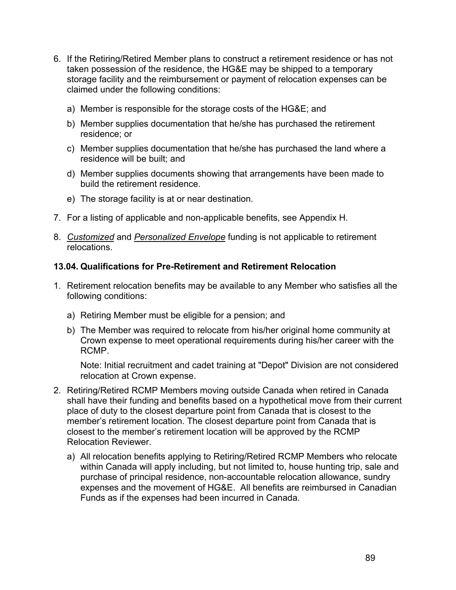- 6. If the Retiring/Retired Member plans to construct a retirement residence or has not taken possession of the residence, the HG&E may be shipped to a temporary storage facility and the reimbursement or payment of relocation expenses can be claimed under the following conditions:
	- a) Member is responsible for the storage costs of the HG&E; and
	- b) Member supplies documentation that he/she has purchased the retirement residence; or
	- c) Member supplies documentation that he/she has purchased the land where a residence will be built; and
	- d) Member supplies documents showing that arrangements have been made to build the retirement residence.
	- e) The storage facility is at or near destination.
- 7. For a listing of applicable and non-applicable benefits, see Appendix H.
- 8. *Customized* and *Personalized Envelope* funding is not applicable to retirement relocations.

#### **13.04. Qualifications for Pre-Retirement and Retirement Relocation**

- 1. Retirement relocation benefits may be available to any Member who satisfies all the following conditions:
	- a) Retiring Member must be eligible for a pension; and
	- b) The Member was required to relocate from his/her original home community at Crown expense to meet operational requirements during his/her career with the RCMP.

Note: Initial recruitment and cadet training at "Depot" Division are not considered relocation at Crown expense.

- 2. Retiring/Retired RCMP Members moving outside Canada when retired in Canada shall have their funding and benefits based on a hypothetical move from their current place of duty to the closest departure point from Canada that is closest to the member's retirement location. The closest departure point from Canada that is closest to the member's retirement location will be approved by the RCMP Relocation Reviewer.
	- a) All relocation benefits applying to Retiring/Retired RCMP Members who relocate within Canada will apply including, but not limited to, house hunting trip, sale and purchase of principal residence, non-accountable relocation allowance, sundry expenses and the movement of HG&E. All benefits are reimbursed in Canadian Funds as if the expenses had been incurred in Canada.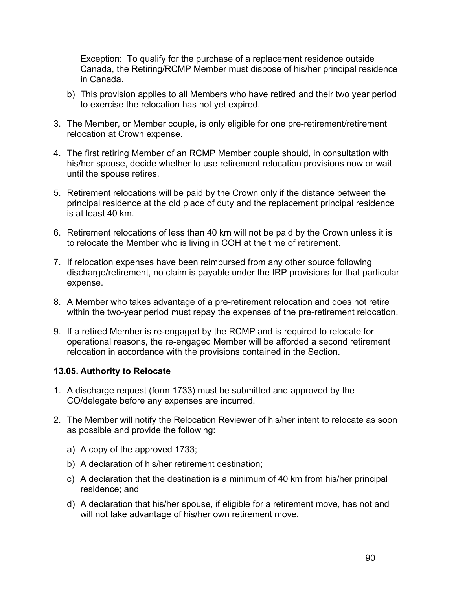Exception: To qualify for the purchase of a replacement residence outside Canada, the Retiring/RCMP Member must dispose of his/her principal residence in Canada.

- b) This provision applies to all Members who have retired and their two year period to exercise the relocation has not yet expired.
- 3. The Member, or Member couple, is only eligible for one pre-retirement/retirement relocation at Crown expense.
- 4. The first retiring Member of an RCMP Member couple should, in consultation with his/her spouse, decide whether to use retirement relocation provisions now or wait until the spouse retires.
- 5. Retirement relocations will be paid by the Crown only if the distance between the principal residence at the old place of duty and the replacement principal residence is at least 40 km.
- 6. Retirement relocations of less than 40 km will not be paid by the Crown unless it is to relocate the Member who is living in COH at the time of retirement.
- 7. If relocation expenses have been reimbursed from any other source following discharge/retirement, no claim is payable under the IRP provisions for that particular expense.
- 8. A Member who takes advantage of a pre-retirement relocation and does not retire within the two-year period must repay the expenses of the pre-retirement relocation.
- 9. If a retired Member is re-engaged by the RCMP and is required to relocate for operational reasons, the re-engaged Member will be afforded a second retirement relocation in accordance with the provisions contained in the Section.

#### **13.05. Authority to Relocate**

- 1. A discharge request (form 1733) must be submitted and approved by the CO/delegate before any expenses are incurred.
- 2. The Member will notify the Relocation Reviewer of his/her intent to relocate as soon as possible and provide the following:
	- a) A copy of the approved 1733;
	- b) A declaration of his/her retirement destination;
	- c) A declaration that the destination is a minimum of 40 km from his/her principal residence; and
	- d) A declaration that his/her spouse, if eligible for a retirement move, has not and will not take advantage of his/her own retirement move.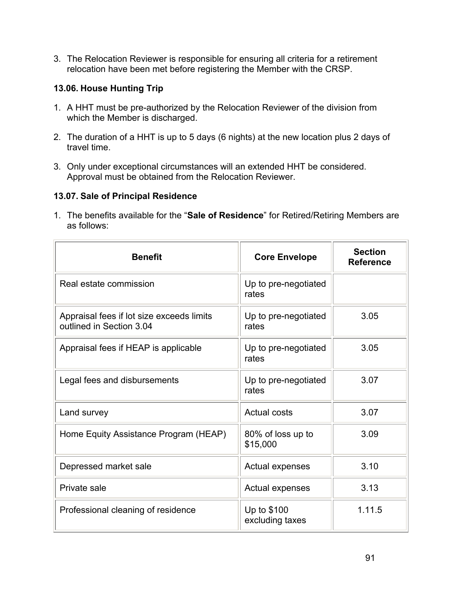3. The Relocation Reviewer is responsible for ensuring all criteria for a retirement relocation have been met before registering the Member with the CRSP.

### **13.06. House Hunting Trip**

- 1. A HHT must be pre-authorized by the Relocation Reviewer of the division from which the Member is discharged.
- 2. The duration of a HHT is up to 5 days (6 nights) at the new location plus 2 days of travel time.
- 3. Only under exceptional circumstances will an extended HHT be considered. Approval must be obtained from the Relocation Reviewer.

#### **13.07. Sale of Principal Residence**

1. The benefits available for the "**Sale of Residence**" for Retired/Retiring Members are as follows:

| <b>Benefit</b>                                                        | <b>Core Envelope</b>           | <b>Section</b><br><b>Reference</b> |
|-----------------------------------------------------------------------|--------------------------------|------------------------------------|
| Real estate commission                                                | Up to pre-negotiated<br>rates  |                                    |
| Appraisal fees if lot size exceeds limits<br>outlined in Section 3.04 | Up to pre-negotiated<br>rates  | 3.05                               |
| Appraisal fees if HEAP is applicable                                  | Up to pre-negotiated<br>rates  | 3.05                               |
| Legal fees and disbursements                                          | Up to pre-negotiated<br>rates  | 3.07                               |
| Land survey                                                           | <b>Actual costs</b>            | 3.07                               |
| Home Equity Assistance Program (HEAP)                                 | 80% of loss up to<br>\$15,000  | 3.09                               |
| Depressed market sale                                                 | <b>Actual expenses</b>         | 3.10                               |
| Private sale                                                          | Actual expenses                | 3.13                               |
| Professional cleaning of residence                                    | Up to \$100<br>excluding taxes | 1.11.5                             |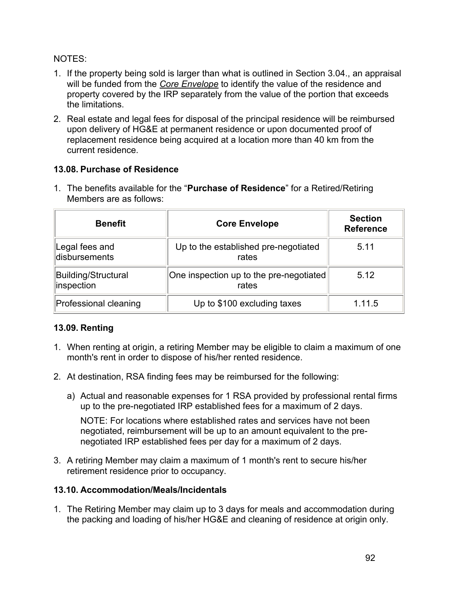### NOTES:

- 1. If the property being sold is larger than what is outlined in Section 3.04., an appraisal will be funded from the *Core Envelope* to identify the value of the residence and property covered by the IRP separately from the value of the portion that exceeds the limitations.
- 2. Real estate and legal fees for disposal of the principal residence will be reimbursed upon delivery of HG&E at permanent residence or upon documented proof of replacement residence being acquired at a location more than 40 km from the current residence.

## **13.08. Purchase of Residence**

| <b>Benefit</b>                    | <b>Core Envelope</b>                             | <b>Section</b><br><b>Reference</b> |
|-----------------------------------|--------------------------------------------------|------------------------------------|
| Legal fees and<br>disbursements   | Up to the established pre-negotiated<br>rates    | 5.11                               |
| Building/Structural<br>inspection | One inspection up to the pre-negotiated<br>rates | 5.12                               |
| Professional cleaning             | Up to \$100 excluding taxes                      | 1.11.5                             |

1. The benefits available for the "**Purchase of Residence**" for a Retired/Retiring Members are as follows:

## **13.09. Renting**

- 1. When renting at origin, a retiring Member may be eligible to claim a maximum of one month's rent in order to dispose of his/her rented residence.
- 2. At destination, RSA finding fees may be reimbursed for the following:
	- a) Actual and reasonable expenses for 1 RSA provided by professional rental firms up to the pre-negotiated IRP established fees for a maximum of 2 days.

NOTE: For locations where established rates and services have not been negotiated, reimbursement will be up to an amount equivalent to the prenegotiated IRP established fees per day for a maximum of 2 days.

3. A retiring Member may claim a maximum of 1 month's rent to secure his/her retirement residence prior to occupancy.

## **13.10. Accommodation/Meals/Incidentals**

1. The Retiring Member may claim up to 3 days for meals and accommodation during the packing and loading of his/her HG&E and cleaning of residence at origin only.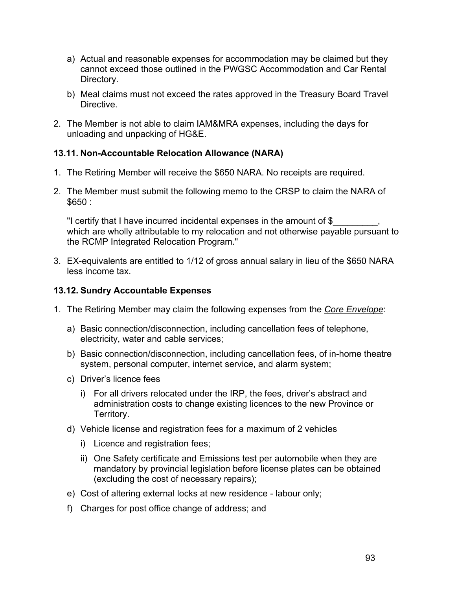- a) Actual and reasonable expenses for accommodation may be claimed but they cannot exceed those outlined in the PWGSC Accommodation and Car Rental Directory.
- b) Meal claims must not exceed the rates approved in the Treasury Board Travel **Directive**
- 2. The Member is not able to claim IAM&MRA expenses, including the days for unloading and unpacking of HG&E.

## **13.11. Non-Accountable Relocation Allowance (NARA)**

- 1. The Retiring Member will receive the \$650 NARA. No receipts are required.
- 2. The Member must submit the following memo to the CRSP to claim the NARA of \$650 :

"I certify that I have incurred incidental expenses in the amount of \$ which are wholly attributable to my relocation and not otherwise payable pursuant to the RCMP Integrated Relocation Program."

3. EX-equivalents are entitled to 1/12 of gross annual salary in lieu of the \$650 NARA less income tax.

### **13.12. Sundry Accountable Expenses**

- 1. The Retiring Member may claim the following expenses from the *Core Envelope*:
	- a) Basic connection/disconnection, including cancellation fees of telephone, electricity, water and cable services;
	- b) Basic connection/disconnection, including cancellation fees, of in-home theatre system, personal computer, internet service, and alarm system;
	- c) Driver's licence fees
		- i) For all drivers relocated under the IRP, the fees, driver's abstract and administration costs to change existing licences to the new Province or Territory.
	- d) Vehicle license and registration fees for a maximum of 2 vehicles
		- i) Licence and registration fees;
		- ii) One Safety certificate and Emissions test per automobile when they are mandatory by provincial legislation before license plates can be obtained (excluding the cost of necessary repairs);
	- e) Cost of altering external locks at new residence labour only;
	- f) Charges for post office change of address; and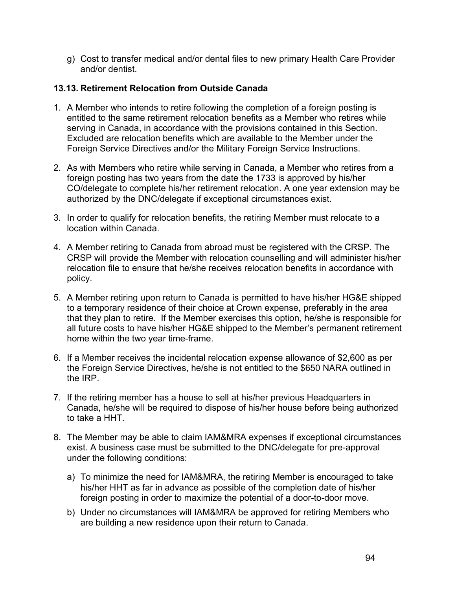g) Cost to transfer medical and/or dental files to new primary Health Care Provider and/or dentist.

#### **13.13. Retirement Relocation from Outside Canada**

- 1. A Member who intends to retire following the completion of a foreign posting is entitled to the same retirement relocation benefits as a Member who retires while serving in Canada, in accordance with the provisions contained in this Section. Excluded are relocation benefits which are available to the Member under the Foreign Service Directives and/or the Military Foreign Service Instructions.
- 2. As with Members who retire while serving in Canada, a Member who retires from a foreign posting has two years from the date the 1733 is approved by his/her CO/delegate to complete his/her retirement relocation. A one year extension may be authorized by the DNC/delegate if exceptional circumstances exist.
- 3. In order to qualify for relocation benefits, the retiring Member must relocate to a location within Canada.
- 4. A Member retiring to Canada from abroad must be registered with the CRSP. The CRSP will provide the Member with relocation counselling and will administer his/her relocation file to ensure that he/she receives relocation benefits in accordance with policy.
- 5. A Member retiring upon return to Canada is permitted to have his/her HG&E shipped to a temporary residence of their choice at Crown expense, preferably in the area that they plan to retire. If the Member exercises this option, he/she is responsible for all future costs to have his/her HG&E shipped to the Member's permanent retirement home within the two year time-frame.
- 6. If a Member receives the incidental relocation expense allowance of \$2,600 as per the Foreign Service Directives, he/she is not entitled to the \$650 NARA outlined in the IRP.
- 7. If the retiring member has a house to sell at his/her previous Headquarters in Canada, he/she will be required to dispose of his/her house before being authorized to take a HHT.
- 8. The Member may be able to claim IAM&MRA expenses if exceptional circumstances exist. A business case must be submitted to the DNC/delegate for pre-approval under the following conditions:
	- a) To minimize the need for IAM&MRA, the retiring Member is encouraged to take his/her HHT as far in advance as possible of the completion date of his/her foreign posting in order to maximize the potential of a door-to-door move.
	- b) Under no circumstances will IAM&MRA be approved for retiring Members who are building a new residence upon their return to Canada.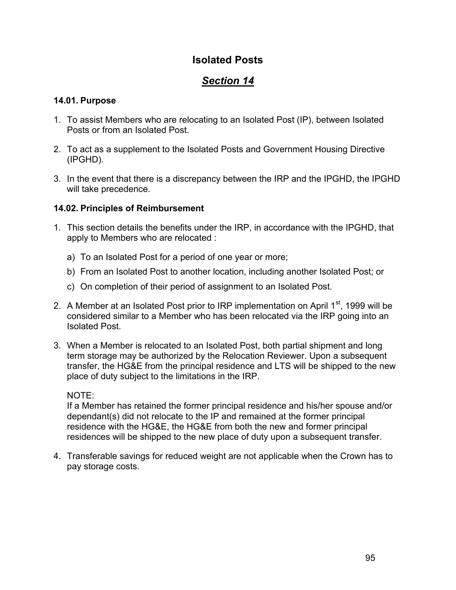## **Isolated Posts**

# *Section 14*

## **14.01. Purpose**

- 1. To assist Members who are relocating to an Isolated Post (IP), between Isolated Posts or from an Isolated Post.
- 2. To act as a supplement to the Isolated Posts and Government Housing Directive (IPGHD).
- 3. In the event that there is a discrepancy between the IRP and the IPGHD, the IPGHD will take precedence.

## **14.02. Principles of Reimbursement**

- 1. This section details the benefits under the IRP, in accordance with the IPGHD, that apply to Members who are relocated :
	- a) To an Isolated Post for a period of one year or more;
	- b) From an Isolated Post to another location, including another Isolated Post; or
	- c) On completion of their period of assignment to an Isolated Post.
- 2. A Member at an Isolated Post prior to IRP implementation on April  $1<sup>st</sup>$ , 1999 will be considered similar to a Member who has been relocated via the IRP going into an Isolated Post.
- 3. When a Member is relocated to an Isolated Post, both partial shipment and long term storage may be authorized by the Relocation Reviewer. Upon a subsequent transfer, the HG&E from the principal residence and LTS will be shipped to the new place of duty subject to the limitations in the IRP.

## NOTE:

If a Member has retained the former principal residence and his/her spouse and/or dependant(s) did not relocate to the IP and remained at the former principal residence with the HG&E, the HG&E from both the new and former principal residences will be shipped to the new place of duty upon a subsequent transfer.

4. Transferable savings for reduced weight are not applicable when the Crown has to pay storage costs.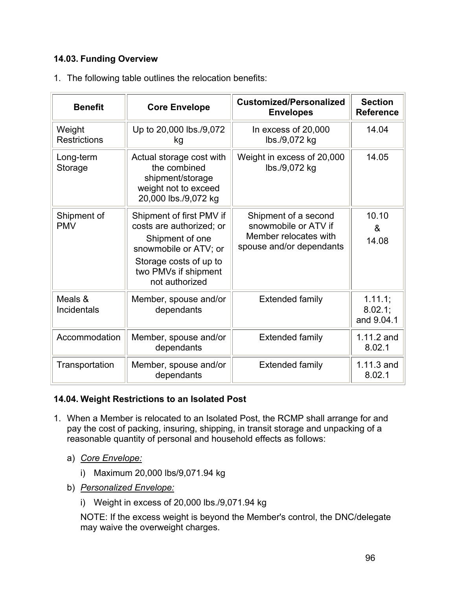## **14.03. Funding Overview**

|  |  |  |  |  | 1. The following table outlines the relocation benefits: |  |
|--|--|--|--|--|----------------------------------------------------------|--|
|--|--|--|--|--|----------------------------------------------------------|--|

| <b>Benefit</b>                | <b>Core Envelope</b>                                                                                                                                                 | <b>Customized/Personalized</b><br><b>Envelopes</b>                                                | <b>Section</b><br><b>Reference</b>      |
|-------------------------------|----------------------------------------------------------------------------------------------------------------------------------------------------------------------|---------------------------------------------------------------------------------------------------|-----------------------------------------|
| Weight<br><b>Restrictions</b> | Up to 20,000 lbs./9,072<br>kg                                                                                                                                        | In excess of 20,000<br>lbs./9,072 kg                                                              | 14.04                                   |
| Long-term<br>Storage          | Actual storage cost with<br>the combined<br>shipment/storage<br>weight not to exceed<br>20,000 lbs./9,072 kg                                                         | Weight in excess of 20,000<br>lbs./9,072 kg                                                       | 14.05                                   |
| Shipment of<br><b>PMV</b>     | Shipment of first PMV if<br>costs are authorized; or<br>Shipment of one<br>snowmobile or ATV; or<br>Storage costs of up to<br>two PMVs if shipment<br>not authorized | Shipment of a second<br>snowmobile or ATV if<br>Member relocates with<br>spouse and/or dependants | 10.10<br>$\boldsymbol{\alpha}$<br>14.08 |
| Meals &<br><b>Incidentals</b> | Member, spouse and/or<br>dependants                                                                                                                                  | <b>Extended family</b>                                                                            | $1.11.1$ ;<br>$8.02.1$ ;<br>and 9.04.1  |
| Accommodation                 | Member, spouse and/or<br>dependants                                                                                                                                  | <b>Extended family</b>                                                                            | 1.11.2 and<br>8.02.1                    |
| Transportation                | Member, spouse and/or<br>dependants                                                                                                                                  | <b>Extended family</b>                                                                            | 1.11.3 and<br>8.02.1                    |

## **14.04. Weight Restrictions to an Isolated Post**

- 1. When a Member is relocated to an Isolated Post, the RCMP shall arrange for and pay the cost of packing, insuring, shipping, in transit storage and unpacking of a reasonable quantity of personal and household effects as follows:
	- a) *Core Envelope:*
		- i) Maximum 20,000 lbs/9,071.94 kg
	- b) *Personalized Envelope:*
		- i) Weight in excess of 20,000 lbs./9,071.94 kg

NOTE: If the excess weight is beyond the Member's control, the DNC/delegate may waive the overweight charges.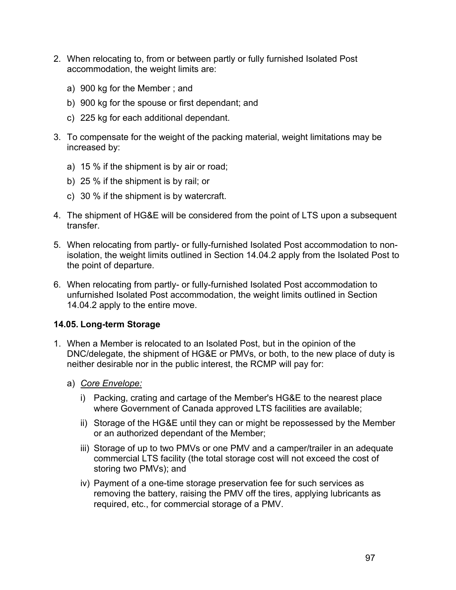- 2. When relocating to, from or between partly or fully furnished Isolated Post accommodation, the weight limits are:
	- a) 900 kg for the Member ; and
	- b) 900 kg for the spouse or first dependant; and
	- c) 225 kg for each additional dependant.
- 3. To compensate for the weight of the packing material, weight limitations may be increased by:
	- a) 15 % if the shipment is by air or road;
	- b) 25 % if the shipment is by rail; or
	- c) 30 % if the shipment is by watercraft.
- 4. The shipment of HG&E will be considered from the point of LTS upon a subsequent transfer.
- 5. When relocating from partly- or fully-furnished Isolated Post accommodation to nonisolation, the weight limits outlined in Section 14.04.2 apply from the Isolated Post to the point of departure.
- 6. When relocating from partly- or fully-furnished Isolated Post accommodation to unfurnished Isolated Post accommodation, the weight limits outlined in Section 14.04.2 apply to the entire move.

## **14.05. Long-term Storage**

- 1. When a Member is relocated to an Isolated Post, but in the opinion of the DNC/delegate, the shipment of HG&E or PMVs, or both, to the new place of duty is neither desirable nor in the public interest, the RCMP will pay for:
	- a) *Core Envelope:*
		- i) Packing, crating and cartage of the Member's HG&E to the nearest place where Government of Canada approved LTS facilities are available;
		- ii) Storage of the HG&E until they can or might be repossessed by the Member or an authorized dependant of the Member;
		- iii) Storage of up to two PMVs or one PMV and a camper/trailer in an adequate commercial LTS facility (the total storage cost will not exceed the cost of storing two PMVs); and
		- iv) Payment of a one-time storage preservation fee for such services as removing the battery, raising the PMV off the tires, applying lubricants as required, etc., for commercial storage of a PMV.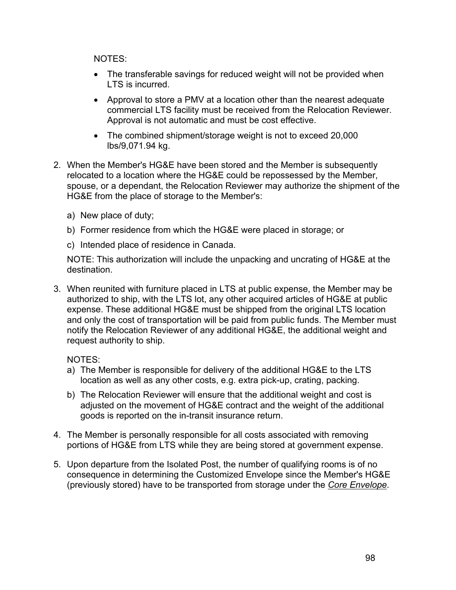NOTES:

- The transferable savings for reduced weight will not be provided when LTS is incurred.
- Approval to store a PMV at a location other than the nearest adequate commercial LTS facility must be received from the Relocation Reviewer. Approval is not automatic and must be cost effective.
- The combined shipment/storage weight is not to exceed 20,000 lbs/9,071.94 kg.
- 2. When the Member's HG&E have been stored and the Member is subsequently relocated to a location where the HG&E could be repossessed by the Member, spouse, or a dependant, the Relocation Reviewer may authorize the shipment of the HG&E from the place of storage to the Member's:
	- a) New place of duty;
	- b) Former residence from which the HG&E were placed in storage; or
	- c) Intended place of residence in Canada.

NOTE: This authorization will include the unpacking and uncrating of HG&E at the destination.

3. When reunited with furniture placed in LTS at public expense, the Member may be authorized to ship, with the LTS lot, any other acquired articles of HG&E at public expense. These additional HG&E must be shipped from the original LTS location and only the cost of transportation will be paid from public funds. The Member must notify the Relocation Reviewer of any additional HG&E, the additional weight and request authority to ship.

NOTES:

- a) The Member is responsible for delivery of the additional HG&E to the LTS location as well as any other costs, e.g. extra pick-up, crating, packing.
- b) The Relocation Reviewer will ensure that the additional weight and cost is adjusted on the movement of HG&E contract and the weight of the additional goods is reported on the in-transit insurance return.
- 4. The Member is personally responsible for all costs associated with removing portions of HG&E from LTS while they are being stored at government expense.
- 5. Upon departure from the Isolated Post, the number of qualifying rooms is of no consequence in determining the Customized Envelope since the Member's HG&E (previously stored) have to be transported from storage under the *Core Envelope*.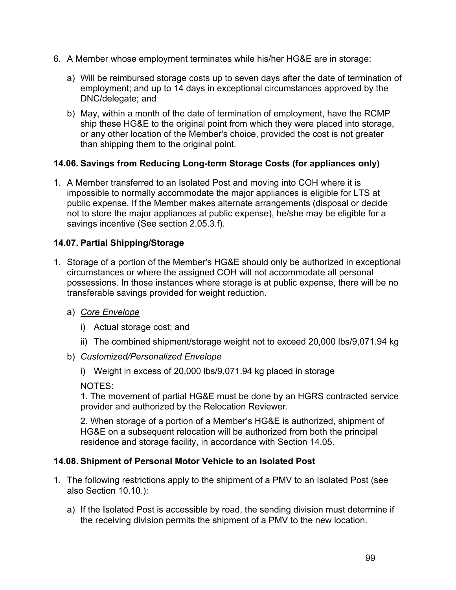- 6. A Member whose employment terminates while his/her HG&E are in storage:
	- a) Will be reimbursed storage costs up to seven days after the date of termination of employment; and up to 14 days in exceptional circumstances approved by the DNC/delegate; and
	- b) May, within a month of the date of termination of employment, have the RCMP ship these HG&E to the original point from which they were placed into storage, or any other location of the Member's choice, provided the cost is not greater than shipping them to the original point.

## **14.06. Savings from Reducing Long-term Storage Costs (for appliances only)**

1. A Member transferred to an Isolated Post and moving into COH where it is impossible to normally accommodate the major appliances is eligible for LTS at public expense. If the Member makes alternate arrangements (disposal or decide not to store the major appliances at public expense), he/she may be eligible for a savings incentive (See section 2.05.3.f).

## **14.07. Partial Shipping/Storage**

- 1. Storage of a portion of the Member's HG&E should only be authorized in exceptional circumstances or where the assigned COH will not accommodate all personal possessions. In those instances where storage is at public expense, there will be no transferable savings provided for weight reduction.
	- a) *Core Envelope*
		- i) Actual storage cost; and
		- ii) The combined shipment/storage weight not to exceed 20,000 lbs/9,071.94 kg
	- b) *Customized/Personalized Envelope*
		- i) Weight in excess of 20,000 lbs/9,071.94 kg placed in storage

NOTES:

1. The movement of partial HG&E must be done by an HGRS contracted service provider and authorized by the Relocation Reviewer.

2. When storage of a portion of a Member's HG&E is authorized, shipment of HG&E on a subsequent relocation will be authorized from both the principal residence and storage facility, in accordance with Section 14.05.

#### **14.08. Shipment of Personal Motor Vehicle to an Isolated Post**

- 1. The following restrictions apply to the shipment of a PMV to an Isolated Post (see also Section 10.10.):
	- a) If the Isolated Post is accessible by road, the sending division must determine if the receiving division permits the shipment of a PMV to the new location.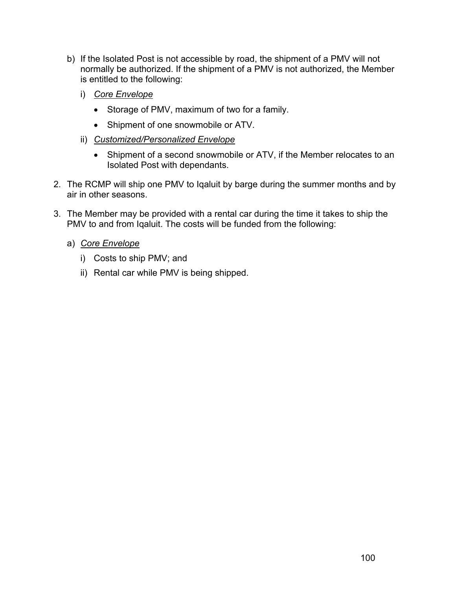- b) If the Isolated Post is not accessible by road, the shipment of a PMV will not normally be authorized. If the shipment of a PMV is not authorized, the Member is entitled to the following:
	- i) *Core Envelope*
		- Storage of PMV, maximum of two for a family.
		- Shipment of one snowmobile or ATV.
	- ii) *Customized/Personalized Envelope*
		- Shipment of a second snowmobile or ATV, if the Member relocates to an Isolated Post with dependants.
- 2. The RCMP will ship one PMV to Iqaluit by barge during the summer months and by air in other seasons.
- 3. The Member may be provided with a rental car during the time it takes to ship the PMV to and from Iqaluit. The costs will be funded from the following:
	- a) *Core Envelope*
		- i) Costs to ship PMV; and
		- ii) Rental car while PMV is being shipped.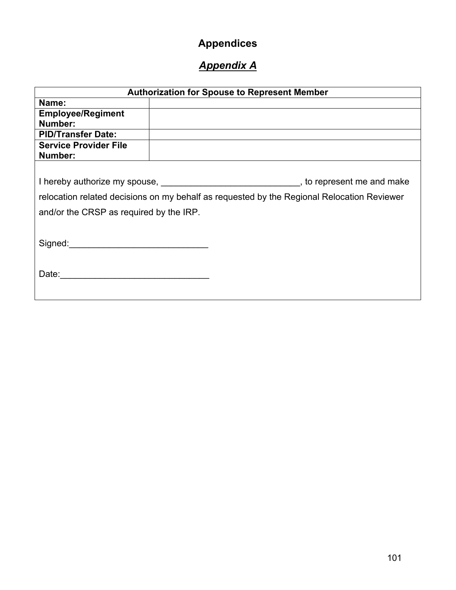# **Appendices**

# *Appendix A*

|                                         | <b>Authorization for Spouse to Represent Member</b> |                                                                                                                                                                                                                                |
|-----------------------------------------|-----------------------------------------------------|--------------------------------------------------------------------------------------------------------------------------------------------------------------------------------------------------------------------------------|
| Name:                                   |                                                     |                                                                                                                                                                                                                                |
| <b>Employee/Regiment</b>                |                                                     |                                                                                                                                                                                                                                |
| Number:                                 |                                                     |                                                                                                                                                                                                                                |
| <b>PID/Transfer Date:</b>               |                                                     |                                                                                                                                                                                                                                |
| <b>Service Provider File</b>            |                                                     |                                                                                                                                                                                                                                |
| Number:                                 |                                                     |                                                                                                                                                                                                                                |
|                                         |                                                     |                                                                                                                                                                                                                                |
|                                         |                                                     | I hereby authorize my spouse, the matter of the state of the state of the spouse of the state of the state of the state of the state of the state of the state of the state of the state of the state of the state of the stat |
|                                         |                                                     | relocation related decisions on my behalf as requested by the Regional Relocation Reviewer                                                                                                                                     |
| and/or the CRSP as required by the IRP. |                                                     |                                                                                                                                                                                                                                |
|                                         |                                                     |                                                                                                                                                                                                                                |
| Signed:                                 |                                                     |                                                                                                                                                                                                                                |
| Date:                                   |                                                     |                                                                                                                                                                                                                                |
|                                         |                                                     |                                                                                                                                                                                                                                |
|                                         |                                                     |                                                                                                                                                                                                                                |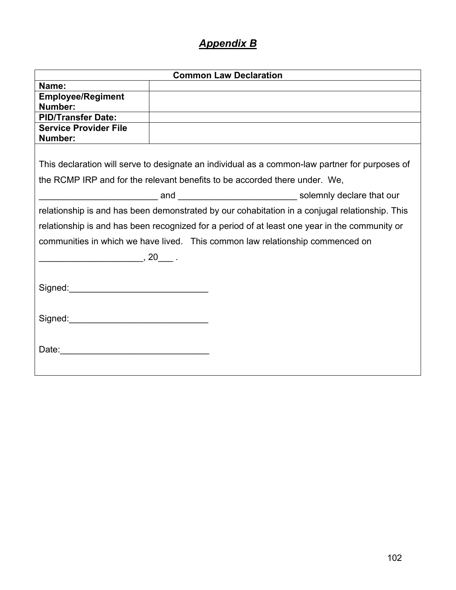# *Appendix B*

|                                                                                               | <b>Common Law Declaration</b> |                                                                                                |
|-----------------------------------------------------------------------------------------------|-------------------------------|------------------------------------------------------------------------------------------------|
| Name:                                                                                         |                               |                                                                                                |
| <b>Employee/Regiment</b>                                                                      |                               |                                                                                                |
| Number:                                                                                       |                               |                                                                                                |
| <b>PID/Transfer Date:</b>                                                                     |                               |                                                                                                |
| <b>Service Provider File</b>                                                                  |                               |                                                                                                |
| Number:                                                                                       |                               |                                                                                                |
| the RCMP IRP and for the relevant benefits to be accorded there under. We,                    |                               | This declaration will serve to designate an individual as a common-law partner for purposes of |
|                                                                                               |                               |                                                                                                |
|                                                                                               |                               | relationship is and has been demonstrated by our cohabitation in a conjugal relationship. This |
| relationship is and has been recognized for a period of at least one year in the community or |                               |                                                                                                |
| communities in which we have lived. This common law relationship commenced on                 |                               |                                                                                                |
| $\overbrace{\hspace{2.5cm}}$ , 20 $\overbrace{\hspace{2.5cm}}$ .                              |                               |                                                                                                |
|                                                                                               |                               |                                                                                                |
|                                                                                               |                               |                                                                                                |
|                                                                                               |                               |                                                                                                |
|                                                                                               |                               |                                                                                                |
|                                                                                               |                               |                                                                                                |
|                                                                                               |                               |                                                                                                |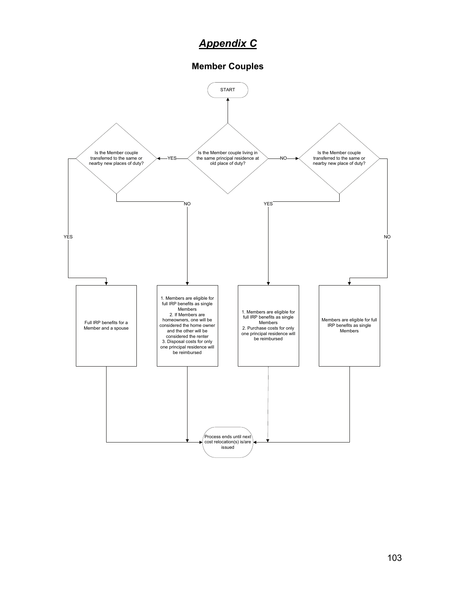# *Appendix C*

#### **Member Couples**

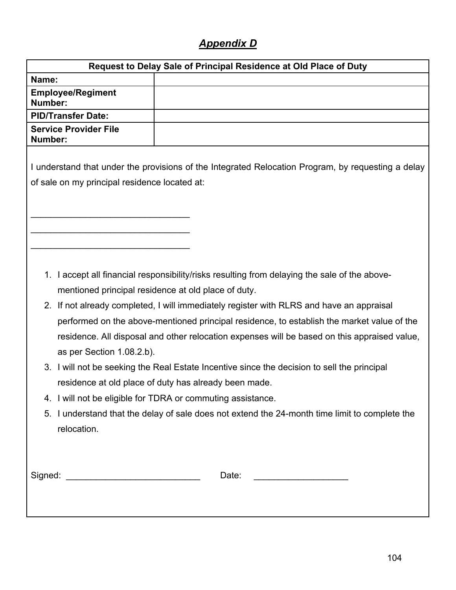# *Appendix D*

|                                                | Request to Delay Sale of Principal Residence at Old Place of Duty                                                                                                                                                                                                                                                                                                                                                                                                                                                                                                                                                                                                                                                                                                    |
|------------------------------------------------|----------------------------------------------------------------------------------------------------------------------------------------------------------------------------------------------------------------------------------------------------------------------------------------------------------------------------------------------------------------------------------------------------------------------------------------------------------------------------------------------------------------------------------------------------------------------------------------------------------------------------------------------------------------------------------------------------------------------------------------------------------------------|
| Name:                                          |                                                                                                                                                                                                                                                                                                                                                                                                                                                                                                                                                                                                                                                                                                                                                                      |
| <b>Employee/Regiment</b><br>Number:            |                                                                                                                                                                                                                                                                                                                                                                                                                                                                                                                                                                                                                                                                                                                                                                      |
| <b>PID/Transfer Date:</b>                      |                                                                                                                                                                                                                                                                                                                                                                                                                                                                                                                                                                                                                                                                                                                                                                      |
| <b>Service Provider File</b><br>Number:        |                                                                                                                                                                                                                                                                                                                                                                                                                                                                                                                                                                                                                                                                                                                                                                      |
| of sale on my principal residence located at:  | I understand that under the provisions of the Integrated Relocation Program, by requesting a delay                                                                                                                                                                                                                                                                                                                                                                                                                                                                                                                                                                                                                                                                   |
| as per Section 1.08.2.b).<br>5.<br>relocation. | 1. I accept all financial responsibility/risks resulting from delaying the sale of the above-<br>mentioned principal residence at old place of duty.<br>2. If not already completed, I will immediately register with RLRS and have an appraisal<br>performed on the above-mentioned principal residence, to establish the market value of the<br>residence. All disposal and other relocation expenses will be based on this appraised value,<br>3. I will not be seeking the Real Estate Incentive since the decision to sell the principal<br>residence at old place of duty has already been made.<br>4. I will not be eligible for TDRA or commuting assistance.<br>I understand that the delay of sale does not extend the 24-month time limit to complete the |
|                                                | Date:<br><u> 1980 - Johann Barnett, fransk politiker (</u>                                                                                                                                                                                                                                                                                                                                                                                                                                                                                                                                                                                                                                                                                                           |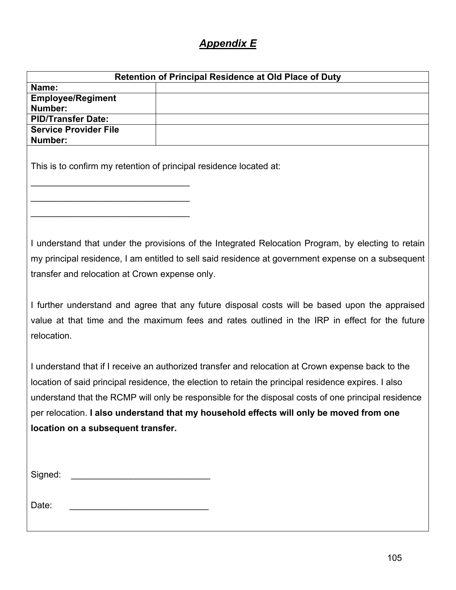# *Appendix E*

|                                                                   | <b>Retention of Principal Residence at Old Place of Duty</b>                                                                                                                                             |
|-------------------------------------------------------------------|----------------------------------------------------------------------------------------------------------------------------------------------------------------------------------------------------------|
| Name:                                                             |                                                                                                                                                                                                          |
| <b>Employee/Regiment</b>                                          |                                                                                                                                                                                                          |
| Number:                                                           |                                                                                                                                                                                                          |
| <b>PID/Transfer Date:</b>                                         |                                                                                                                                                                                                          |
| <b>Service Provider File</b><br>Number:                           |                                                                                                                                                                                                          |
|                                                                   |                                                                                                                                                                                                          |
|                                                                   | This is to confirm my retention of principal residence located at:                                                                                                                                       |
|                                                                   |                                                                                                                                                                                                          |
|                                                                   |                                                                                                                                                                                                          |
|                                                                   |                                                                                                                                                                                                          |
|                                                                   |                                                                                                                                                                                                          |
| transfer and relocation at Crown expense only.                    | I understand that under the provisions of the Integrated Relocation Program, by electing to retain<br>my principal residence, I am entitled to sell said residence at government expense on a subsequent |
|                                                                   | I further understand and agree that any future disposal costs will be based upon the appraised                                                                                                           |
| relocation.                                                       | value at that time and the maximum fees and rates outlined in the IRP in effect for the future                                                                                                           |
|                                                                   |                                                                                                                                                                                                          |
|                                                                   |                                                                                                                                                                                                          |
|                                                                   | I understand that if I receive an authorized transfer and relocation at Crown expense back to the                                                                                                        |
|                                                                   | location of said principal residence, the election to retain the principal residence expires. I also                                                                                                     |
|                                                                   | understand that the RCMP will only be responsible for the disposal costs of one principal residence                                                                                                      |
|                                                                   | per relocation. I also understand that my household effects will only be moved from one                                                                                                                  |
|                                                                   |                                                                                                                                                                                                          |
| location on a subsequent transfer.                                |                                                                                                                                                                                                          |
|                                                                   |                                                                                                                                                                                                          |
|                                                                   |                                                                                                                                                                                                          |
|                                                                   |                                                                                                                                                                                                          |
|                                                                   |                                                                                                                                                                                                          |
|                                                                   |                                                                                                                                                                                                          |
| Date:<br><u> 1980 - Johann Barbara, martxa amerikan bashkar (</u> |                                                                                                                                                                                                          |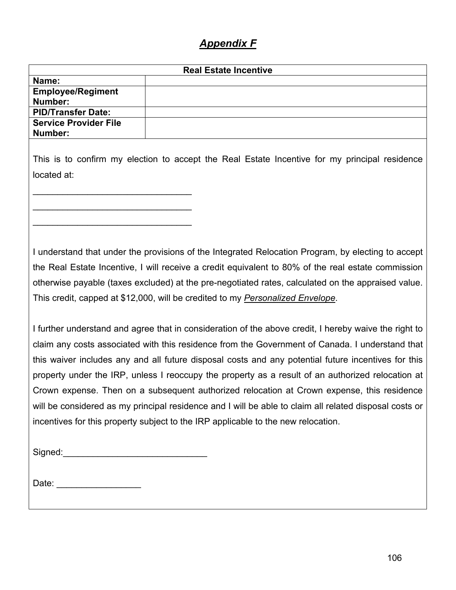## *Appendix F*

| <b>Real Estate Incentive</b> |  |
|------------------------------|--|
| Name:                        |  |
| <b>Employee/Regiment</b>     |  |
| Number:                      |  |
| <b>PID/Transfer Date:</b>    |  |
| <b>Service Provider File</b> |  |
| Number:                      |  |
|                              |  |

This is to confirm my election to accept the Real Estate Incentive for my principal residence located at:

I understand that under the provisions of the Integrated Relocation Program, by electing to accept the Real Estate Incentive, I will receive a credit equivalent to 80% of the real estate commission otherwise payable (taxes excluded) at the pre-negotiated rates, calculated on the appraised value. This credit, capped at \$12,000, will be credited to my *Personalized Envelope*.

I further understand and agree that in consideration of the above credit, I hereby waive the right to claim any costs associated with this residence from the Government of Canada. I understand that this waiver includes any and all future disposal costs and any potential future incentives for this property under the IRP, unless I reoccupy the property as a result of an authorized relocation at Crown expense. Then on a subsequent authorized relocation at Crown expense, this residence will be considered as my principal residence and I will be able to claim all related disposal costs or incentives for this property subject to the IRP applicable to the new relocation.

| Signed: |  |
|---------|--|
|         |  |

 $\overline{\phantom{a}}$  , which is a set of the set of the set of the set of the set of the set of the set of the set of the set of the set of the set of the set of the set of the set of the set of the set of the set of the set of th

 $\overline{\phantom{a}}$  , which is a set of the set of the set of the set of the set of the set of the set of the set of the set of the set of the set of the set of the set of the set of the set of the set of the set of the set of th

\_\_\_\_\_\_\_\_\_\_\_\_\_\_\_\_\_\_\_\_\_\_\_\_\_\_\_\_\_\_\_\_

Date: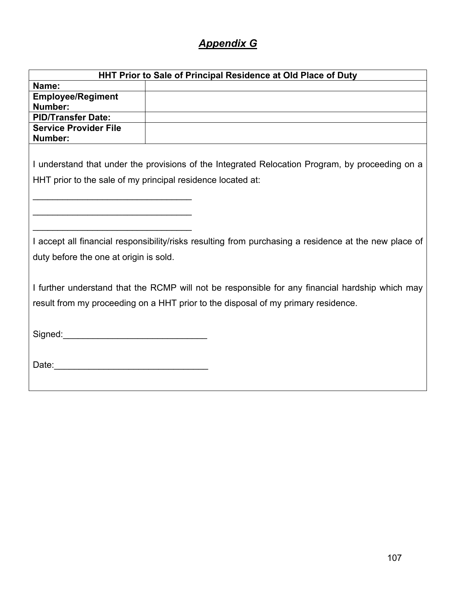# *Appendix G*

| HHT Prior to Sale of Principal Residence at Old Place of Duty                                                                                                                                                                  |                                                                                                 |
|--------------------------------------------------------------------------------------------------------------------------------------------------------------------------------------------------------------------------------|-------------------------------------------------------------------------------------------------|
| Name:                                                                                                                                                                                                                          |                                                                                                 |
| <b>Employee/Regiment</b>                                                                                                                                                                                                       |                                                                                                 |
| Number:                                                                                                                                                                                                                        |                                                                                                 |
| <b>PID/Transfer Date:</b>                                                                                                                                                                                                      |                                                                                                 |
| <b>Service Provider File</b>                                                                                                                                                                                                   |                                                                                                 |
| Number:                                                                                                                                                                                                                        |                                                                                                 |
|                                                                                                                                                                                                                                |                                                                                                 |
|                                                                                                                                                                                                                                | I understand that under the provisions of the Integrated Relocation Program, by proceeding on a |
| HHT prior to the sale of my principal residence located at:                                                                                                                                                                    |                                                                                                 |
|                                                                                                                                                                                                                                |                                                                                                 |
|                                                                                                                                                                                                                                |                                                                                                 |
|                                                                                                                                                                                                                                |                                                                                                 |
|                                                                                                                                                                                                                                |                                                                                                 |
|                                                                                                                                                                                                                                |                                                                                                 |
| I accept all financial responsibility/risks resulting from purchasing a residence at the new place of                                                                                                                          |                                                                                                 |
| duty before the one at origin is sold.                                                                                                                                                                                         |                                                                                                 |
|                                                                                                                                                                                                                                |                                                                                                 |
|                                                                                                                                                                                                                                |                                                                                                 |
| I further understand that the RCMP will not be responsible for any financial hardship which may                                                                                                                                |                                                                                                 |
| result from my proceeding on a HHT prior to the disposal of my primary residence.                                                                                                                                              |                                                                                                 |
|                                                                                                                                                                                                                                |                                                                                                 |
|                                                                                                                                                                                                                                |                                                                                                 |
| Signed: the contract of the contract of the contract of the contract of the contract of the contract of the contract of the contract of the contract of the contract of the contract of the contract of the contract of the co |                                                                                                 |
|                                                                                                                                                                                                                                |                                                                                                 |
|                                                                                                                                                                                                                                |                                                                                                 |
|                                                                                                                                                                                                                                |                                                                                                 |
|                                                                                                                                                                                                                                |                                                                                                 |
|                                                                                                                                                                                                                                |                                                                                                 |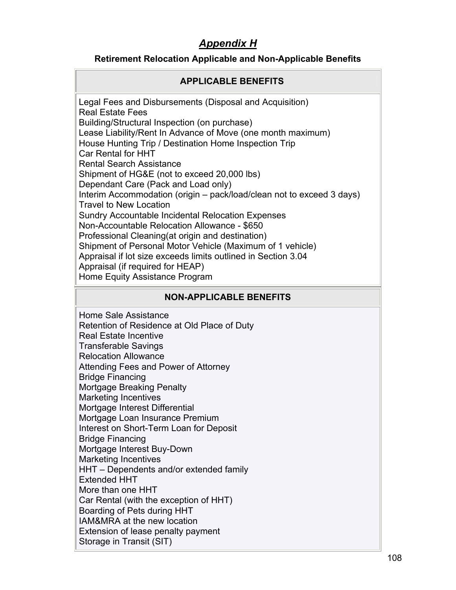# *Appendix H*

## **Retirement Relocation Applicable and Non-Applicable Benefits**

## **APPLICABLE BENEFITS**

Legal Fees and Disbursements (Disposal and Acquisition) Real Estate Fees Building/Structural Inspection (on purchase) Lease Liability/Rent In Advance of Move (one month maximum) House Hunting Trip / Destination Home Inspection Trip Car Rental for HHT Rental Search Assistance Shipment of HG&E (not to exceed 20,000 lbs) Dependant Care (Pack and Load only) Interim Accommodation (origin – pack/load/clean not to exceed 3 days) Travel to New Location Sundry Accountable Incidental Relocation Expenses Non-Accountable Relocation Allowance - \$650 Professional Cleaning(at origin and destination) Shipment of Personal Motor Vehicle (Maximum of 1 vehicle) Appraisal if lot size exceeds limits outlined in Section 3.04 Appraisal (if required for HEAP) Home Equity Assistance Program

## **NON-APPLICABLE BENEFITS**

Home Sale Assistance Retention of Residence at Old Place of Duty Real Estate Incentive Transferable Savings Relocation Allowance Attending Fees and Power of Attorney Bridge Financing Mortgage Breaking Penalty Marketing Incentives Mortgage Interest Differential Mortgage Loan Insurance Premium Interest on Short-Term Loan for Deposit Bridge Financing Mortgage Interest Buy-Down Marketing Incentives HHT – Dependents and/or extended family Extended HHT More than one HHT Car Rental (with the exception of HHT) Boarding of Pets during HHT IAM&MRA at the new location Extension of lease penalty payment Storage in Transit (SIT)